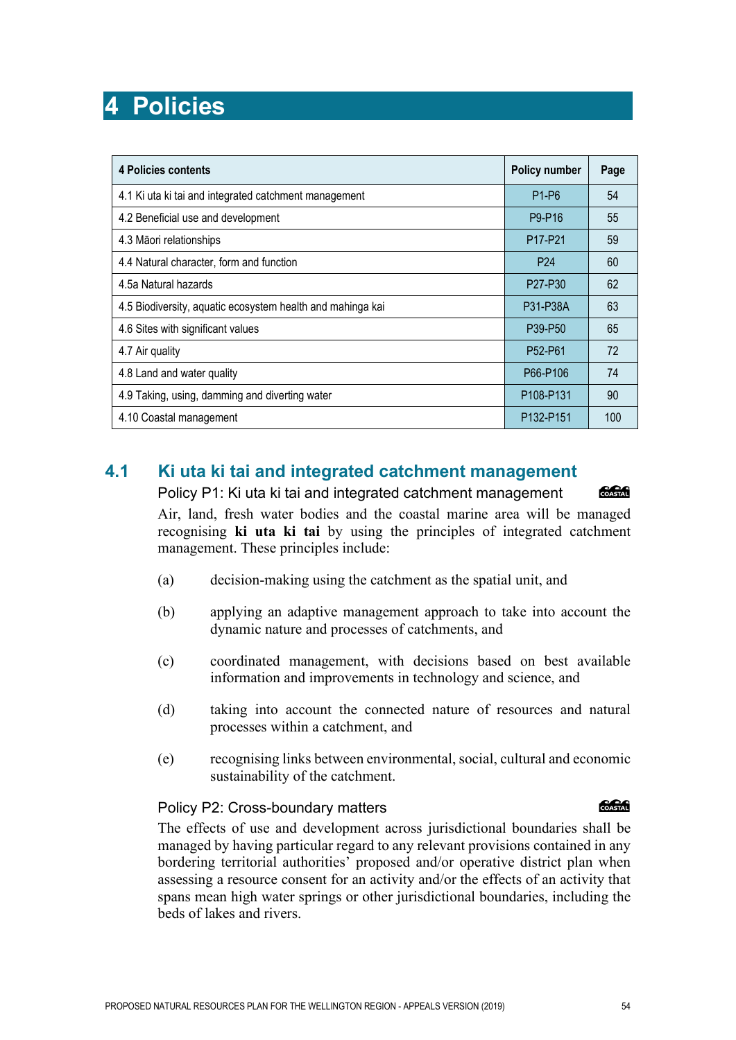**4 Policies**

| 4.2 Beneficial use and development                         | P9-P16                           | 55  |
|------------------------------------------------------------|----------------------------------|-----|
| 4.3 Māori relationships                                    | P <sub>17-P21</sub>              | 59  |
| 4.4 Natural character, form and function                   | P <sub>24</sub>                  | 60  |
| 4.5a Natural hazards                                       | P27-P30                          | 62  |
| 4.5 Biodiversity, aquatic ecosystem health and mahinga kai | P31-P38A                         | 63  |
| 4.6 Sites with significant values                          | P39-P50                          | 65  |
| 4.7 Air quality                                            | P <sub>52</sub> -P <sub>61</sub> | 72  |
| 4.8 Land and water quality                                 | P66-P106                         | 74  |
| 4.9 Taking, using, damming and diverting water             | P108-P131                        | 90  |
| 4.10 Coastal management                                    | P132-P151                        | 100 |

**4 Policies contents Policy number Page**

4.1 Ki uta ki tai and integrated catchment management P1-P6 P1-P6 54

# **4.1 Ki uta ki tai and integrated catchment management**

Policy P1: Ki uta ki tai and integrated catchment management

COASTAL

Air, land, fresh water bodies and the coastal marine area will be managed recognising **ki uta ki tai** by using the principles of integrated catchment management. These principles include:

- (a) decision-making using the catchment as the spatial unit, and
- (b) applying an adaptive management approach to take into account the dynamic nature and processes of catchments, and
- (c) coordinated management, with decisions based on best available information and improvements in technology and science, and
- (d) taking into account the connected nature of resources and natural processes within a catchment, and
- (e) recognising links between environmental, social, cultural and economic sustainability of the catchment.

#### Policy P2: Cross-boundary matters

The effects of use and development across jurisdictional boundaries shall be managed by having particular regard to any relevant provisions contained in any bordering territorial authorities' proposed and/or operative district plan when assessing a resource consent for an activity and/or the effects of an activity that spans mean high water springs or other jurisdictional boundaries, including the beds of lakes and rivers.

**Concept**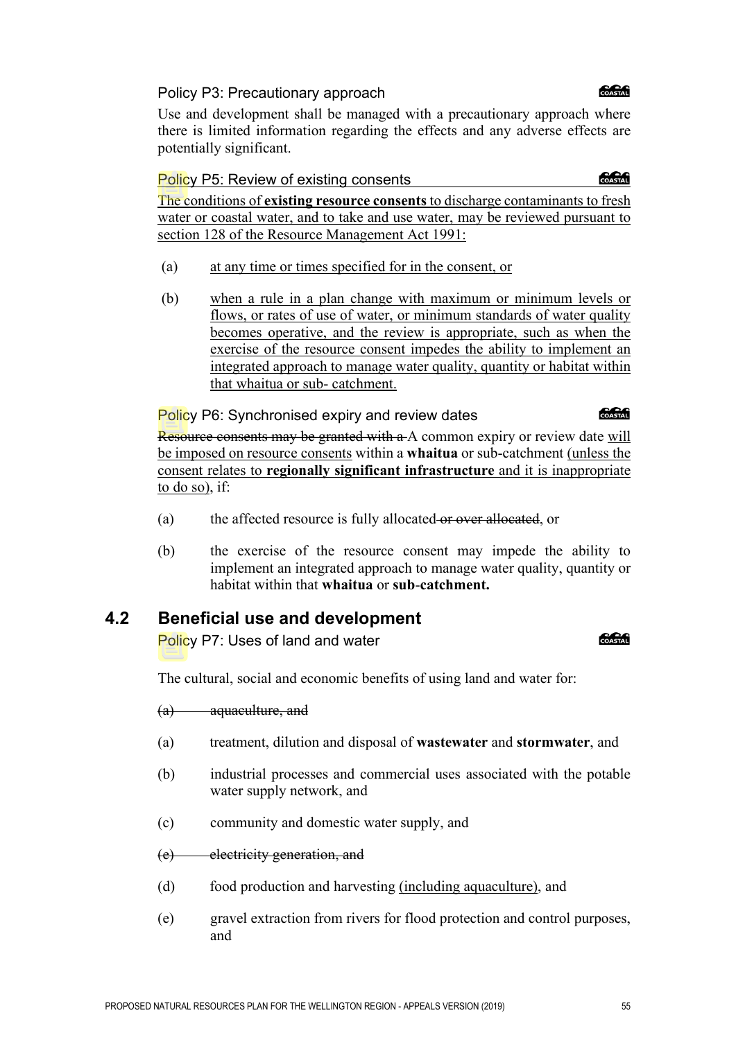### Policy P3: Precautionary approach

Use and development shall be managed with a precautionary approach where there is limited information regarding the effects and any adverse effects are potentially significant.

#### Policy P5: Review of existing consents

The conditions of **existing resource consents** to discharge contaminants to fresh water or coastal water, and to take and use water, may be reviewed pursuant to section 128 of the Resource Management Act 1991:

- (a) at any time or times specified for in the consent, or
- (b) when a rule in a plan change with maximum or minimum levels or flows, or rates of use of water, or minimum standards of water quality becomes operative, and the review is appropriate, such as when the exercise of the resource consent impedes the ability to implement an integrated approach to manage water quality, quantity or habitat within that whaitua or sub- catchment.

Policy P6: Synchronised expiry and review dates

Resource consents may be granted with a A common expiry or review date will be imposed on resource consents within a **whaitua** or sub-catchment (unless the consent relates to **regionally significant infrastructure** and it is inappropriate to do so), if:

- (a) the affected resource is fully allocated or over allocated, or
- (b) the exercise of the resource consent may impede the ability to implement an integrated approach to manage water quality, quantity or habitat within that **whaitua** or **sub**-**catchment.**

# **4.2 Beneficial use and development**

Policy P7: Uses of land and water

The cultural, social and economic benefits of using land and water for:

(a) aquaculture, and

- (a) treatment, dilution and disposal of **wastewater** and **stormwater**, and
- (b) industrial processes and commercial uses associated with the potable water supply network, and
- (c) community and domestic water supply, and
- (e) electricity generation, and
- (d) food production and harvesting (including aquaculture), and
- (e) gravel extraction from rivers for flood protection and control purposes, and

#### *<u> SSSSS</u>*

COASTAL

**COASTAR** 

**ang Common**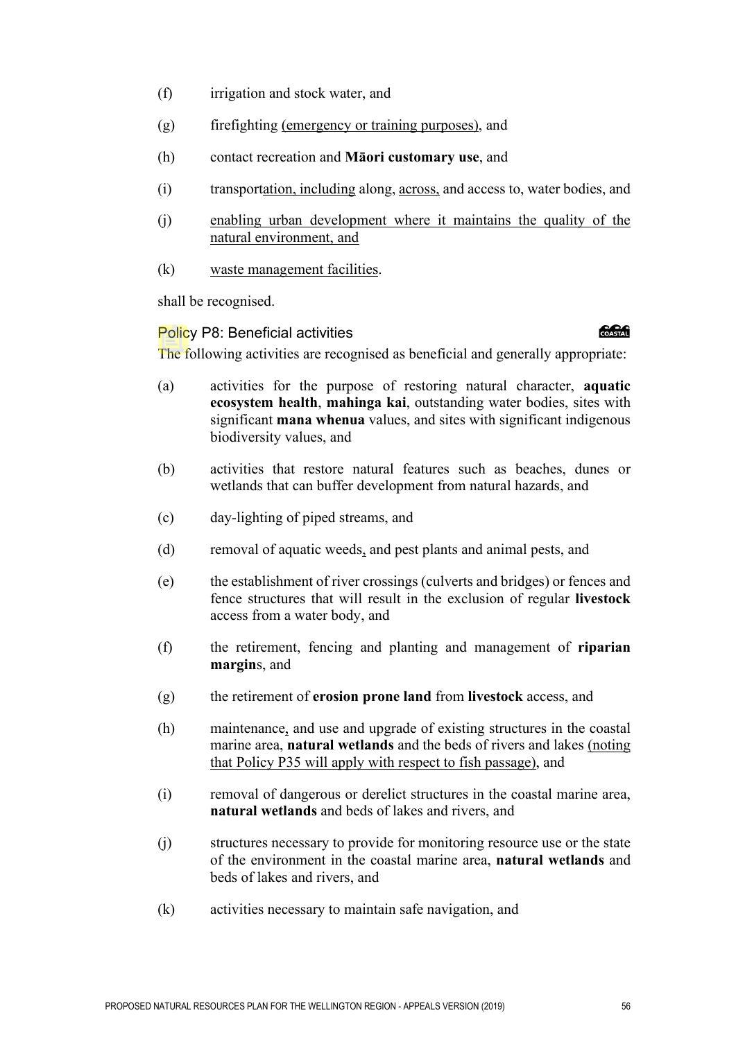- (f) irrigation and stock water, and
- (g) firefighting (emergency or training purposes), and
- (h) contact recreation and **Māori customary use**, and
- (i) transportation, including along, across, and access to, water bodies, and
- (j) enabling urban development where it maintains the quality of the natural environment, and
- (k) waste management facilities.

shall be recognised.

#### Policy P8: Beneficial activities

#### **Construction**

The following activities are recognised as beneficial and generally appropriate:

- (a) activities for the purpose of restoring natural character, **aquatic ecosystem health**, **mahinga kai**, outstanding water bodies, sites with significant **mana whenua** values, and sites with significant indigenous biodiversity values, and
- (b) activities that restore natural features such as beaches, dunes or wetlands that can buffer development from natural hazards, and
- (c) day-lighting of piped streams, and
- (d) removal of aquatic weeds, and pest plants and animal pests, and
- (e) the establishment of river crossings (culverts and bridges) or fences and fence structures that will result in the exclusion of regular **livestock** access from a water body, and
- (f) the retirement, fencing and planting and management of **riparian margin**s, and
- (g) the retirement of **erosion prone land** from **livestock** access, and
- (h) maintenance, and use and upgrade of existing structures in the coastal marine area, **natural wetlands** and the beds of rivers and lakes (noting that Policy P35 will apply with respect to fish passage), and
- (i) removal of dangerous or derelict structures in the coastal marine area, **natural wetlands** and beds of lakes and rivers, and
- (j) structures necessary to provide for monitoring resource use or the state of the environment in the coastal marine area, **natural wetlands** and beds of lakes and rivers, and
- (k) activities necessary to maintain safe navigation, and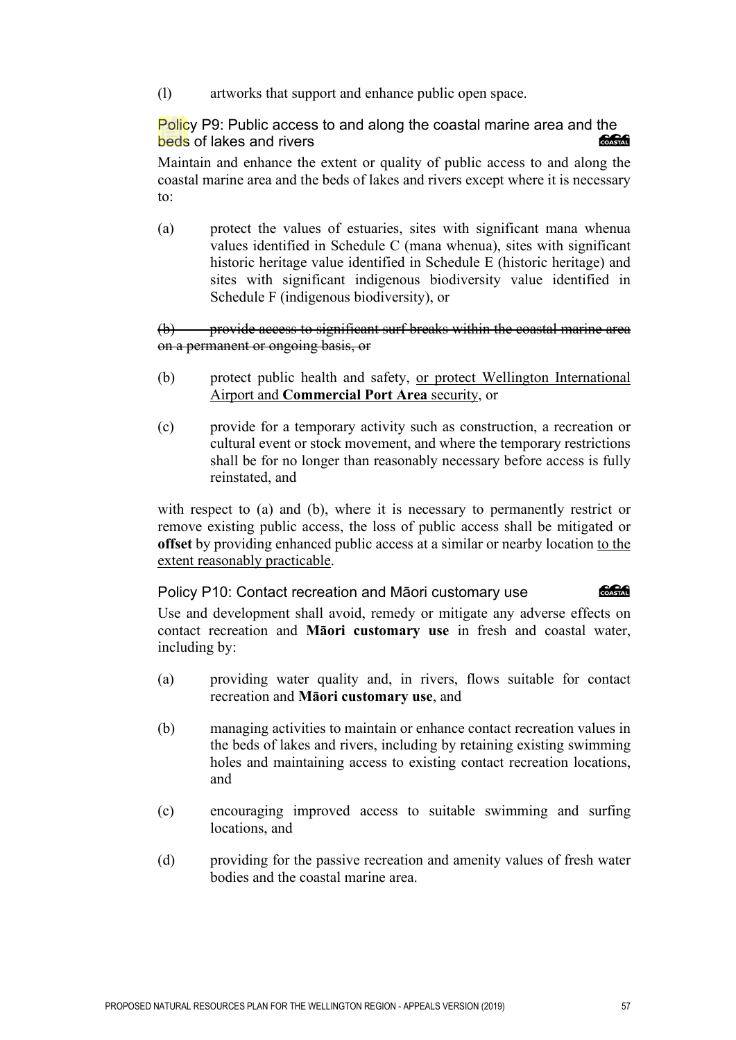(l) artworks that support and enhance public open space.

Policy P9: Public access to and along the coastal marine area and the<br>beds of lakes and rivers beds of lakes and rivers

Maintain and enhance the extent or quality of public access to and along the coastal marine area and the beds of lakes and rivers except where it is necessary to:

(a) protect the values of estuaries, sites with significant mana whenua values identified in Schedule C (mana whenua), sites with significant historic heritage value identified in Schedule E (historic heritage) and sites with significant indigenous biodiversity value identified in Schedule F (indigenous biodiversity), or

(b) provide access to significant surf breaks within the coastal marine area on a permanent or ongoing basis, or

- (b) protect public health and safety, or protect Wellington International Airport and **Commercial Port Area** security, or
- (c) provide for a temporary activity such as construction, a recreation or cultural event or stock movement, and where the temporary restrictions shall be for no longer than reasonably necessary before access is fully reinstated, and

with respect to (a) and (b), where it is necessary to permanently restrict or remove existing public access, the loss of public access shall be mitigated or **offset** by providing enhanced public access at a similar or nearby location to the extent reasonably practicable.

COASTAL Policy P10: Contact recreation and Māori customary use

Use and development shall avoid, remedy or mitigate any adverse effects on contact recreation and **Māori customary use** in fresh and coastal water, including by:

- (a) providing water quality and, in rivers, flows suitable for contact recreation and **Māori customary use**, and
- (b) managing activities to maintain or enhance contact recreation values in the beds of lakes and rivers, including by retaining existing swimming holes and maintaining access to existing contact recreation locations, and
- (c) encouraging improved access to suitable swimming and surfing locations, and
- (d) providing for the passive recreation and amenity values of fresh water bodies and the coastal marine area.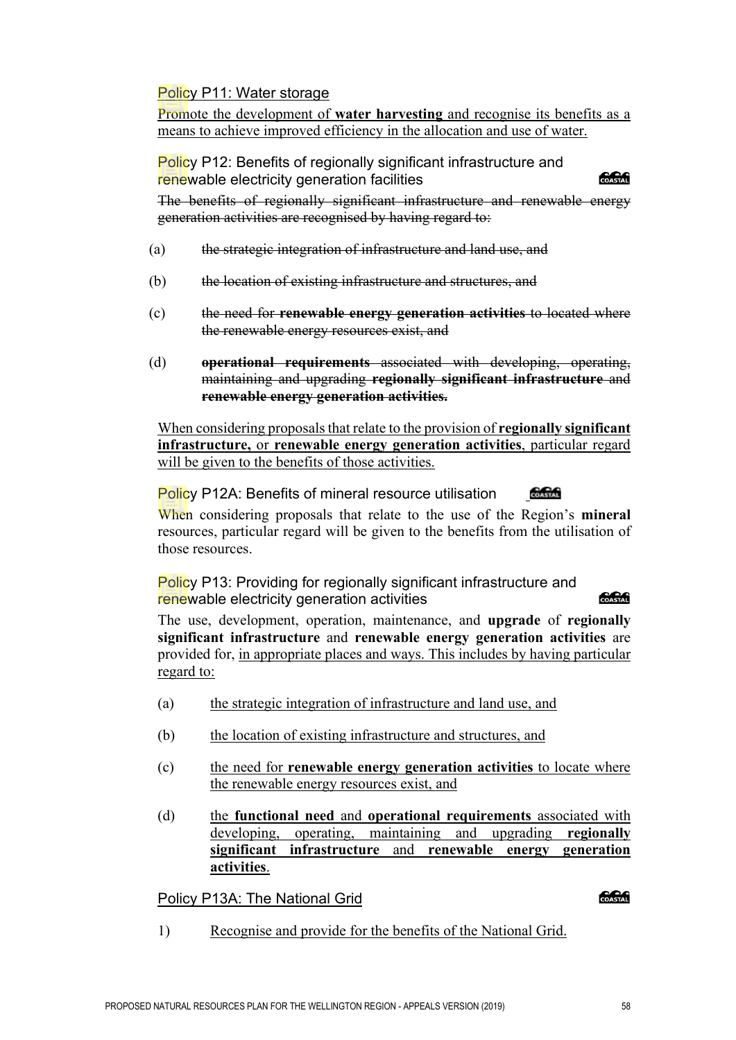# Policy P11: Water storage

Promote the development of **water harvesting** and recognise its benefits as a means to achieve improved efficiency in the allocation and use of water.

Policy P12: Benefits of regionally significant infrastructure and renewable electricity generation facilities

The benefits of regionally significant infrastructure and renewable energy generation activities are recognised by having regard to:

- (a) the strategic integration of infrastructure and land use, and
- (b) the location of existing infrastructure and structures, and
- (c) the need for **renewable energy generation activities** to located where the renewable energy resources exist, and
- (d) **operational requirements** associated with developing, operating, maintaining and upgrading **regionally significant infrastructure** and **renewable energy generation activities.**

When considering proposals that relate to the provision of **regionally significant infrastructure,** or **renewable energy generation activities**, particular regard will be given to the benefits of those activities.

Policy P12A: Benefits of mineral resource utilisation COASTAL When considering proposals that relate to the use of the Region's **mineral**

resources, particular regard will be given to the benefits from the utilisation of those resources.

Policy P13: Providing for regionally significant infrastructure and renewable electricity generation activities

The use, development, operation, maintenance, and **upgrade** of **regionally significant infrastructure** and **renewable energy generation activities** are provided for, in appropriate places and ways. This includes by having particular regard to:

- (a) the strategic integration of infrastructure and land use, and
- (b) the location of existing infrastructure and structures, and
- (c) the need for **renewable energy generation activities** to locate where the renewable energy resources exist, and
- (d) the **functional need** and **operational requirements** associated with developing, operating, maintaining and upgrading **regionally significant infrastructure** and **renewable energy generation activities**.

Policy P13A: The National Grid

#### COASTAL

SSSS

COASTAL

1) Recognise and provide for the benefits of the National Grid.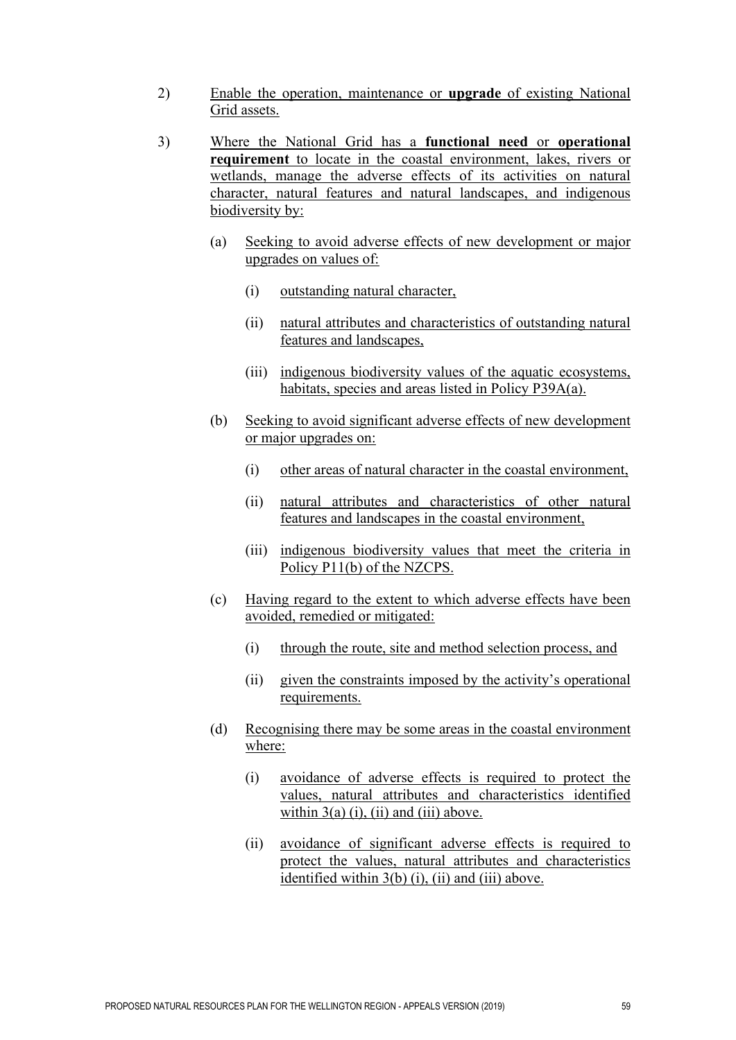- 2) Enable the operation, maintenance or **upgrade** of existing National Grid assets.
- 3) Where the National Grid has a **functional need** or **operational requirement** to locate in the coastal environment, lakes, rivers or wetlands, manage the adverse effects of its activities on natural character, natural features and natural landscapes, and indigenous biodiversity by:
	- (a) Seeking to avoid adverse effects of new development or major upgrades on values of:
		- (i) outstanding natural character,
		- (ii) natural attributes and characteristics of outstanding natural features and landscapes,
		- (iii) indigenous biodiversity values of the aquatic ecosystems, habitats, species and areas listed in Policy P39A(a).
	- (b) Seeking to avoid significant adverse effects of new development or major upgrades on:
		- (i) other areas of natural character in the coastal environment,
		- (ii) natural attributes and characteristics of other natural features and landscapes in the coastal environment,
		- (iii) indigenous biodiversity values that meet the criteria in Policy P11(b) of the NZCPS.
	- (c) Having regard to the extent to which adverse effects have been avoided, remedied or mitigated:
		- (i) through the route, site and method selection process, and
		- (ii) given the constraints imposed by the activity's operational requirements.
	- (d) Recognising there may be some areas in the coastal environment where:
		- (i) avoidance of adverse effects is required to protect the values, natural attributes and characteristics identified within  $3(a)$  (i), (ii) and (iii) above.
		- (ii) avoidance of significant adverse effects is required to protect the values, natural attributes and characteristics identified within 3(b) (i), (ii) and (iii) above.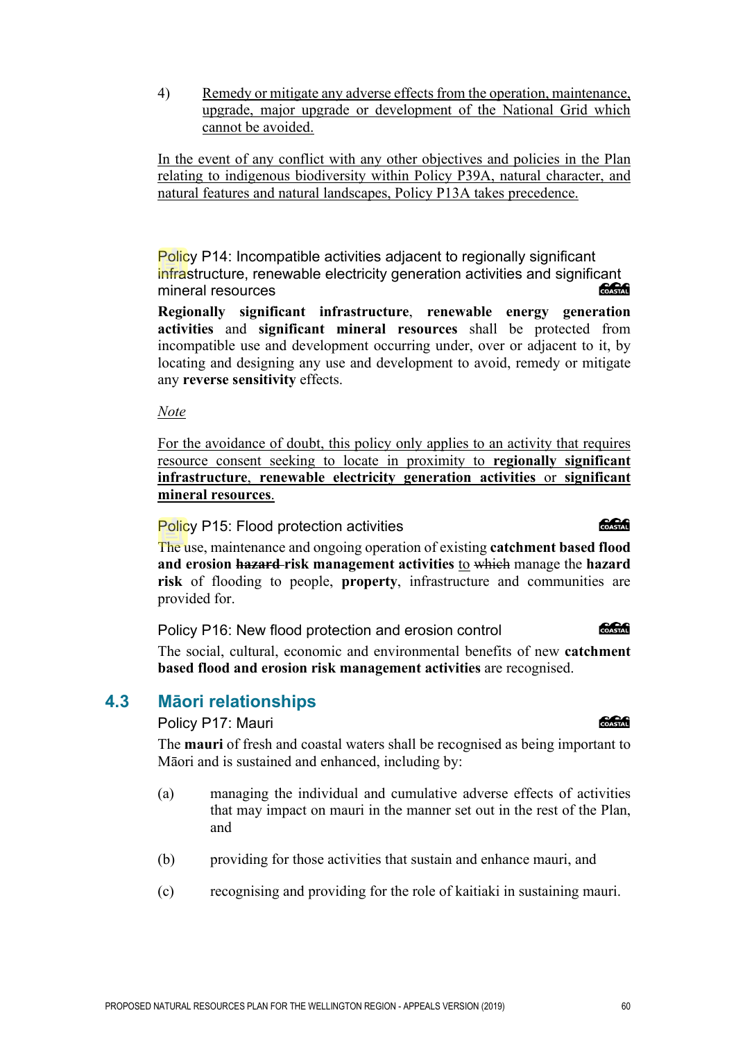4) Remedy or mitigate any adverse effects from the operation, maintenance, upgrade, major upgrade or development of the National Grid which cannot be avoided.

In the event of any conflict with any other objectives and policies in the Plan relating to indigenous biodiversity within Policy P39A, natural character, and natural features and natural landscapes, Policy P13A takes precedence.

Policy P14: Incompatible activities adjacent to regionally significant infrastructure, renewable electricity generation activities and significant mineral resources COASTAL

**Regionally significant infrastructure**, **renewable energy generation activities** and **significant mineral resources** shall be protected from incompatible use and development occurring under, over or adjacent to it, by locating and designing any use and development to avoid, remedy or mitigate any **reverse sensitivity** effects.

*Note* 

For the avoidance of doubt, this policy only applies to an activity that requires resource consent seeking to locate in proximity to **regionally significant infrastructure**, **renewable electricity generation activities** or **significant mineral resources**.

Policy P15: Flood protection activities

The use, maintenance and ongoing operation of existing **catchment based flood and erosion hazard risk management activities** to which manage the **hazard risk** of flooding to people, **property**, infrastructure and communities are provided for.

**COASTAR** Policy P16: New flood protection and erosion control

The social, cultural, economic and environmental benefits of new **catchment based flood and erosion risk management activities** are recognised.

# **4.3 Māori relationships**

Policy P17: Mauri

The **mauri** of fresh and coastal waters shall be recognised as being important to Māori and is sustained and enhanced, including by:

- (a) managing the individual and cumulative adverse effects of activities that may impact on mauri in the manner set out in the rest of the Plan, and
- (b) providing for those activities that sustain and enhance mauri, and
- (c) recognising and providing for the role of kaitiaki in sustaining mauri.

# COASTAL

# **Concrete**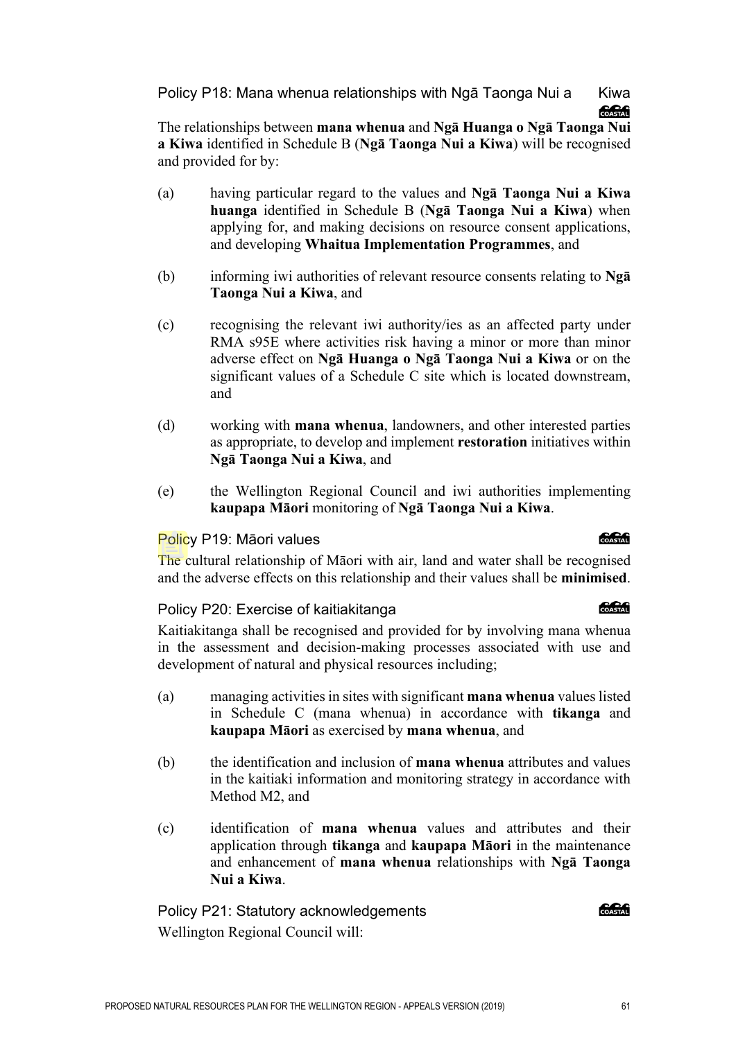Policy P18: Mana whenua relationships with Ngā Taonga Nui a Kiwa **Concept** 

The relationships between **mana whenua** and **Ngā Huanga o Ngā Taonga Nui a Kiwa** identified in Schedule B (**Ngā Taonga Nui a Kiwa**) will be recognised and provided for by:

- (a) having particular regard to the values and **Ngā Taonga Nui a Kiwa huanga** identified in Schedule B (**Ngā Taonga Nui a Kiwa**) when applying for, and making decisions on resource consent applications, and developing **Whaitua Implementation Programmes**, and
- (b) informing iwi authorities of relevant resource consents relating to **Ngā Taonga Nui a Kiwa**, and
- (c) recognising the relevant iwi authority/ies as an affected party under RMA s95E where activities risk having a minor or more than minor adverse effect on **Ngā Huanga o Ngā Taonga Nui a Kiwa** or on the significant values of a Schedule C site which is located downstream, and
- (d) working with **mana whenua**, landowners, and other interested parties as appropriate, to develop and implement **restoration** initiatives within **Ngā Taonga Nui a Kiwa**, and
- (e) the Wellington Regional Council and iwi authorities implementing **kaupapa Māori** monitoring of **Ngā Taonga Nui a Kiwa**.

## Policy P19: Māori values

The cultural relationship of Māori with air, land and water shall be recognised and the adverse effects on this relationship and their values shall be **minimised**.

## Policy P20: Exercise of kaitiakitanga

Kaitiakitanga shall be recognised and provided for by involving mana whenua in the assessment and decision-making processes associated with use and development of natural and physical resources including;

- (a) managing activities in sites with significant **mana whenua** values listed in Schedule C (mana whenua) in accordance with **tikanga** and **kaupapa Māori** as exercised by **mana whenua**, and
- (b) the identification and inclusion of **mana whenua** attributes and values in the kaitiaki information and monitoring strategy in accordance with Method M2, and
- (c) identification of **mana whenua** values and attributes and their application through **tikanga** and **kaupapa Māori** in the maintenance and enhancement of **mana whenua** relationships with **Ngā Taonga Nui a Kiwa**.

Policy P21: Statutory acknowledgements Wellington Regional Council will:

# க்கி

COASTAL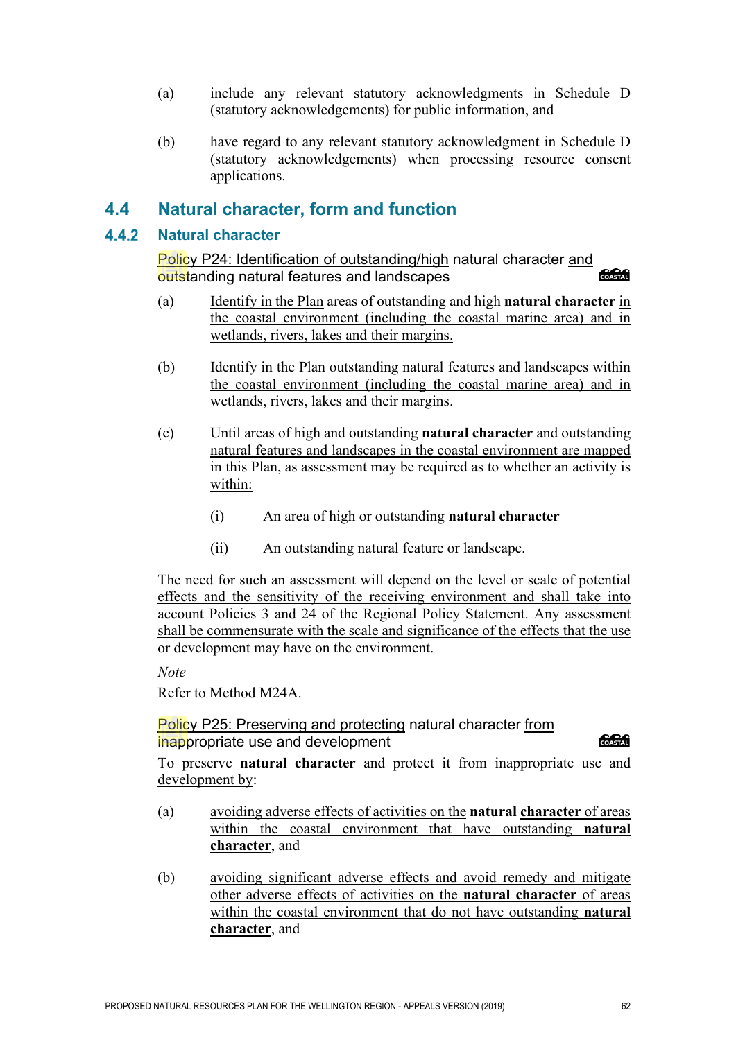- (a) include any relevant statutory acknowledgments in Schedule D (statutory acknowledgements) for public information, and
- (b) have regard to any relevant statutory acknowledgment in Schedule D (statutory acknowledgements) when processing resource consent applications.

# **4.4 Natural character, form and function**

### **Natural character**

Policy P24: Identification of outstanding/high natural character and outstanding natural features and landscapes

- (a) Identify in the Plan areas of outstanding and high **natural character** in the coastal environment (including the coastal marine area) and in wetlands, rivers, lakes and their margins.
- (b) Identify in the Plan outstanding natural features and landscapes within the coastal environment (including the coastal marine area) and in wetlands, rivers, lakes and their margins.
- (c) Until areas of high and outstanding **natural character** and outstanding natural features and landscapes in the coastal environment are mapped in this Plan, as assessment may be required as to whether an activity is within:
	- (i) An area of high or outstanding **natural character**
	- (ii) An outstanding natural feature or landscape.

The need for such an assessment will depend on the level or scale of potential effects and the sensitivity of the receiving environment and shall take into account Policies 3 and 24 of the Regional Policy Statement. Any assessment shall be commensurate with the scale and significance of the effects that the use or development may have on the environment.

*Note* 

Refer to Method M24A.

### Policy P25: Preserving and protecting natural character from inappropriate use and development

**CACA** 

To preserve **natural character** and protect it from inappropriate use and development by:

- (a) avoiding adverse effects of activities on the **natural character** of areas within the coastal environment that have outstanding **natural character**, and
- (b) avoiding significant adverse effects and avoid remedy and mitigate other adverse effects of activities on the **natural character** of areas within the coastal environment that do not have outstanding **natural character**, and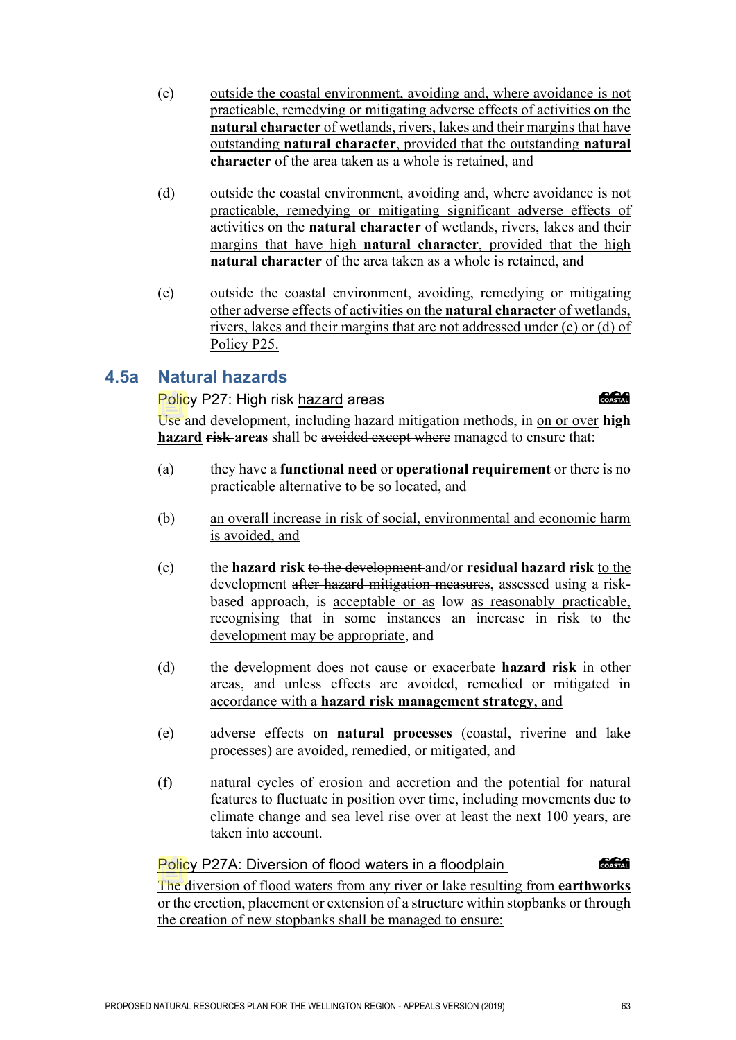- (c) outside the coastal environment, avoiding and, where avoidance is not practicable, remedying or mitigating adverse effects of activities on the **natural character** of wetlands, rivers, lakes and their margins that have outstanding **natural character**, provided that the outstanding **natural character** of the area taken as a whole is retained, and
- (d) outside the coastal environment, avoiding and, where avoidance is not practicable, remedying or mitigating significant adverse effects of activities on the **natural character** of wetlands, rivers, lakes and their margins that have high **natural character**, provided that the high **natural character** of the area taken as a whole is retained, and
- (e) outside the coastal environment, avoiding, remedying or mitigating other adverse effects of activities on the **natural character** of wetlands, rivers, lakes and their margins that are not addressed under (c) or (d) of Policy P25.

# **4.5a Natural hazards**

### Policy P27: High risk-hazard areas

Use and development, including hazard mitigation methods, in on or over **high hazard risk areas** shall be avoided except where managed to ensure that:

- (a) they have a **functional need** or **operational requirement** or there is no practicable alternative to be so located, and
- (b) an overall increase in risk of social, environmental and economic harm is avoided, and
- (c) the **hazard risk** to the development and/or **residual hazard risk** to the development after hazard mitigation measures, assessed using a riskbased approach, is acceptable or as low as reasonably practicable, recognising that in some instances an increase in risk to the development may be appropriate, and
- (d) the development does not cause or exacerbate **hazard risk** in other areas, and unless effects are avoided, remedied or mitigated in accordance with a **hazard risk management strategy**, and
- (e) adverse effects on **natural processes** (coastal, riverine and lake processes) are avoided, remedied, or mitigated, and
- (f) natural cycles of erosion and accretion and the potential for natural features to fluctuate in position over time, including movements due to climate change and sea level rise over at least the next 100 years, are taken into account.

### Policy P27A: Diversion of flood waters in a floodplain

The diversion of flood waters from any river or lake resulting from **earthworks** or the erection, placement or extension of a structure within stopbanks or through the creation of new stopbanks shall be managed to ensure:

COASTAL

**CACAG**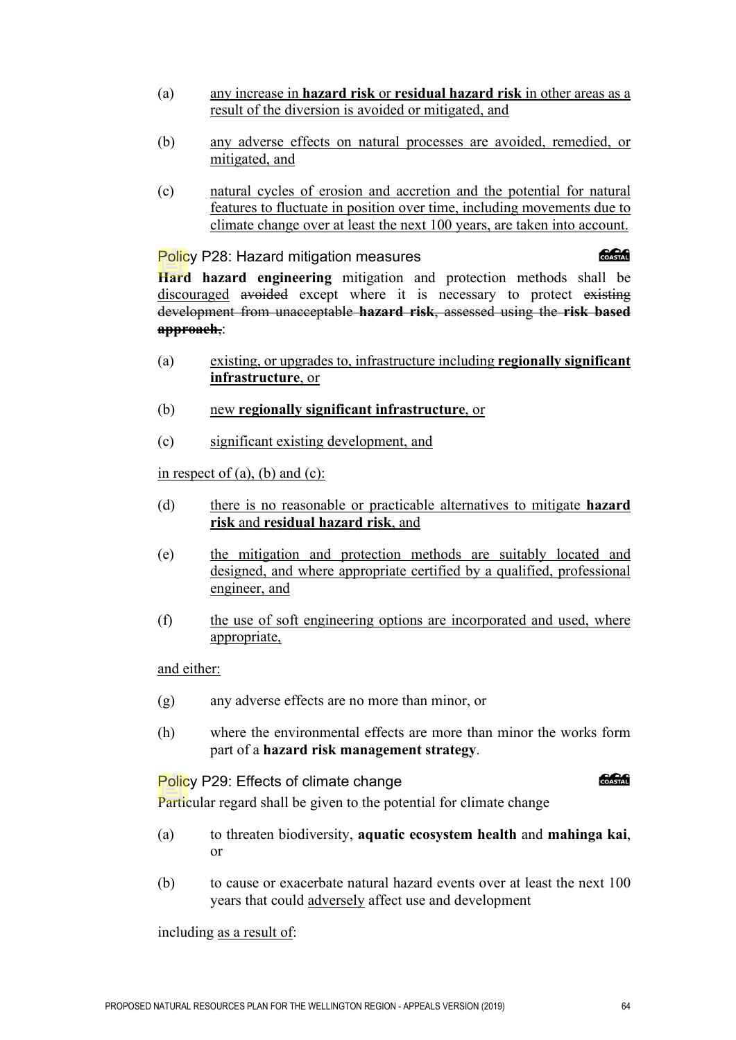- (a) any increase in **hazard risk** or **residual hazard risk** in other areas as a result of the diversion is avoided or mitigated, and
- (b) any adverse effects on natural processes are avoided, remedied, or mitigated, and
- (c) natural cycles of erosion and accretion and the potential for natural features to fluctuate in position over time, including movements due to climate change over at least the next 100 years, are taken into account.

Policy P28: Hazard mitigation measures

#### *<u> 2000 - 2000 - 2000 - 2000 - 2000 - 2000 - 2000 - 2000 - 2000 - 2000 - 2000 - 2000 - 2000 - 2000 - 2000 - 2000 - 2000 - 2000 - 2000 - 2000 - 2000 - 2000 - 2000 - 2000 - 2000 - 2000 - 2000 - 2000 - 2000 - 2000 - 2000 - 2*</u>

**Hard hazard engineering** mitigation and protection methods shall be discouraged avoided except where it is necessary to protect existing development from unacceptable **hazard risk**, assessed using the **risk based approach**,:

- (a) existing, or upgrades to, infrastructure including **regionally significant infrastructure**, or
- (b) new **regionally significant infrastructure**, or
- (c) significant existing development, and

#### in respect of  $(a)$ ,  $(b)$  and  $(c)$ :

- (d) there is no reasonable or practicable alternatives to mitigate **hazard risk** and **residual hazard risk**, and
- (e) the mitigation and protection methods are suitably located and designed, and where appropriate certified by a qualified, professional engineer, and
- (f) the use of soft engineering options are incorporated and used, where appropriate,

#### and either:

- (g) any adverse effects are no more than minor, or
- (h) where the environmental effects are more than minor the works form part of a **hazard risk management strategy**.

#### Policy P29: Effects of climate change

COASTAL

Particular regard shall be given to the potential for climate change

- (a) to threaten biodiversity, **aquatic ecosystem health** and **mahinga kai**, or
- (b) to cause or exacerbate natural hazard events over at least the next 100 years that could adversely affect use and development

including as a result of: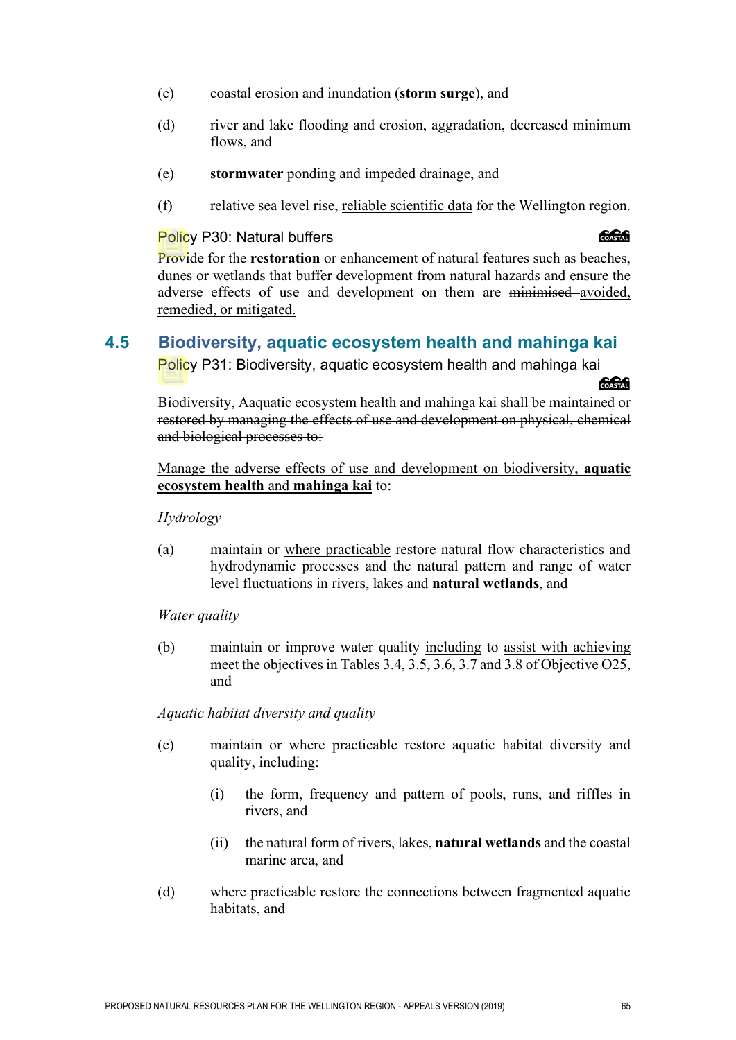- (c) coastal erosion and inundation (**storm surge**), and
- (d) river and lake flooding and erosion, aggradation, decreased minimum flows, and
- (e) **stormwater** ponding and impeded drainage, and
- (f) relative sea level rise, reliable scientific data for the Wellington region.

#### Policy P30: Natural buffers

#### **CACAG**

Provide for the **restoration** or enhancement of natural features such as beaches, dunes or wetlands that buffer development from natural hazards and ensure the adverse effects of use and development on them are minimised avoided, remedied, or mitigated.

# **4.5 Biodiversity, aquatic ecosystem health and mahinga kai**

Policy P31: Biodiversity, aquatic ecosystem health and mahinga kai

COASTAL

Biodiversity, Aaquatic ecosystem health and mahinga kai shall be maintained or restored by managing the effects of use and development on physical, chemical and biological processes to:

Manage the adverse effects of use and development on biodiversity, **aquatic ecosystem health** and **mahinga kai** to:

*Hydrology*

(a) maintain or where practicable restore natural flow characteristics and hydrodynamic processes and the natural pattern and range of water level fluctuations in rivers, lakes and **natural wetlands**, and

*Water quality* 

(b) maintain or improve water quality including to assist with achieving meet the objectives in Tables 3.4, 3.5, 3.6, 3.7 and 3.8 of Objective O25, and

*Aquatic habitat diversity and quality* 

- (c) maintain or where practicable restore aquatic habitat diversity and quality, including:
	- (i) the form, frequency and pattern of pools, runs, and riffles in rivers, and
	- (ii) the natural form of rivers, lakes, **natural wetlands** and the coastal marine area, and
- (d) where practicable restore the connections between fragmented aquatic habitats, and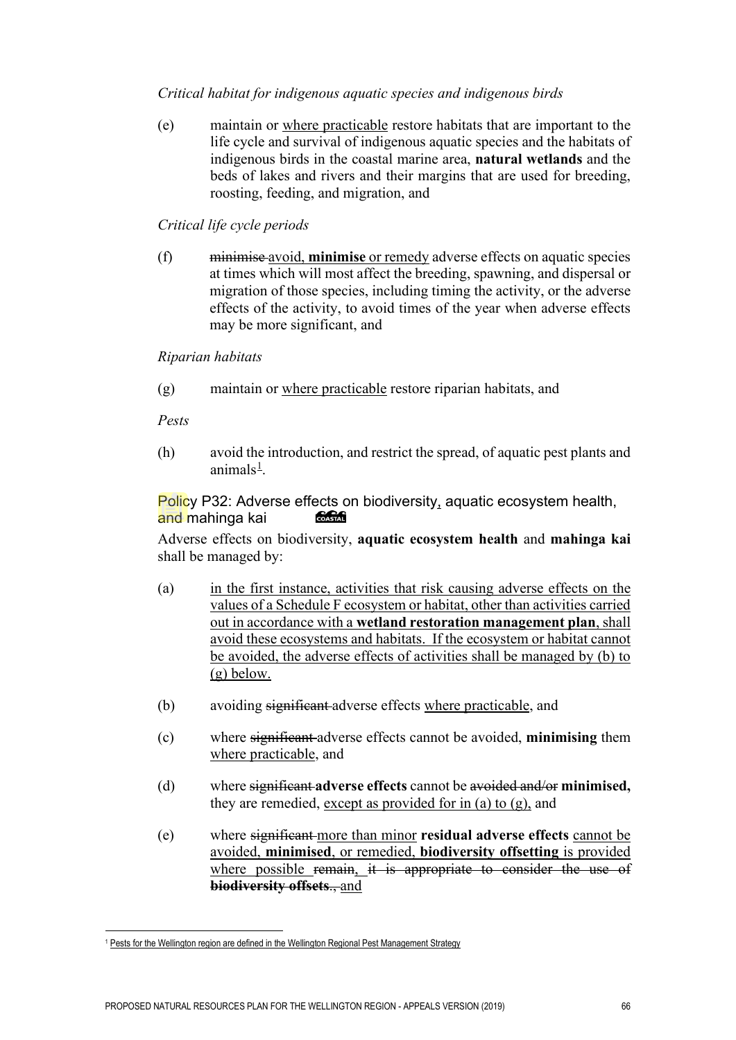#### *Critical habitat for indigenous aquatic species and indigenous birds*

(e) maintain or where practicable restore habitats that are important to the life cycle and survival of indigenous aquatic species and the habitats of indigenous birds in the coastal marine area, **natural wetlands** and the beds of lakes and rivers and their margins that are used for breeding, roosting, feeding, and migration, and

#### *Critical life cycle periods*

(f) minimise avoid, **minimise** or remedy adverse effects on aquatic species at times which will most affect the breeding, spawning, and dispersal or migration of those species, including timing the activity, or the adverse effects of the activity, to avoid times of the year when adverse effects may be more significant, and

*Riparian habitats* 

(g) maintain or where practicable restore riparian habitats, and

*Pests* 

(h) avoid the introduction, and restrict the spread, of aquatic pest plants and animals<sup>[1](#page-12-0)</sup>.

#### Policy P32: Adverse effects on biodiversity, aquatic ecosystem health, and mahinga kai COASTAL

Adverse effects on biodiversity, **aquatic ecosystem health** and **mahinga kai** shall be managed by:

- (a) in the first instance, activities that risk causing adverse effects on the values of a Schedule F ecosystem or habitat, other than activities carried out in accordance with a **wetland restoration management plan**, shall avoid these ecosystems and habitats. If the ecosystem or habitat cannot be avoided, the adverse effects of activities shall be managed by (b) to (g) below.
- (b) avoiding significant adverse effects where practicable, and
- (c) where significant adverse effects cannot be avoided, **minimising** them where practicable, and
- (d) where significant **adverse effects** cannot be avoided and/or **minimised,** they are remedied, except as provided for in (a) to (g), and
- (e) where significant more than minor **residual adverse effects** cannot be avoided, **minimised**, or remedied, **biodiversity offsetting** is provided where possible remain, it is appropriate to consider the use of **biodiversity offsets**., and

<span id="page-12-0"></span><sup>&</sup>lt;sup>1</sup> Pests for the Wellington region are defined in the Wellington Regional Pest Management Strategy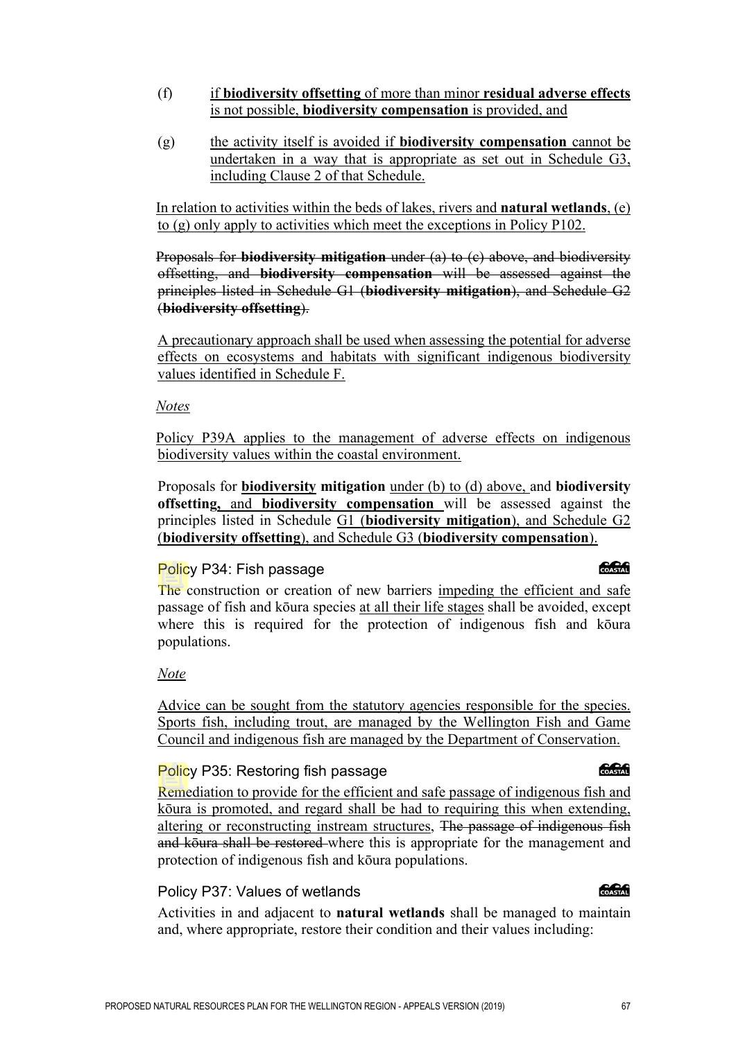#### (f) if **biodiversity offsetting** of more than minor **residual adverse effects** is not possible, **biodiversity compensation** is provided, and

(g) the activity itself is avoided if **biodiversity compensation** cannot be undertaken in a way that is appropriate as set out in Schedule G3, including Clause 2 of that Schedule.

In relation to activities within the beds of lakes, rivers and **natural wetlands**, (e) to (g) only apply to activities which meet the exceptions in Policy P102.

Proposals for **biodiversity mitigation** under (a) to (c) above, and biodiversity offsetting, and **biodiversity compensation** will be assessed against the principles listed in Schedule G1 (**biodiversity mitigation**), and Schedule G2 (**biodiversity offsetting**).

A precautionary approach shall be used when assessing the potential for adverse effects on ecosystems and habitats with significant indigenous biodiversity values identified in Schedule F.

#### *Notes*

Policy P39A applies to the management of adverse effects on indigenous biodiversity values within the coastal environment.

Proposals for **biodiversity mitigation** under (b) to (d) above, and **biodiversity offsetting,** and **biodiversity compensation** will be assessed against the principles listed in Schedule G1 (**biodiversity mitigation**), and Schedule G2 (**biodiversity offsetting**), and Schedule G3 (**biodiversity compensation**).

#### Policy P34: Fish passage

The construction or creation of new barriers impeding the efficient and safe passage of fish and kōura species at all their life stages shall be avoided, except where this is required for the protection of indigenous fish and kōura populations.

#### *Note*

Advice can be sought from the statutory agencies responsible for the species. Sports fish, including trout, are managed by the Wellington Fish and Game Council and indigenous fish are managed by the Department of Conservation.

### Policy P35: Restoring fish passage

Remediation to provide for the efficient and safe passage of indigenous fish and kōura is promoted, and regard shall be had to requiring this when extending, altering or reconstructing instream structures, The passage of indigenous fish and koura shall be restored where this is appropriate for the management and protection of indigenous fish and kōura populations.

### Policy P37: Values of wetlands

Activities in and adjacent to **natural wetlands** shall be managed to maintain and, where appropriate, restore their condition and their values including:

#### க்கி

#### COASTAL

க்கி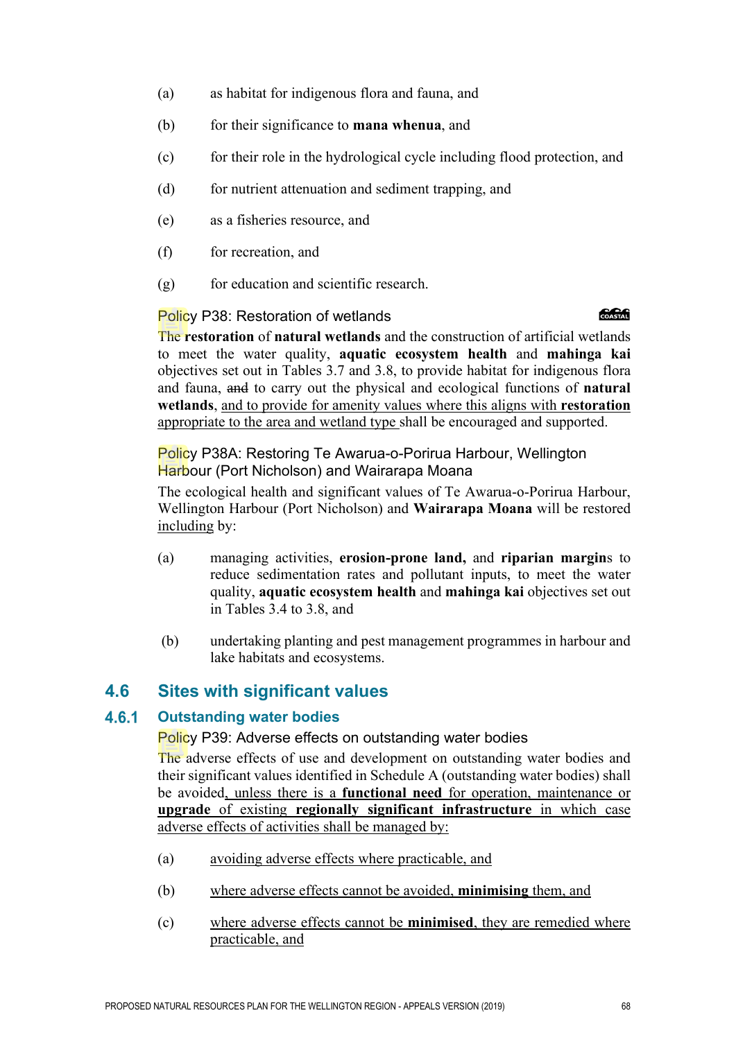- (a) as habitat for indigenous flora and fauna, and
- (b) for their significance to **mana whenua**, and
- (c) for their role in the hydrological cycle including flood protection, and
- (d) for nutrient attenuation and sediment trapping, and
- (e) as a fisheries resource, and
- (f) for recreation, and
- (g) for education and scientific research.

#### Policy P38: Restoration of wetlands

#### **CACAG**

The **restoration** of **natural wetlands** and the construction of artificial wetlands to meet the water quality, **aquatic ecosystem health** and **mahinga kai** objectives set out in Tables 3.7 and 3.8, to provide habitat for indigenous flora and fauna, and to carry out the physical and ecological functions of **natural wetlands**, and to provide for amenity values where this aligns with **restoration** appropriate to the area and wetland type shall be encouraged and supported.

Policy P38A: Restoring Te Awarua-o-Porirua Harbour, Wellington Harbour (Port Nicholson) and Wairarapa Moana

The ecological health and significant values of Te Awarua-o-Porirua Harbour, Wellington Harbour (Port Nicholson) and **Wairarapa Moana** will be restored including by:

- (a) managing activities, **erosion-prone land,** and **riparian margin**s to reduce sedimentation rates and pollutant inputs, to meet the water quality, **aquatic ecosystem health** and **mahinga kai** objectives set out in Tables 3.4 to 3.8, and
- (b) undertaking planting and pest management programmes in harbour and lake habitats and ecosystems.

# **4.6 Sites with significant values**

#### 4.6.1 **Outstanding water bodies**

#### Policy P39: Adverse effects on outstanding water bodies

The adverse effects of use and development on outstanding water bodies and their significant values identified in Schedule A (outstanding water bodies) shall be avoided, unless there is a **functional need** for operation, maintenance or **upgrade** of existing **regionally significant infrastructure** in which case adverse effects of activities shall be managed by:

- (a) avoiding adverse effects where practicable, and
- (b) where adverse effects cannot be avoided, **minimising** them, and
- (c) where adverse effects cannot be **minimised**, they are remedied where practicable, and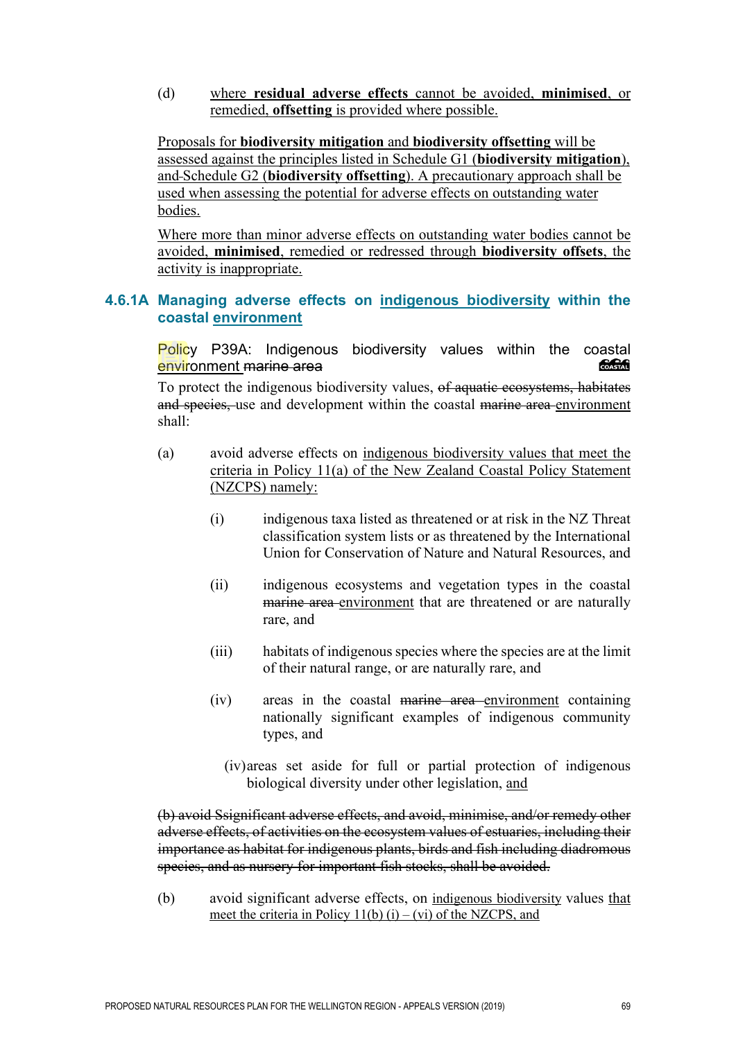(d) where **residual adverse effects** cannot be avoided, **minimised**, or remedied, **offsetting** is provided where possible.

Proposals for **biodiversity mitigation** and **biodiversity offsetting** will be assessed against the principles listed in Schedule G1 (**biodiversity mitigation**), and Schedule G2 (**biodiversity offsetting**). A precautionary approach shall be used when assessing the potential for adverse effects on outstanding water bodies.

Where more than minor adverse effects on outstanding water bodies cannot be avoided, **minimised**, remedied or redressed through **biodiversity offsets**, the activity is inappropriate.

#### **4.6.1A Managing adverse effects on indigenous biodiversity within the coastal environment**

Policy P39A: Indigenous biodiversity values within the coastal<br>environment marine area environment marine area

To protect the indigenous biodiversity values, of aquatic ecosystems, habitates and species, use and development within the coastal marine area environment shall:

- (a) avoid adverse effects on indigenous biodiversity values that meet the criteria in Policy 11(a) of the New Zealand Coastal Policy Statement (NZCPS) namely:
	- (i) indigenous taxa listed as threatened or at risk in the NZ Threat classification system lists or as threatened by the International Union for Conservation of Nature and Natural Resources, and
	- (ii) indigenous ecosystems and vegetation types in the coastal marine area environment that are threatened or are naturally rare, and
	- (iii) habitats of indigenous species where the species are at the limit of their natural range, or are naturally rare, and
	- (iv) areas in the coastal marine area environment containing nationally significant examples of indigenous community types, and
		- (iv)areas set aside for full or partial protection of indigenous biological diversity under other legislation, and

(b) avoid Ssignificant adverse effects, and avoid, minimise, and/or remedy other adverse effects, of activities on the ecosystem values of estuaries, including their importance as habitat for indigenous plants, birds and fish including diadromous species, and as nursery for important fish stocks, shall be avoided.

(b) avoid significant adverse effects, on indigenous biodiversity values that meet the criteria in Policy  $11(b)$  (i) – (vi) of the NZCPS, and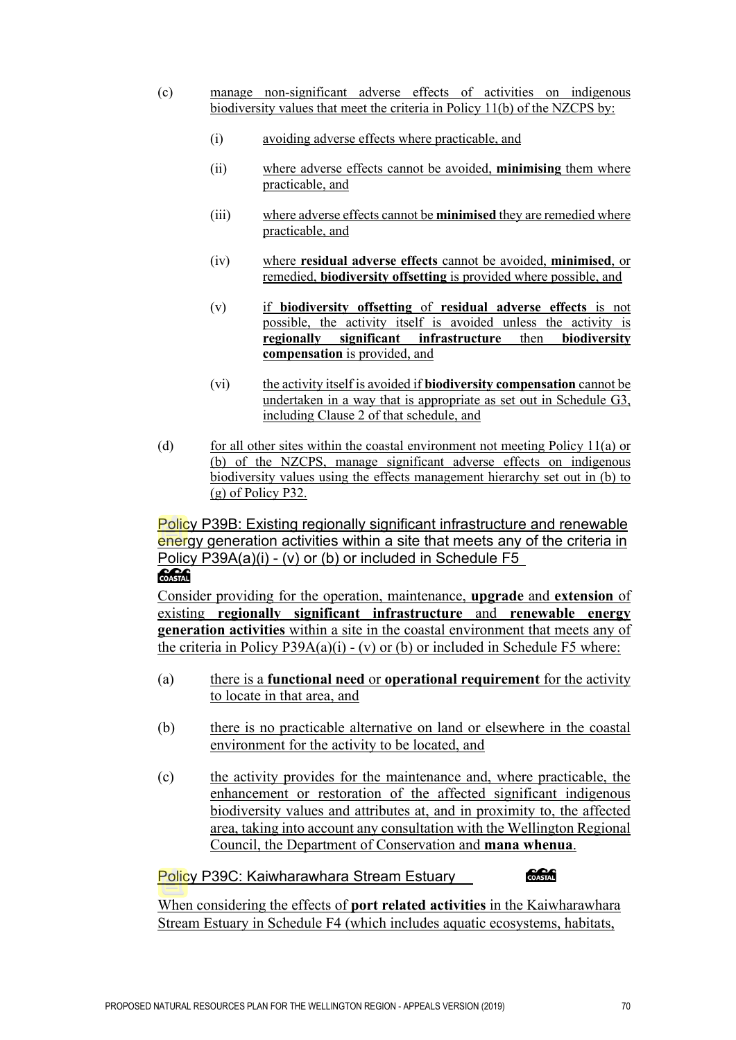- (c) manage non-significant adverse effects of activities on indigenous biodiversity values that meet the criteria in Policy 11(b) of the NZCPS by:
	- (i) avoiding adverse effects where practicable, and
	- (ii) where adverse effects cannot be avoided, **minimising** them where practicable, and
	- (iii) where adverse effects cannot be **minimised** they are remedied where practicable, and
	- (iv) where **residual adverse effects** cannot be avoided, **minimised**, or remedied, **biodiversity offsetting** is provided where possible, and
	- (v) if **biodiversity offsetting** of **residual adverse effects** is not possible, the activity itself is avoided unless the activity is **regionally significant infrastructure** then **biodiversity compensation** is provided, and
	- (vi) the activity itself is avoided if **biodiversity compensation** cannot be undertaken in a way that is appropriate as set out in Schedule G3, including Clause 2 of that schedule, and
- (d) for all other sites within the coastal environment not meeting Policy  $11(a)$  or (b) of the NZCPS, manage significant adverse effects on indigenous biodiversity values using the effects management hierarchy set out in (b) to (g) of Policy P32.

Policy P39B: Existing regionally significant infrastructure and renewable energy generation activities within a site that meets any of the criteria in Policy P39A(a)(i) - (v) or (b) or included in Schedule F5

## **COASTAL**

Consider providing for the operation, maintenance, **upgrade** and **extension** of existing **regionally significant infrastructure** and **renewable energy generation activities** within a site in the coastal environment that meets any of the criteria in Policy P39A(a)(i) - (v) or (b) or included in Schedule F5 where:

- (a) there is a **functional need** or **operational requirement** for the activity to locate in that area, and
- (b) there is no practicable alternative on land or elsewhere in the coastal environment for the activity to be located, and
- (c) the activity provides for the maintenance and, where practicable, the enhancement or restoration of the affected significant indigenous biodiversity values and attributes at, and in proximity to, the affected area, taking into account any consultation with the Wellington Regional Council, the Department of Conservation and **mana whenua**.

#### Policy P39C: Kaiwharawhara Stream Estuary

**Construction** 

When considering the effects of **port related activities** in the Kaiwharawhara Stream Estuary in Schedule F4 (which includes aquatic ecosystems, habitats,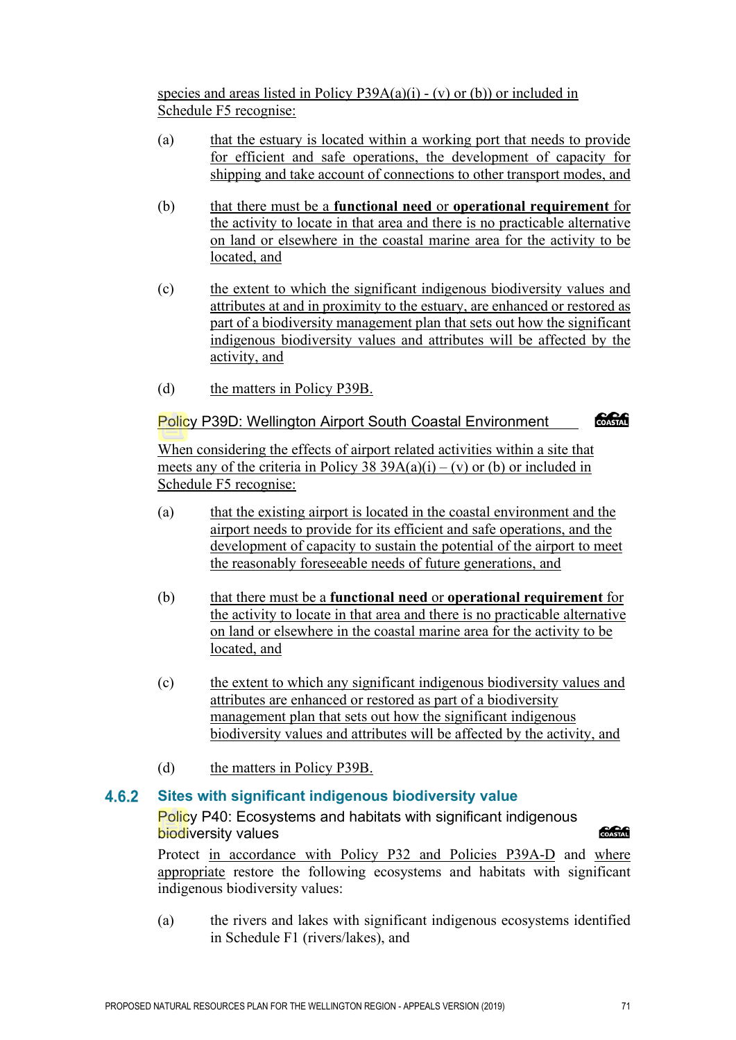species and areas listed in Policy P39A(a)(i) - (v) or (b)) or included in Schedule F5 recognise:

- (a) that the estuary is located within a working port that needs to provide for efficient and safe operations, the development of capacity for shipping and take account of connections to other transport modes, and
- (b) that there must be a **functional need** or **operational requirement** for the activity to locate in that area and there is no practicable alternative on land or elsewhere in the coastal marine area for the activity to be located, and
- (c) the extent to which the significant indigenous biodiversity values and attributes at and in proximity to the estuary, are enhanced or restored as part of a biodiversity management plan that sets out how the significant indigenous biodiversity values and attributes will be affected by the activity, and
- (d) the matters in Policy P39B.

### Policy P39D: Wellington Airport South Coastal Environment

COASTAL

When considering the effects of airport related activities within a site that meets any of the criteria in Policy  $\overline{38}$  39A(a)(i) – (v) or (b) or included in Schedule F5 recognise:

- (a) that the existing airport is located in the coastal environment and the airport needs to provide for its efficient and safe operations, and the development of capacity to sustain the potential of the airport to meet the reasonably foreseeable needs of future generations, and
- (b) that there must be a **functional need** or **operational requirement** for the activity to locate in that area and there is no practicable alternative on land or elsewhere in the coastal marine area for the activity to be located, and
- (c) the extent to which any significant indigenous biodiversity values and attributes are enhanced or restored as part of a biodiversity management plan that sets out how the significant indigenous biodiversity values and attributes will be affected by the activity, and
- (d) the matters in Policy P39B.

#### 4.6.2 **Sites with significant indigenous biodiversity value**

Policy P40: Ecosystems and habitats with significant indigenous biodiversity values

**Concrete** 

Protect in accordance with Policy P32 and Policies P39A-D and where appropriate restore the following ecosystems and habitats with significant indigenous biodiversity values:

(a) the rivers and lakes with significant indigenous ecosystems identified in Schedule F1 (rivers/lakes), and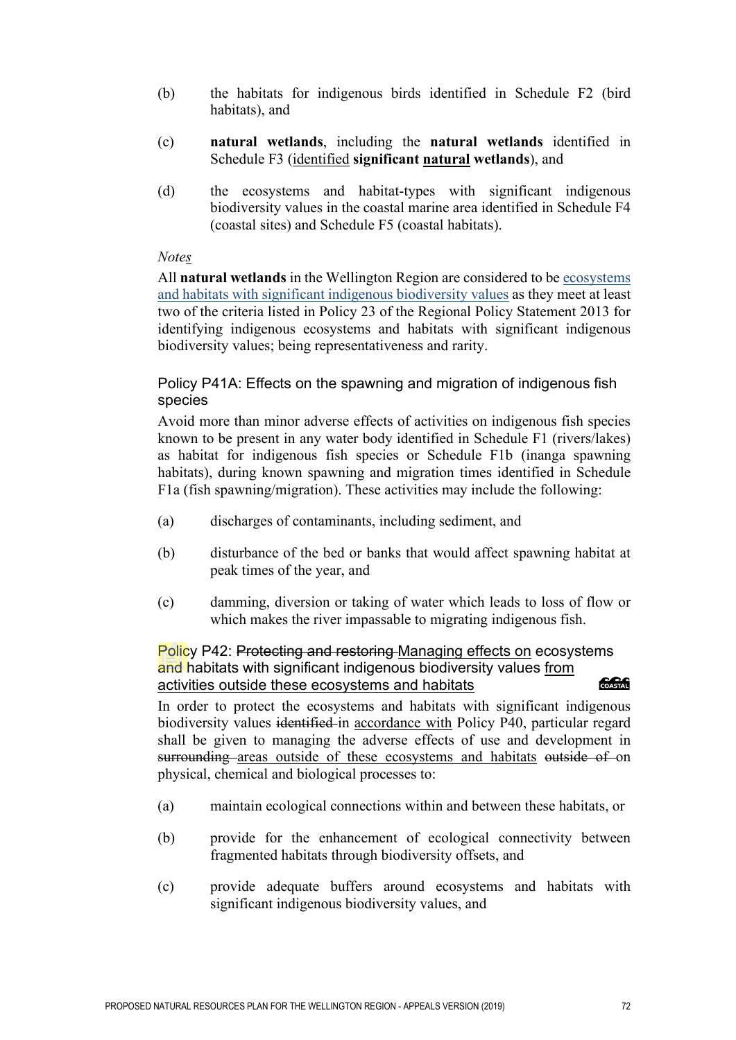- (b) the habitats for indigenous birds identified in Schedule F2 (bird habitats), and
- (c) **natural wetlands**, including the **natural wetlands** identified in Schedule F3 (identified **significant natural wetlands**), and
- (d) the ecosystems and habitat-types with significant indigenous biodiversity values in the coastal marine area identified in Schedule F4 (coastal sites) and Schedule F5 (coastal habitats).

#### *Notes*

All **natural wetlands** in the Wellington Region are considered to be ecosystems and habitats with significant indigenous biodiversity values as they meet at least two of the criteria listed in Policy 23 of the Regional Policy Statement 2013 for identifying indigenous ecosystems and habitats with significant indigenous biodiversity values; being representativeness and rarity.

### Policy P41A: Effects on the spawning and migration of indigenous fish species

Avoid more than minor adverse effects of activities on indigenous fish species known to be present in any water body identified in Schedule F1 (rivers/lakes) as habitat for indigenous fish species or Schedule F1b (inanga spawning habitats), during known spawning and migration times identified in Schedule F1a (fish spawning/migration). These activities may include the following:

- (a) discharges of contaminants, including sediment, and
- (b) disturbance of the bed or banks that would affect spawning habitat at peak times of the year, and
- (c) damming, diversion or taking of water which leads to loss of flow or which makes the river impassable to migrating indigenous fish.

#### Policy P42: Protecting and restoring Managing effects on ecosystems and habitats with significant indigenous biodiversity values from activities outside these ecosystems and habitats COASTAL

In order to protect the ecosystems and habitats with significant indigenous biodiversity values identified in accordance with Policy P40, particular regard shall be given to managing the adverse effects of use and development in surrounding areas outside of these ecosystems and habitats outside of on physical, chemical and biological processes to:

- (a) maintain ecological connections within and between these habitats, or
- (b) provide for the enhancement of ecological connectivity between fragmented habitats through biodiversity offsets, and
- (c) provide adequate buffers around ecosystems and habitats with significant indigenous biodiversity values, and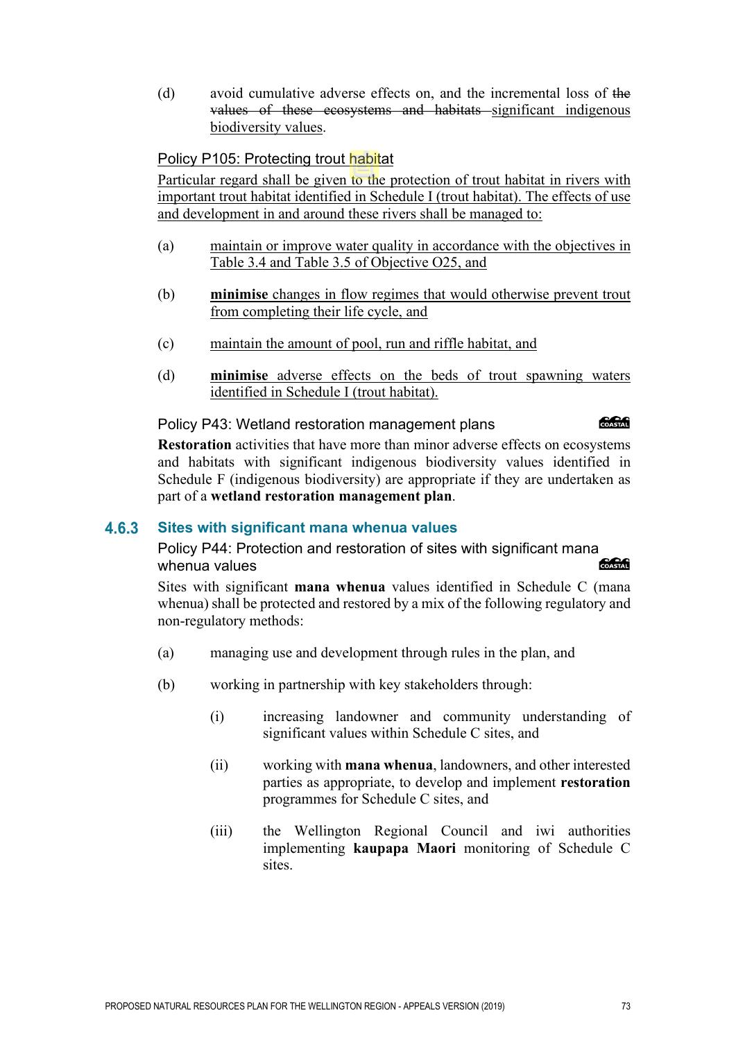(d) avoid cumulative adverse effects on, and the incremental loss of the values of these ecosystems and habitats significant indigenous biodiversity values.

### Policy P105: Protecting trout habitat

Particular regard shall be given to the protection of trout habitat in rivers with important trout habitat identified in Schedule I (trout habitat). The effects of use and development in and around these rivers shall be managed to:

- (a) maintain or improve water quality in accordance with the objectives in Table 3.4 and Table 3.5 of Objective O25, and
- (b) **minimise** changes in flow regimes that would otherwise prevent trout from completing their life cycle, and
- (c) maintain the amount of pool, run and riffle habitat, and
- (d) **minimise** adverse effects on the beds of trout spawning waters identified in Schedule I (trout habitat).

Policy P43: Wetland restoration management plans

COASTAL

**Restoration** activities that have more than minor adverse effects on ecosystems and habitats with significant indigenous biodiversity values identified in Schedule F (indigenous biodiversity) are appropriate if they are undertaken as part of a **wetland restoration management plan**.

#### 4.6.3 **Sites with significant mana whenua values**

Policy P44: Protection and restoration of sites with significant mana whenua values **Concrete** 

Sites with significant **mana whenua** values identified in Schedule C (mana whenua) shall be protected and restored by a mix of the following regulatory and non-regulatory methods:

- (a) managing use and development through rules in the plan, and
- (b) working in partnership with key stakeholders through:
	- (i) increasing landowner and community understanding of significant values within Schedule C sites, and
	- (ii) working with **mana whenua**, landowners, and other interested parties as appropriate, to develop and implement **restoration** programmes for Schedule C sites, and
	- (iii) the Wellington Regional Council and iwi authorities implementing **kaupapa Maori** monitoring of Schedule C sites.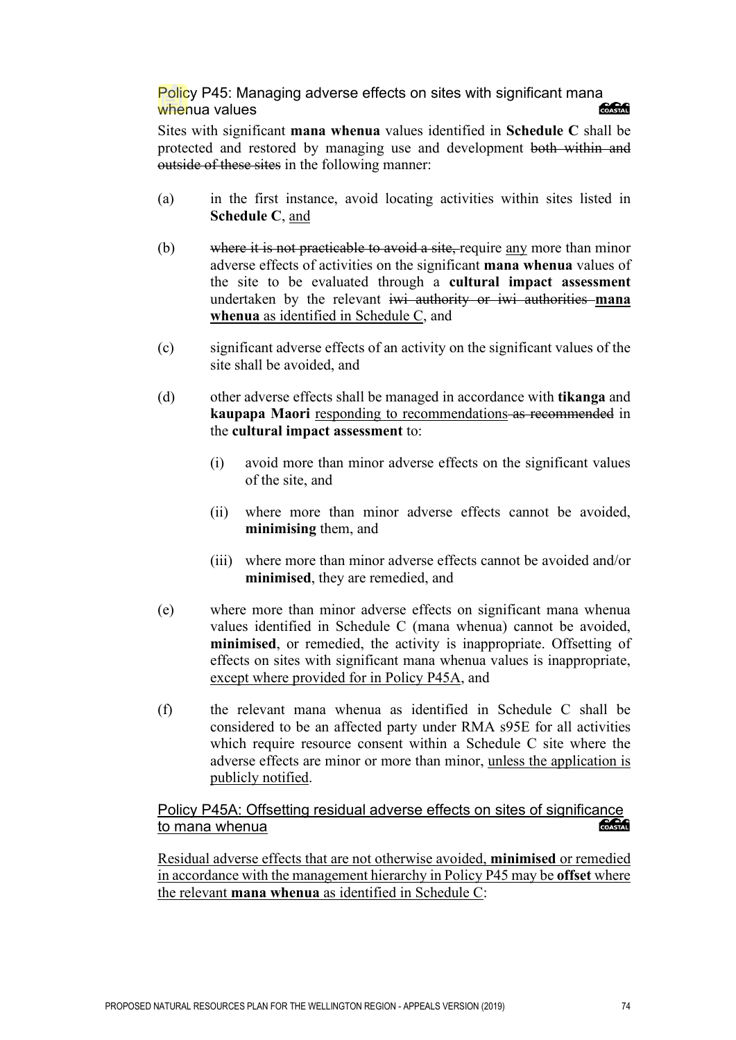#### Policy P45: Managing adverse effects on sites with significant mana **Concrete** whenua values

Sites with significant **mana whenua** values identified in **Schedule C** shall be protected and restored by managing use and development both within and outside of these sites in the following manner:

- (a) in the first instance, avoid locating activities within sites listed in **Schedule C**, and
- (b) where it is not practicable to avoid a site, require any more than minor adverse effects of activities on the significant **mana whenua** values of the site to be evaluated through a **cultural impact assessment**  undertaken by the relevant iwi authority or iwi authorities **mana whenua** as identified in Schedule C, and
- (c) significant adverse effects of an activity on the significant values of the site shall be avoided, and
- (d) other adverse effects shall be managed in accordance with **tikanga** and **kaupapa Maori** responding to recommendations-as recommended in the **cultural impact assessment** to:
	- (i) avoid more than minor adverse effects on the significant values of the site, and
	- (ii) where more than minor adverse effects cannot be avoided, **minimising** them, and
	- (iii) where more than minor adverse effects cannot be avoided and/or **minimised**, they are remedied, and
- (e) where more than minor adverse effects on significant mana whenua values identified in Schedule C (mana whenua) cannot be avoided, **minimised**, or remedied, the activity is inappropriate. Offsetting of effects on sites with significant mana whenua values is inappropriate, except where provided for in Policy P45A, and
- (f) the relevant mana whenua as identified in Schedule C shall be considered to be an affected party under RMA s95E for all activities which require resource consent within a Schedule C site where the adverse effects are minor or more than minor, unless the application is publicly notified.

#### Policy P45A: Offsetting residual adverse effects on sites of significance COASTAL to mana whenua

Residual adverse effects that are not otherwise avoided, **minimised** or remedied in accordance with the management hierarchy in Policy P45 may be **offset** where the relevant **mana whenua** as identified in Schedule C: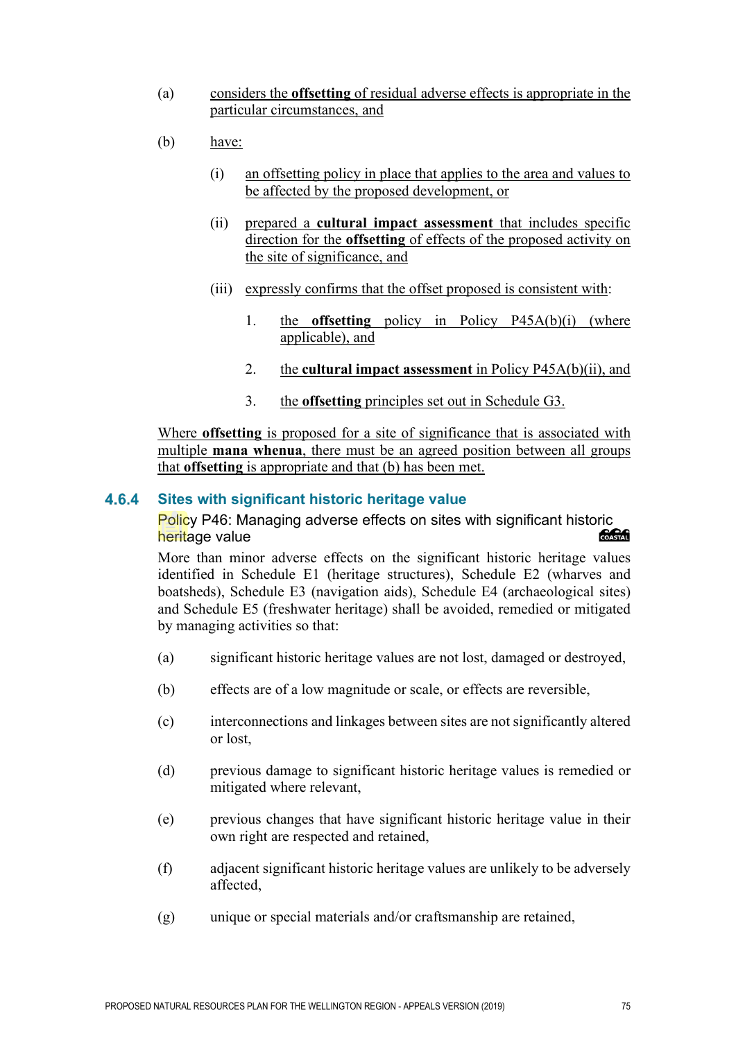- (a) considers the **offsetting** of residual adverse effects is appropriate in the particular circumstances, and
- (b) have:
	- (i) an offsetting policy in place that applies to the area and values to be affected by the proposed development, or
	- (ii) prepared a **cultural impact assessment** that includes specific direction for the **offsetting** of effects of the proposed activity on the site of significance, and
	- (iii) expressly confirms that the offset proposed is consistent with:
		- 1. the **offsetting** policy in Policy P45A(b)(i) (where applicable), and
		- 2. the **cultural impact assessment** in Policy P45A(b)(ii), and
		- 3. the **offsetting** principles set out in Schedule G3.

Where **offsetting** is proposed for a site of significance that is associated with multiple **mana whenua**, there must be an agreed position between all groups that **offsetting** is appropriate and that (b) has been met.

#### **Sites with significant historic heritage value**  $4.6.4$

Policy P46: Managing adverse effects on sites with significant historic heritage value COASTAL

More than minor adverse effects on the significant historic heritage values identified in Schedule E1 (heritage structures), Schedule E2 (wharves and boatsheds), Schedule E3 (navigation aids), Schedule E4 (archaeological sites) and Schedule E5 (freshwater heritage) shall be avoided, remedied or mitigated by managing activities so that:

- (a) significant historic heritage values are not lost, damaged or destroyed,
- (b) effects are of a low magnitude or scale, or effects are reversible,
- (c) interconnections and linkages between sites are not significantly altered or lost,
- (d) previous damage to significant historic heritage values is remedied or mitigated where relevant,
- (e) previous changes that have significant historic heritage value in their own right are respected and retained,
- (f) adjacent significant historic heritage values are unlikely to be adversely affected,
- (g) unique or special materials and/or craftsmanship are retained,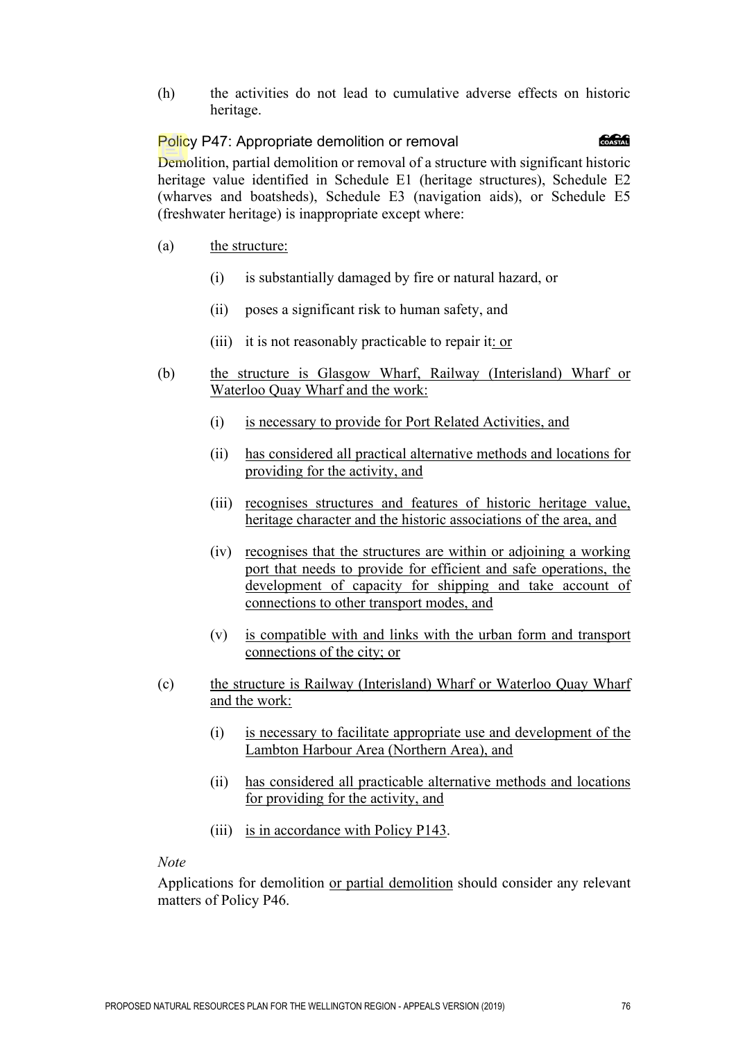(h) the activities do not lead to cumulative adverse effects on historic heritage.

#### க்கி Policy P47: Appropriate demolition or removal

Demolition, partial demolition or removal of a structure with significant historic heritage value identified in Schedule E1 (heritage structures), Schedule E2 (wharves and boatsheds), Schedule E3 (navigation aids), or Schedule E5 (freshwater heritage) is inappropriate except where:

- (a) the structure:
	- (i) is substantially damaged by fire or natural hazard, or
	- (ii) poses a significant risk to human safety, and
	- (iii) it is not reasonably practicable to repair it: or
- (b) the structure is Glasgow Wharf, Railway (Interisland) Wharf or Waterloo Quay Wharf and the work:
	- (i) is necessary to provide for Port Related Activities, and
	- (ii) has considered all practical alternative methods and locations for providing for the activity, and
	- (iii) recognises structures and features of historic heritage value, heritage character and the historic associations of the area, and
	- (iv) recognises that the structures are within or adjoining a working port that needs to provide for efficient and safe operations, the development of capacity for shipping and take account of connections to other transport modes, and
	- (v) is compatible with and links with the urban form and transport connections of the city; or
- (c) the structure is Railway (Interisland) Wharf or Waterloo Quay Wharf and the work:
	- (i) is necessary to facilitate appropriate use and development of the Lambton Harbour Area (Northern Area), and
	- (ii) has considered all practicable alternative methods and locations for providing for the activity, and
	- (iii) is in accordance with Policy P143.

#### *Note*

Applications for demolition or partial demolition should consider any relevant matters of Policy P46.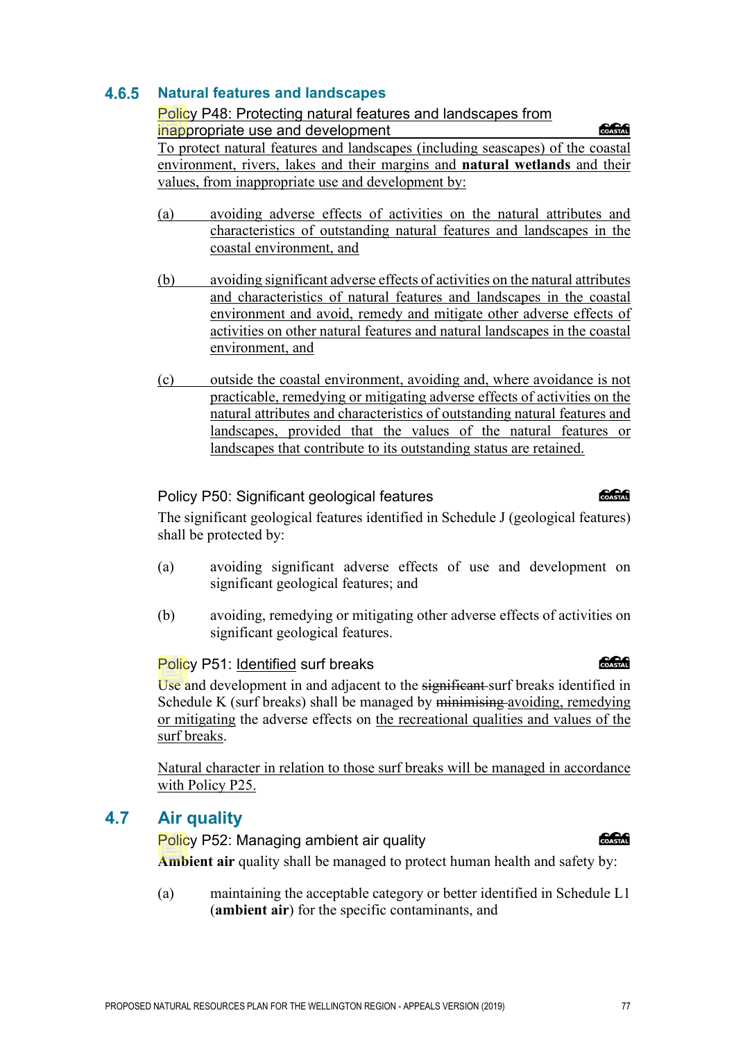PROPOSED NATURAL RESOURCES PLAN FOR THE WELLINGTON REGION - APPEALS VERSION (2019) 77

### **Natural features and landscapes**

#### Policy P48: Protecting natural features and landscapes from

inappropriate use and development

To protect natural features and landscapes (including seascapes) of the coastal environment, rivers, lakes and their margins and **natural wetlands** and their values, from inappropriate use and development by:

- (a) avoiding adverse effects of activities on the natural attributes and characteristics of outstanding natural features and landscapes in the coastal environment, and
- (b) avoiding significant adverse effects of activities on the natural attributes and characteristics of natural features and landscapes in the coastal environment and avoid, remedy and mitigate other adverse effects of activities on other natural features and natural landscapes in the coastal environment, and
- (c) outside the coastal environment, avoiding and, where avoidance is not practicable, remedying or mitigating adverse effects of activities on the natural attributes and characteristics of outstanding natural features and landscapes, provided that the values of the natural features or landscapes that contribute to its outstanding status are retained.

## Policy P50: Significant geological features

The significant geological features identified in Schedule J (geological features) shall be protected by:

- (a) avoiding significant adverse effects of use and development on significant geological features; and
- (b) avoiding, remedying or mitigating other adverse effects of activities on significant geological features.

## Policy P51: Identified surf breaks

Use and development in and adjacent to the significant surf breaks identified in Schedule K (surf breaks) shall be managed by minimising avoiding, remedying or mitigating the adverse effects on the recreational qualities and values of the surf breaks.

Natural character in relation to those surf breaks will be managed in accordance with Policy P25.

# **4.7 Air quality**

**anan** Policy P52: Managing ambient air quality **Ambient air** quality shall be managed to protect human health and safety by:

(a) maintaining the acceptable category or better identified in Schedule L1 (**ambient air**) for the specific contaminants, and

# **COASTAR**

**Concept** 

**ang Common**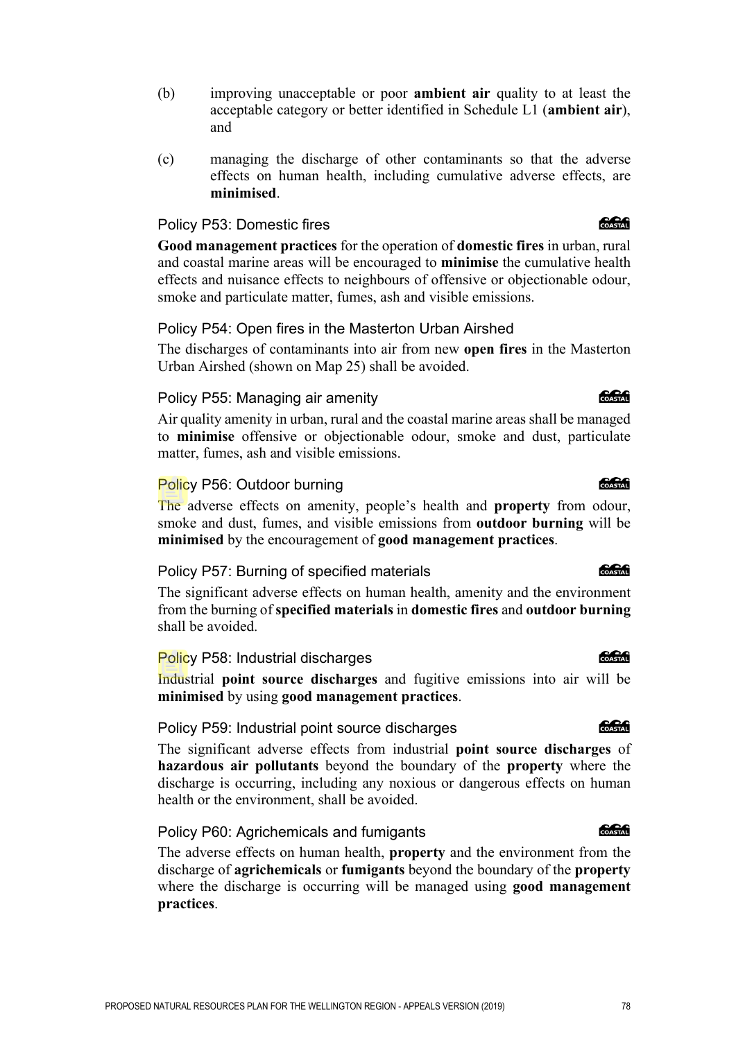- (b) improving unacceptable or poor **ambient air** quality to at least the acceptable category or better identified in Schedule L1 (**ambient air**), and
- (c) managing the discharge of other contaminants so that the adverse effects on human health, including cumulative adverse effects, are **minimised**.

#### Policy P53: Domestic fires

**Good management practices** for the operation of **domestic fires** in urban, rural and coastal marine areas will be encouraged to **minimise** the cumulative health effects and nuisance effects to neighbours of offensive or objectionable odour, smoke and particulate matter, fumes, ash and visible emissions.

#### Policy P54: Open fires in the Masterton Urban Airshed

The discharges of contaminants into air from new **open fires** in the Masterton Urban Airshed (shown on Map 25) shall be avoided.

#### Policy P55: Managing air amenity

Air quality amenity in urban, rural and the coastal marine areas shall be managed to **minimise** offensive or objectionable odour, smoke and dust, particulate matter, fumes, ash and visible emissions.

#### Policy P56: Outdoor burning

The adverse effects on amenity, people's health and **property** from odour, smoke and dust, fumes, and visible emissions from **outdoor burning** will be **minimised** by the encouragement of **good management practices**.

#### Policy P57: Burning of specified materials

The significant adverse effects on human health, amenity and the environment from the burning of **specified materials** in **domestic fires** and **outdoor burning** shall be avoided.

#### Policy P58: Industrial discharges

Industrial **point source discharges** and fugitive emissions into air will be **minimised** by using **good management practices**.

#### Policy P59: Industrial point source discharges

The significant adverse effects from industrial **point source discharges** of **hazardous air pollutants** beyond the boundary of the **property** where the discharge is occurring, including any noxious or dangerous effects on human health or the environment, shall be avoided.

#### Policy P60: Agrichemicals and fumigants

The adverse effects on human health, **property** and the environment from the discharge of **agrichemicals** or **fumigants** beyond the boundary of the **property** where the discharge is occurring will be managed using **good management practices**.

#### **CARGO**

### க்கி

**CACAG** 

**COCO** 

**CACAG** 

**Concept**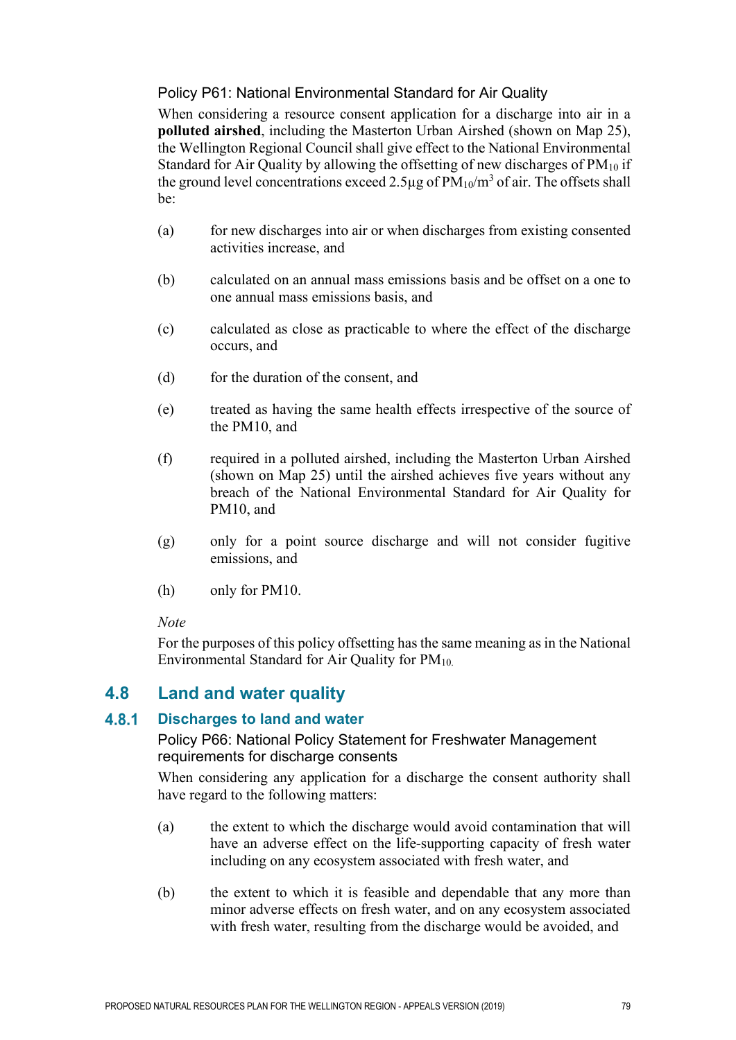### Policy P61: National Environmental Standard for Air Quality

When considering a resource consent application for a discharge into air in a **polluted airshed**, including the Masterton Urban Airshed (shown on Map 25), the Wellington Regional Council shall give effect to the National Environmental Standard for Air Quality by allowing the offsetting of new discharges of  $PM_{10}$  if the ground level concentrations exceed 2.5 $\mu$ g of PM<sub>10</sub>/m<sup>3</sup> of air. The offsets shall be:

- (a) for new discharges into air or when discharges from existing consented activities increase, and
- (b) calculated on an annual mass emissions basis and be offset on a one to one annual mass emissions basis, and
- (c) calculated as close as practicable to where the effect of the discharge occurs, and
- (d) for the duration of the consent, and
- (e) treated as having the same health effects irrespective of the source of the PM10, and
- (f) required in a polluted airshed, including the Masterton Urban Airshed (shown on Map 25) until the airshed achieves five years without any breach of the National Environmental Standard for Air Quality for PM10, and
- (g) only for a point source discharge and will not consider fugitive emissions, and
- (h) only for PM10.

#### *Note*

For the purposes of this policy offsetting has the same meaning as in the National Environmental Standard for Air Quality for PM10.

# **4.8 Land and water quality**

#### 4.8.1 **Discharges to land and water**

Policy P66: National Policy Statement for Freshwater Management requirements for discharge consents

When considering any application for a discharge the consent authority shall have regard to the following matters:

- (a) the extent to which the discharge would avoid contamination that will have an adverse effect on the life-supporting capacity of fresh water including on any ecosystem associated with fresh water, and
- (b) the extent to which it is feasible and dependable that any more than minor adverse effects on fresh water, and on any ecosystem associated with fresh water, resulting from the discharge would be avoided, and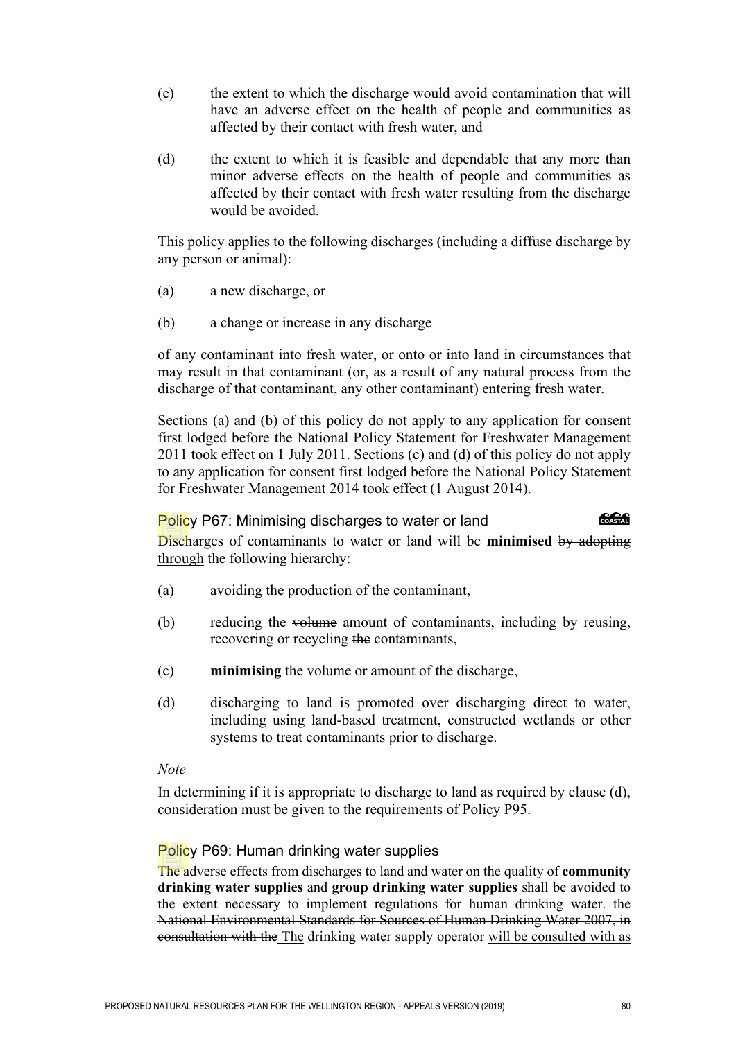- (c) the extent to which the discharge would avoid contamination that will have an adverse effect on the health of people and communities as affected by their contact with fresh water, and
- (d) the extent to which it is feasible and dependable that any more than minor adverse effects on the health of people and communities as affected by their contact with fresh water resulting from the discharge would be avoided.

This policy applies to the following discharges (including a diffuse discharge by any person or animal):

- (a) a new discharge, or
- (b) a change or increase in any discharge

of any contaminant into fresh water, or onto or into land in circumstances that may result in that contaminant (or, as a result of any natural process from the discharge of that contaminant, any other contaminant) entering fresh water.

Sections (a) and (b) of this policy do not apply to any application for consent first lodged before the National Policy Statement for Freshwater Management 2011 took effect on 1 July 2011. Sections (c) and (d) of this policy do not apply to any application for consent first lodged before the National Policy Statement for Freshwater Management 2014 took effect (1 August 2014).

#### Policy P67: Minimising discharges to water or land

**COASTAL** 

Discharges of contaminants to water or land will be **minimised** by adopting through the following hierarchy:

- (a) avoiding the production of the contaminant,
- (b) reducing the volume amount of contaminants, including by reusing, recovering or recycling the contaminants,
- (c) **minimising** the volume or amount of the discharge,
- (d) discharging to land is promoted over discharging direct to water, including using land-based treatment, constructed wetlands or other systems to treat contaminants prior to discharge.

#### *Note*

In determining if it is appropriate to discharge to land as required by clause (d), consideration must be given to the requirements of Policy P95.

#### Policy P69: Human drinking water supplies

The adverse effects from discharges to land and water on the quality of **community drinking water supplies** and **group drinking water supplies** shall be avoided to the extent necessary to implement regulations for human drinking water. the National Environmental Standards for Sources of Human Drinking Water 2007, in consultation with the The drinking water supply operator will be consulted with as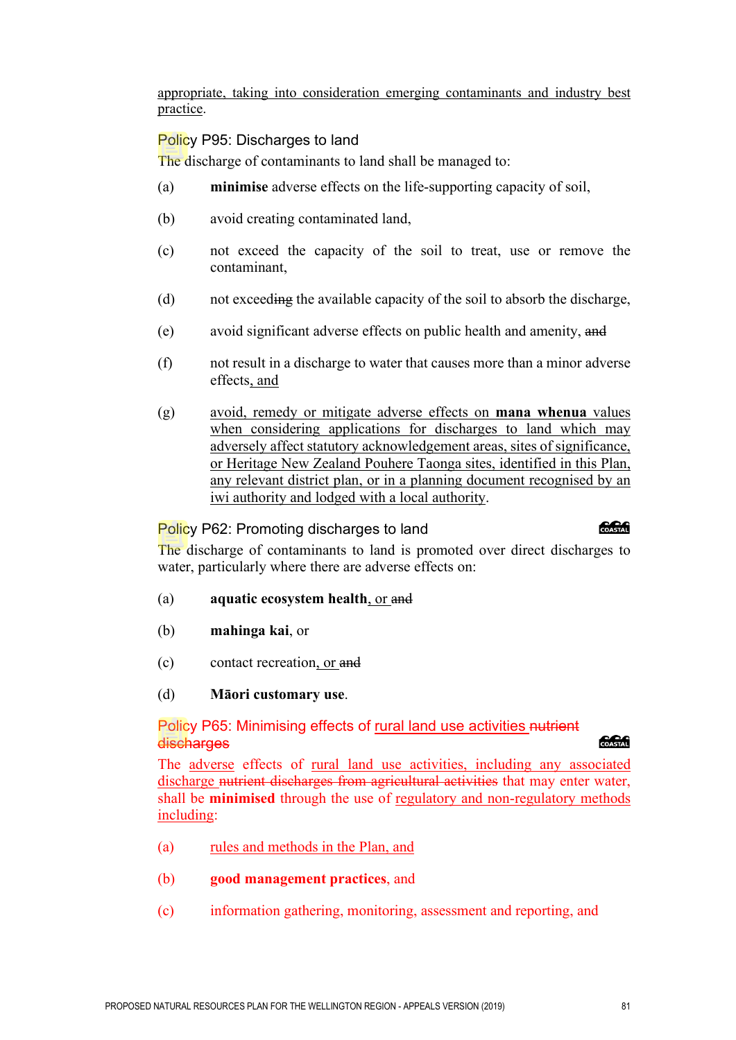appropriate, taking into consideration emerging contaminants and industry best practice.

### Policy P95: Discharges to land

The discharge of contaminants to land shall be managed to:

- (a) **minimise** adverse effects on the life-supporting capacity of soil,
- (b) avoid creating contaminated land,
- (c) not exceed the capacity of the soil to treat, use or remove the contaminant,
- (d) not exceeding the available capacity of the soil to absorb the discharge,
- (e) avoid significant adverse effects on public health and amenity, and
- (f) not result in a discharge to water that causes more than a minor adverse effects, and
- (g) avoid, remedy or mitigate adverse effects on **mana whenua** values when considering applications for discharges to land which may adversely affect statutory acknowledgement areas, sites of significance, or Heritage New Zealand Pouhere Taonga sites, identified in this Plan, any relevant district plan, or in a planning document recognised by an iwi authority and lodged with a local authority.

### Policy P62: Promoting discharges to land

The discharge of contaminants to land is promoted over direct discharges to water, particularly where there are adverse effects on:

- (a) **aquatic ecosystem health**, or and
- (b) **mahinga kai**, or
- (c) contact recreation, or and
- (d) **Māori customary use**.

### Policy P65: Minimising effects of rural land use activities nutrient **discharges**

The adverse effects of rural land use activities, including any associated discharge <del>nutrient discharges from agricultural activities</del> that may enter water, shall be **minimised** through the use of regulatory and non-regulatory methods including:

- (a) rules and methods in the Plan, and
- (b) **good management practices**, and
- (c) information gathering, monitoring, assessment and reporting, and

#### **CACAG**

**COASTAL**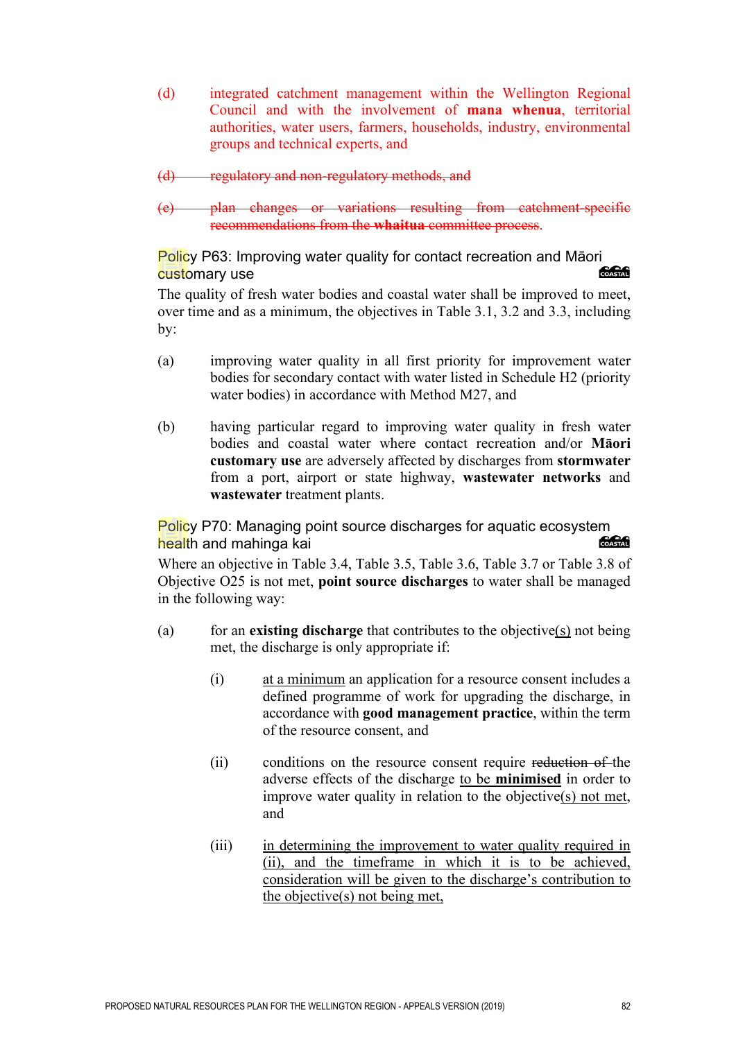- (d) integrated catchment management within the Wellington Regional Council and with the involvement of **mana whenua**, territorial authorities, water users, farmers, households, industry, environmental groups and technical experts, and
- (d) regulatory and non-regulatory methods, and
- (e) plan changes or variations resulting from catchment-specific recommendations from the **whaitua** committee process.

Policy P63: Improving water quality for contact recreation and Māori COASTAL customary use

The quality of fresh water bodies and coastal water shall be improved to meet, over time and as a minimum, the objectives in Table 3.1, 3.2 and 3.3, including by:

- (a) improving water quality in all first priority for improvement water bodies for secondary contact with water listed in Schedule H2 (priority water bodies) in accordance with Method M27, and
- (b) having particular regard to improving water quality in fresh water bodies and coastal water where contact recreation and/or **Māori customary use** are adversely affected by discharges from **stormwater** from a port, airport or state highway, **wastewater networks** and **wastewater** treatment plants.

Policy P70: Managing point source discharges for aquatic ecosystem health and mahinga kai COASTAL

Where an objective in Table 3.4, Table 3.5, Table 3.6, Table 3.7 or Table 3.8 of Objective O25 is not met, **point source discharges** to water shall be managed in the following way:

- (a) for an **existing discharge** that contributes to the objective(s) not being met, the discharge is only appropriate if:
	- (i) at a minimum an application for a resource consent includes a defined programme of work for upgrading the discharge, in accordance with **good management practice**, within the term of the resource consent, and
	- (ii) conditions on the resource consent require reduction of the adverse effects of the discharge to be **minimised** in order to improve water quality in relation to the objective(s) not met, and
	- (iii) in determining the improvement to water quality required in (ii), and the timeframe in which it is to be achieved, consideration will be given to the discharge's contribution to the objective(s) not being met,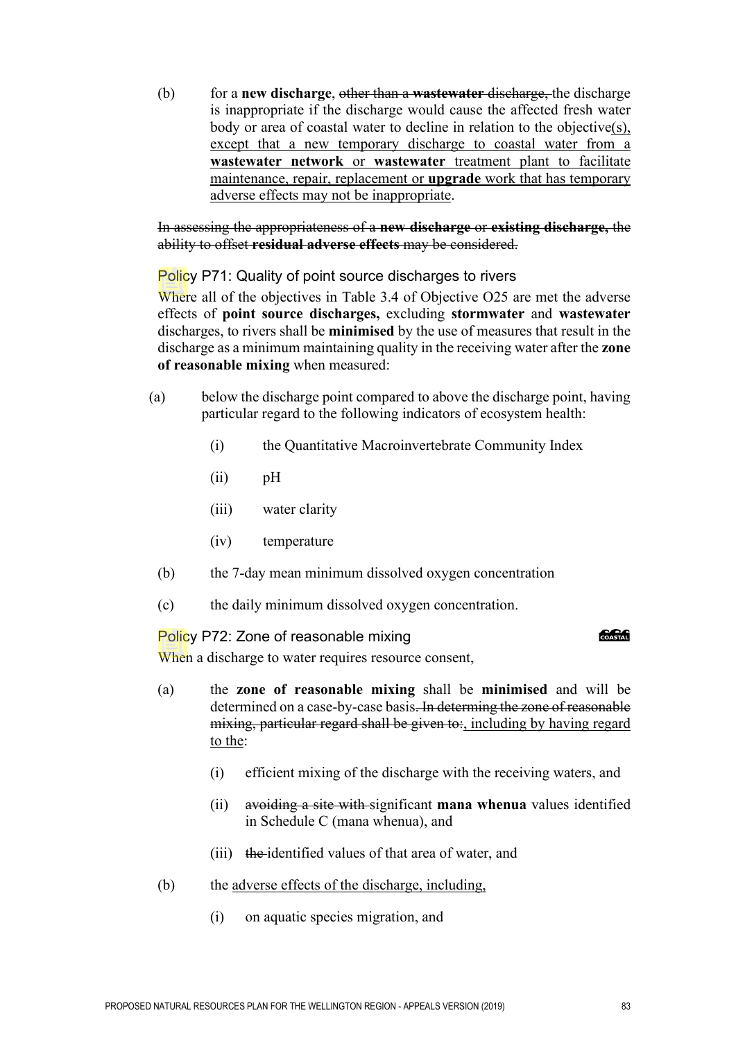(b) for a **new discharge**, other than a **wastewater** discharge, the discharge is inappropriate if the discharge would cause the affected fresh water body or area of coastal water to decline in relation to the objective(s), except that a new temporary discharge to coastal water from a **wastewater network** or **wastewater** treatment plant to facilitate maintenance, repair, replacement or **upgrade** work that has temporary adverse effects may not be inappropriate.

In assessing the appropriateness of a **new discharge** or **existing discharge,** the ability to offset **residual adverse effects** may be considered.

Policy P71: Quality of point source discharges to rivers

Where all of the objectives in Table 3.4 of Objective O25 are met the adverse effects of **point source discharges,** excluding **stormwater** and **wastewater**  discharges, to rivers shall be **minimised** by the use of measures that result in the discharge as a minimum maintaining quality in the receiving water after the **zone of reasonable mixing** when measured:

- (a) below the discharge point compared to above the discharge point, having particular regard to the following indicators of ecosystem health:
	- (i) the Quantitative Macroinvertebrate Community Index
	- (ii) pH
	- (iii) water clarity
	- (iv) temperature
	- (b) the 7-day mean minimum dissolved oxygen concentration
	- (c) the daily minimum dissolved oxygen concentration.

Policy P72: Zone of reasonable mixing

**ang Common** 

When a discharge to water requires resource consent,

- (a) the **zone of reasonable mixing** shall be **minimised** and will be determined on a case-by-case basis. In determing the zone of reasonable mixing, particular regard shall be given to:, including by having regard to the:
	- (i) efficient mixing of the discharge with the receiving waters, and
	- (ii) avoiding a site with significant **mana whenua** values identified in Schedule C (mana whenua), and
	- (iii) the identified values of that area of water, and
- (b) the adverse effects of the discharge, including,
	- (i) on aquatic species migration, and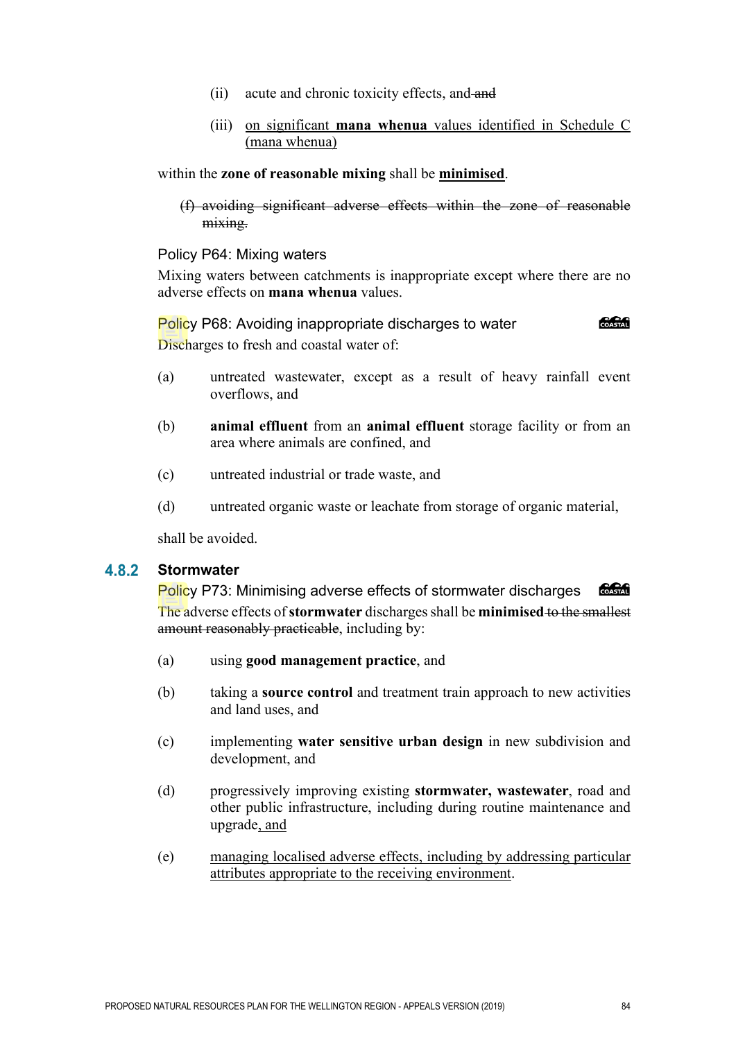- (ii) acute and chronic toxicity effects, and and
- (iii) on significant **mana whenua** values identified in Schedule C (mana whenua)

within the **zone of reasonable mixing** shall be **minimised**.

(f) avoiding significant adverse effects within the zone of reasonable mixing.

#### Policy P64: Mixing waters

Mixing waters between catchments is inappropriate except where there are no adverse effects on **mana whenua** values.

Policy P68: Avoiding inappropriate discharges to water Discharges to fresh and coastal water of:

- (a) untreated wastewater, except as a result of heavy rainfall event overflows, and
- (b) **animal effluent** from an **animal effluent** storage facility or from an area where animals are confined, and
- (c) untreated industrial or trade waste, and
- (d) untreated organic waste or leachate from storage of organic material,

shall be avoided.

#### **Stormwater**  4.8.2

COASTAL Policy P73: Minimising adverse effects of stormwater discharges The adverse effects of **stormwater** discharges shall be **minimised** to the smallest amount reasonably practicable, including by:

- (a) using **good management practice**, and
- (b) taking a **source control** and treatment train approach to new activities and land uses, and
- (c) implementing **water sensitive urban design** in new subdivision and development, and
- (d) progressively improving existing **stormwater, wastewater**, road and other public infrastructure, including during routine maintenance and upgrade, and
- (e) managing localised adverse effects, including by addressing particular attributes appropriate to the receiving environment.

COASTAL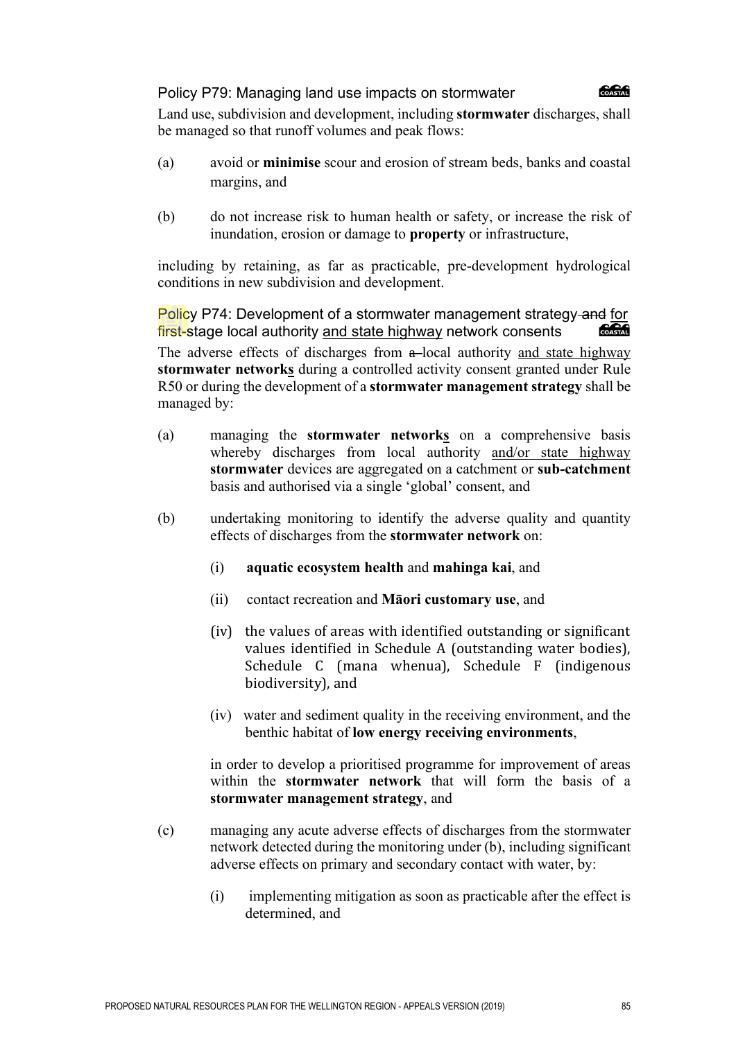#### Policy P79: Managing land use impacts on stormwater



Land use, subdivision and development, including **stormwater** discharges, shall be managed so that runoff volumes and peak flows:

- (a) avoid or **minimise** scour and erosion of stream beds, banks and coastal margins, and
- (b) do not increase risk to human health or safety, or increase the risk of inundation, erosion or damage to **property** or infrastructure,

including by retaining, as far as practicable, pre-development hydrological conditions in new subdivision and development.

Policy P74: Development of a stormwater management strategy and for first-stage local authority and state highway network consents COASTAL

The adverse effects of discharges from a-local authority and state highway **stormwater networks** during a controlled activity consent granted under Rule R50 or during the development of a **stormwater management strategy** shall be managed by:

- (a) managing the **stormwater networks** on a comprehensive basis whereby discharges from local authority and/or state highway **stormwater** devices are aggregated on a catchment or **sub-catchment** basis and authorised via a single 'global' consent, and
- (b) undertaking monitoring to identify the adverse quality and quantity effects of discharges from the **stormwater network** on:
	- (i) **aquatic ecosystem health** and **mahinga kai**, and
	- (ii) contact recreation and **Māori customary use**, and
	- (iv) the values of areas with identified outstanding or significant values identified in Schedule A (outstanding water bodies), Schedule C (mana whenua), Schedule F (indigenous biodiversity), and
	- (iv) water and sediment quality in the receiving environment, and the benthic habitat of **low energy receiving environments**,

in order to develop a prioritised programme for improvement of areas within the **stormwater network** that will form the basis of a **stormwater management strategy**, and

- (c) managing any acute adverse effects of discharges from the stormwater network detected during the monitoring under (b), including significant adverse effects on primary and secondary contact with water, by:
	- (i) implementing mitigation as soon as practicable after the effect is determined, and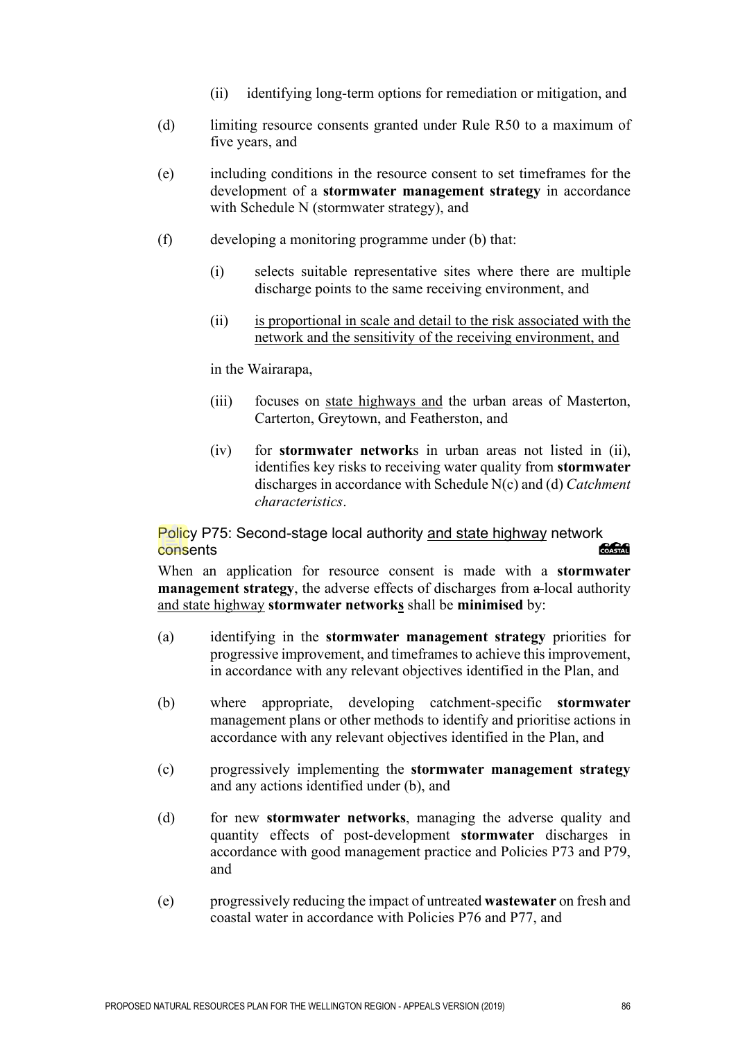- (ii) identifying long-term options for remediation or mitigation, and
- (d) limiting resource consents granted under Rule R50 to a maximum of five years, and
- (e) including conditions in the resource consent to set timeframes for the development of a **stormwater management strategy** in accordance with Schedule N (stormwater strategy), and
- (f) developing a monitoring programme under (b) that:
	- (i) selects suitable representative sites where there are multiple discharge points to the same receiving environment, and
	- (ii) is proportional in scale and detail to the risk associated with the network and the sensitivity of the receiving environment, and

in the Wairarapa,

- (iii) focuses on state highways and the urban areas of Masterton, Carterton, Greytown, and Featherston, and
- (iv) for **stormwater network**s in urban areas not listed in (ii), identifies key risks to receiving water quality from **stormwater** discharges in accordance with Schedule N(c) and (d) *Catchment characteristics*.

Policy P75: Second-stage local authority and state highway network<br>Consents consents

When an application for resource consent is made with a **stormwater management strategy**, the adverse effects of discharges from a local authority and state highway **stormwater networks** shall be **minimised** by:

- (a) identifying in the **stormwater management strategy** priorities for progressive improvement, and timeframes to achieve this improvement, in accordance with any relevant objectives identified in the Plan, and
- (b) where appropriate, developing catchment-specific **stormwater** management plans or other methods to identify and prioritise actions in accordance with any relevant objectives identified in the Plan, and
- (c) progressively implementing the **stormwater management strategy** and any actions identified under (b), and
- (d) for new **stormwater networks**, managing the adverse quality and quantity effects of post-development **stormwater** discharges in accordance with good management practice and Policies P73 and P79, and
- (e) progressively reducing the impact of untreated **wastewater** on fresh and coastal water in accordance with Policies P76 and P77, and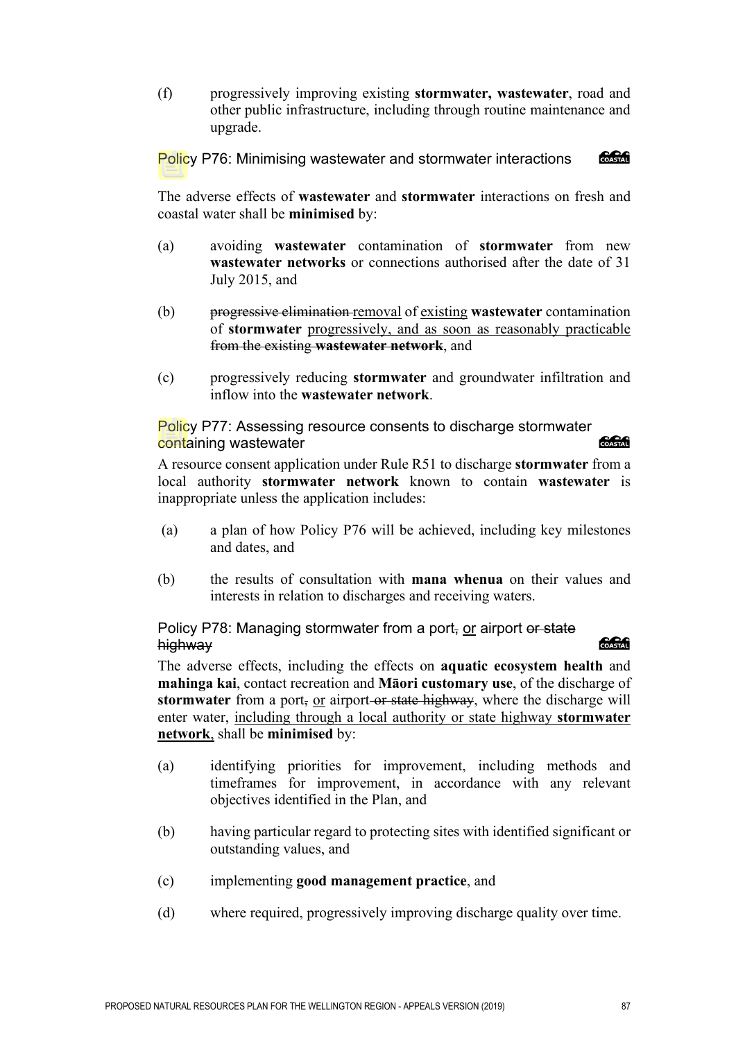(f) progressively improving existing **stormwater, wastewater**, road and other public infrastructure, including through routine maintenance and upgrade.

COASTAL Policy P76: Minimising wastewater and stormwater interactions

The adverse effects of **wastewater** and **stormwater** interactions on fresh and coastal water shall be **minimised** by:

- (a) avoiding **wastewater** contamination of **stormwater** from new **wastewater networks** or connections authorised after the date of 31 July 2015, and
- (b) progressive elimination removal of existing **wastewater** contamination of **stormwater** progressively, and as soon as reasonably practicable from the existing **wastewater network**, and
- (c) progressively reducing **stormwater** and groundwater infiltration and inflow into the **wastewater network**.

Policy P77: Assessing resource consents to discharge stormwater containing wastewater

A resource consent application under Rule R51 to discharge **stormwater** from a local authority **stormwater network** known to contain **wastewater** is inappropriate unless the application includes:

- (a) a plan of how Policy P76 will be achieved, including key milestones and dates, and
- (b) the results of consultation with **mana whenua** on their values and interests in relation to discharges and receiving waters.

Policy P78: Managing stormwater from a port, or airport or state highway

### *<u> SSSS</u>*

The adverse effects, including the effects on **aquatic ecosystem health** and **mahinga kai**, contact recreation and **Māori customary use**, of the discharge of **stormwater** from a port, or airport-or state highway, where the discharge will enter water, including through a local authority or state highway **stormwater network**, shall be **minimised** by:

- (a) identifying priorities for improvement, including methods and timeframes for improvement, in accordance with any relevant objectives identified in the Plan, and
- (b) having particular regard to protecting sites with identified significant or outstanding values, and
- (c) implementing **good management practice**, and
- (d) where required, progressively improving discharge quality over time.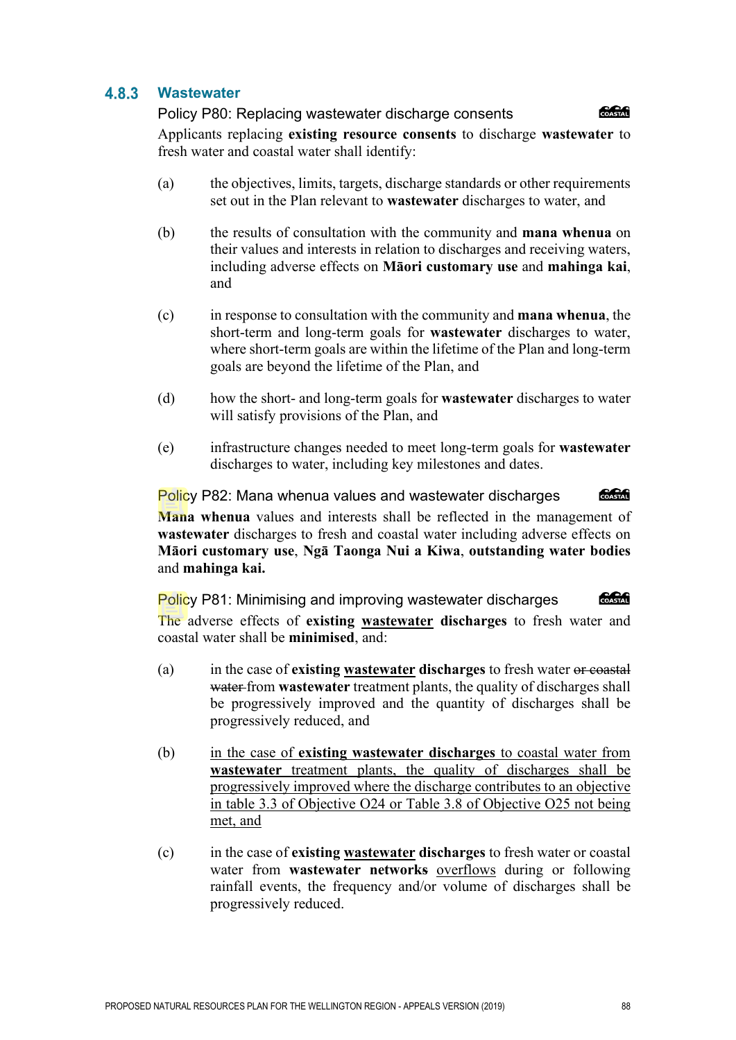#### 4.8.3 **Wastewater**

Policy P80: Replacing wastewater discharge consents **ang an** Applicants replacing **existing resource consents** to discharge **wastewater** to fresh water and coastal water shall identify:

- (a) the objectives, limits, targets, discharge standards or other requirements set out in the Plan relevant to **wastewater** discharges to water, and
- (b) the results of consultation with the community and **mana whenua** on their values and interests in relation to discharges and receiving waters, including adverse effects on **Māori customary use** and **mahinga kai**, and
- (c) in response to consultation with the community and **mana whenua**, the short-term and long-term goals for **wastewater** discharges to water, where short-term goals are within the lifetime of the Plan and long-term goals are beyond the lifetime of the Plan, and
- (d) how the short- and long-term goals for **wastewater** discharges to water will satisfy provisions of the Plan, and
- (e) infrastructure changes needed to meet long-term goals for **wastewater** discharges to water, including key milestones and dates.

Policy P82: Mana whenua values and wastewater discharges COASTAL **Mana whenua** values and interests shall be reflected in the management of **wastewater** discharges to fresh and coastal water including adverse effects on **Māori customary use**, **Ngā Taonga Nui a Kiwa**, **outstanding water bodies** and **mahinga kai.**

COASTAL Policy P81: Minimising and improving wastewater discharges The adverse effects of **existing wastewater discharges** to fresh water and coastal water shall be **minimised**, and:

- (a) in the case of **existing wastewater discharges** to fresh water or coastal water from **wastewater** treatment plants, the quality of discharges shall be progressively improved and the quantity of discharges shall be progressively reduced, and
- (b) in the case of **existing wastewater discharges** to coastal water from **wastewater** treatment plants, the quality of discharges shall be progressively improved where the discharge contributes to an objective in table 3.3 of Objective O24 or Table 3.8 of Objective O25 not being met, and
- (c) in the case of **existing wastewater discharges** to fresh water or coastal water from **wastewater networks** overflows during or following rainfall events, the frequency and/or volume of discharges shall be progressively reduced.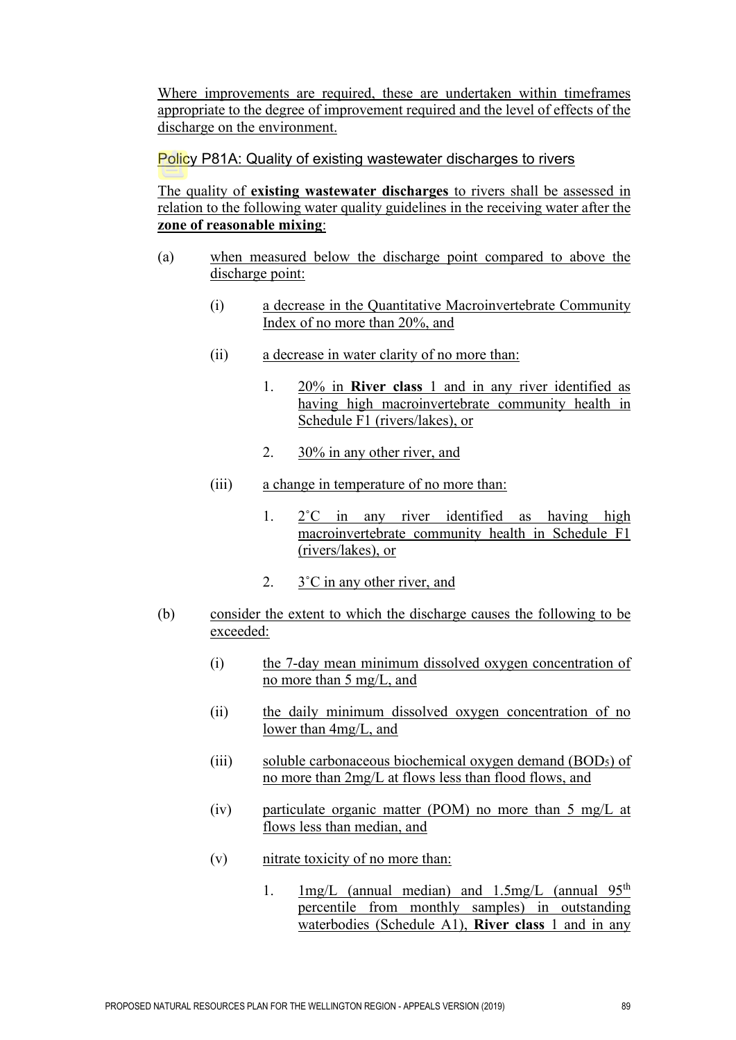Where improvements are required, these are undertaken within timeframes appropriate to the degree of improvement required and the level of effects of the discharge on the environment.

#### Policy P81A: Quality of existing wastewater discharges to rivers

The quality of **existing wastewater discharges** to rivers shall be assessed in relation to the following water quality guidelines in the receiving water after the **zone of reasonable mixing**:

- (a) when measured below the discharge point compared to above the discharge point:
	- (i) a decrease in the Quantitative Macroinvertebrate Community Index of no more than 20%, and
	- (ii) a decrease in water clarity of no more than:
		- 1. 20% in **River class** 1 and in any river identified as having high macroinvertebrate community health in Schedule F1 (rivers/lakes), or
		- 2. 30% in any other river, and
	- (iii) a change in temperature of no more than:
		- 1. 2˚C in any river identified as having high macroinvertebrate community health in Schedule F1 (rivers/lakes), or
		- 2. 3˚C in any other river, and
- (b) consider the extent to which the discharge causes the following to be exceeded:
	- (i) the 7-day mean minimum dissolved oxygen concentration of no more than 5 mg/L, and
	- (ii) the daily minimum dissolved oxygen concentration of no lower than 4mg/L, and
	- (iii) soluble carbonaceous biochemical oxygen demand (BOD<sub>5</sub>) of no more than 2mg/L at flows less than flood flows, and
	- (iv) particulate organic matter (POM) no more than 5 mg/L at flows less than median, and
	- (v) nitrate toxicity of no more than:
		- 1.  $1 \text{mg/L}$  (annual median) and 1.5mg/L (annual 95<sup>th</sup>) percentile from monthly samples) in outstanding waterbodies (Schedule A1), **River class** 1 and in any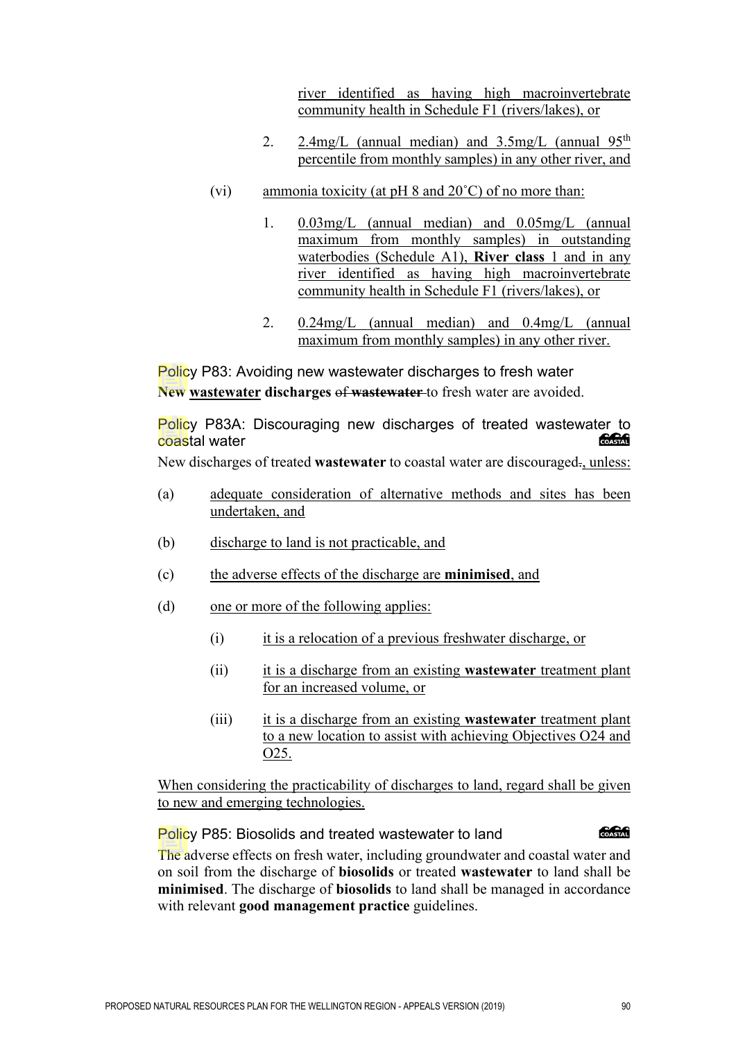river identified as having high macroinvertebrate community health in Schedule F1 (rivers/lakes), or

- 2. 2.4mg/L (annual median) and  $3.5$ mg/L (annual  $95<sup>th</sup>$ percentile from monthly samples) in any other river, and
- (vi) ammonia toxicity (at  $pH 8$  and  $20^{\circ}C$ ) of no more than:
	- 1. 0.03mg/L (annual median) and 0.05mg/L (annual maximum from monthly samples) in outstanding waterbodies (Schedule A1), **River class** 1 and in any river identified as having high macroinvertebrate community health in Schedule F1 (rivers/lakes), or
	- 2. 0.24mg/L (annual median) and 0.4mg/L (annual maximum from monthly samples) in any other river.

Policy P83: Avoiding new wastewater discharges to fresh water **New wastewater discharges** of **wastewater** to fresh water are avoided.

Policy P83A: Discouraging new discharges of treated wastewater to<br>Coastal water coastal water

New discharges of treated **wastewater** to coastal water are discouraged., unless:

- (a) adequate consideration of alternative methods and sites has been undertaken, and
- (b) discharge to land is not practicable, and
- (c) the adverse effects of the discharge are **minimised**, and
- (d) one or more of the following applies:
	- (i) it is a relocation of a previous freshwater discharge, or
	- (ii) it is a discharge from an existing **wastewater** treatment plant for an increased volume, or
	- (iii) it is a discharge from an existing **wastewater** treatment plant to a new location to assist with achieving Objectives O24 and O25.

When considering the practicability of discharges to land, regard shall be given to new and emerging technologies.

#### Policy P85: Biosolids and treated wastewater to land

COASTAL

The adverse effects on fresh water, including groundwater and coastal water and on soil from the discharge of **biosolids** or treated **wastewater** to land shall be **minimised**. The discharge of **biosolids** to land shall be managed in accordance with relevant **good management practice** guidelines.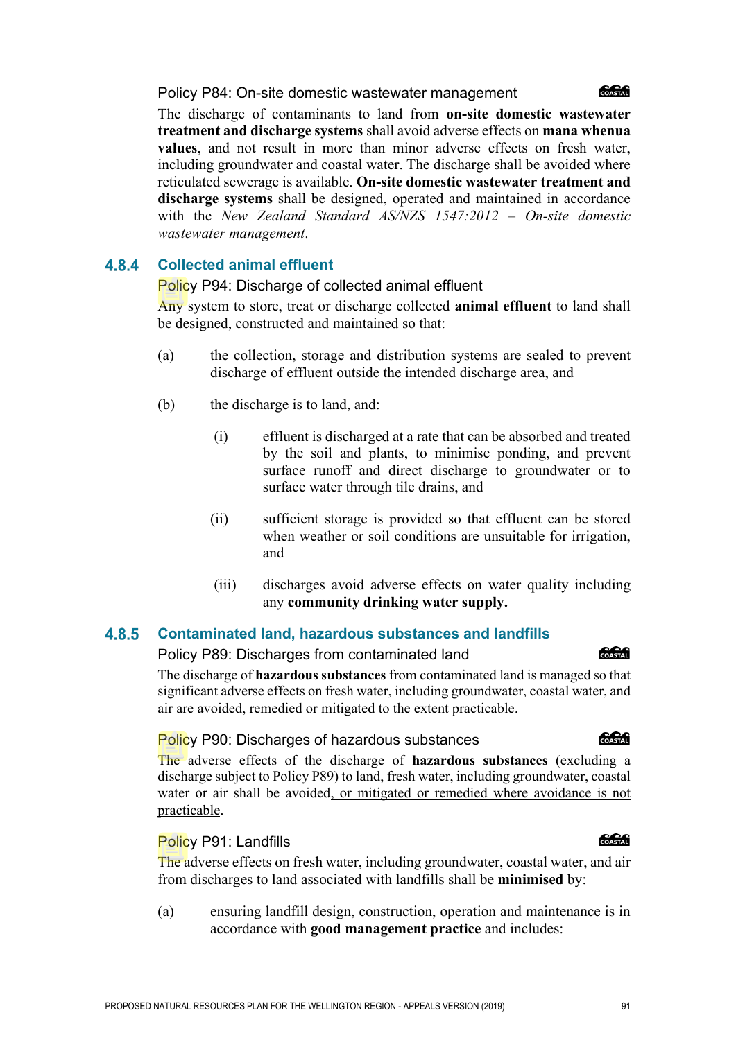#### Policy P84: On-site domestic wastewater management

The discharge of contaminants to land from **on-site domestic wastewater treatment and discharge systems** shall avoid adverse effects on **mana whenua values**, and not result in more than minor adverse effects on fresh water, including groundwater and coastal water. The discharge shall be avoided where reticulated sewerage is available. **On-site domestic wastewater treatment and discharge systems** shall be designed, operated and maintained in accordance with the *New Zealand Standard AS/NZS 1547:2012 – On-site domestic wastewater management*.

#### **Collected animal effluent** 4.8.4

Policy P94: Discharge of collected animal effluent

Any system to store, treat or discharge collected **animal effluent** to land shall be designed, constructed and maintained so that:

- (a) the collection, storage and distribution systems are sealed to prevent discharge of effluent outside the intended discharge area, and
- (b) the discharge is to land, and:
	- (i) effluent is discharged at a rate that can be absorbed and treated by the soil and plants, to minimise ponding, and prevent surface runoff and direct discharge to groundwater or to surface water through tile drains, and
	- (ii) sufficient storage is provided so that effluent can be stored when weather or soil conditions are unsuitable for irrigation, and
	- (iii) discharges avoid adverse effects on water quality including any **community drinking water supply.**

#### 4.8.5 **Contaminated land, hazardous substances and landfills**

Policy P89: Discharges from contaminated land

The discharge of **hazardous substances** from contaminated land is managed so that significant adverse effects on fresh water, including groundwater, coastal water, and air are avoided, remedied or mitigated to the extent practicable.

### Policy P90: Discharges of hazardous substances

The adverse effects of the discharge of **hazardous substances** (excluding a discharge subject to Policy P89) to land, fresh water, including groundwater, coastal water or air shall be avoided, or mitigated or remedied where avoidance is not practicable.

Policy P91: Landfills

The adverse effects on fresh water, including groundwater, coastal water, and air from discharges to land associated with landfills shall be **minimised** by:

(a) ensuring landfill design, construction, operation and maintenance is in accordance with **good management practice** and includes:

#### **ang an**

COASTAL

**COASTAL** 

#### **Concept**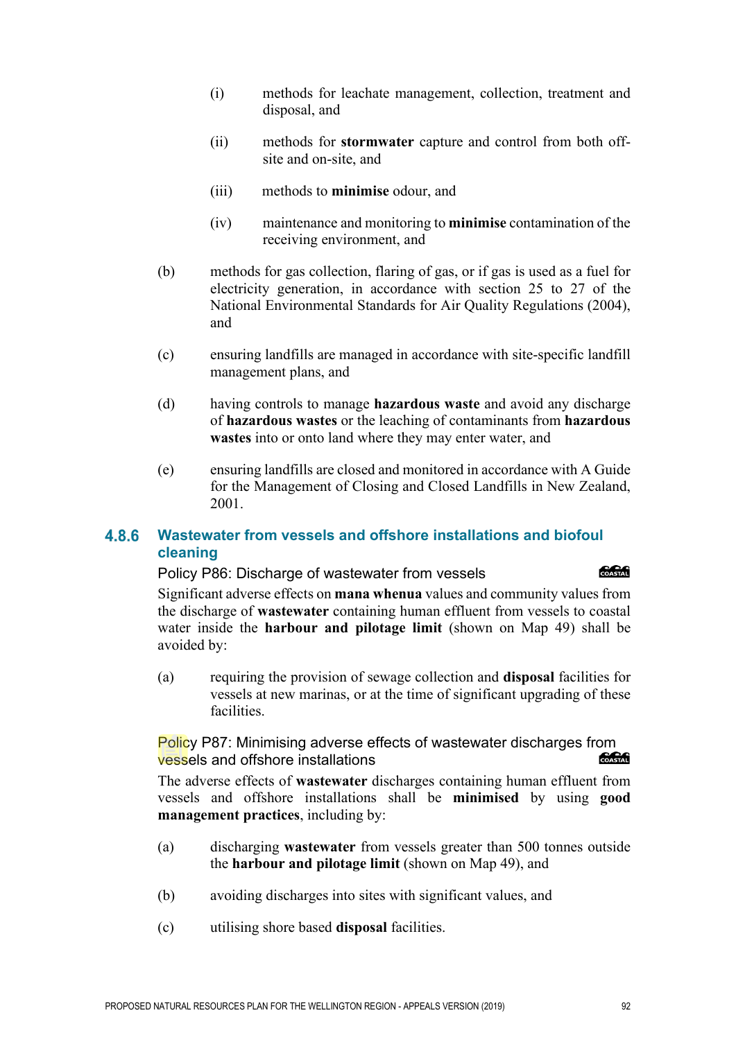- (i) methods for leachate management, collection, treatment and disposal, and
- (ii) methods for **stormwater** capture and control from both offsite and on-site, and
- (iii) methods to **minimise** odour, and
- (iv) maintenance and monitoring to **minimise** contamination of the receiving environment, and
- (b) methods for gas collection, flaring of gas, or if gas is used as a fuel for electricity generation, in accordance with section 25 to 27 of the National Environmental Standards for Air Quality Regulations (2004), and
- (c) ensuring landfills are managed in accordance with site-specific landfill management plans, and
- (d) having controls to manage **hazardous waste** and avoid any discharge of **hazardous wastes** or the leaching of contaminants from **hazardous wastes** into or onto land where they may enter water, and
- (e) ensuring landfills are closed and monitored in accordance with A Guide for the Management of Closing and Closed Landfills in New Zealand, 2001.

#### **Wastewater from vessels and offshore installations and biofoul**  4.8.6 **cleaning**

Policy P86: Discharge of wastewater from vessels

*<u> MeMi</u>* 

Significant adverse effects on **mana whenua** values and community values from the discharge of **wastewater** containing human effluent from vessels to coastal water inside the **harbour and pilotage limit** (shown on Map 49) shall be avoided by:

(a) requiring the provision of sewage collection and **disposal** facilities for vessels at new marinas, or at the time of significant upgrading of these facilities.

Policy P87: Minimising adverse effects of wastewater discharges from vessels and offshore installations COASTAL

The adverse effects of **wastewater** discharges containing human effluent from vessels and offshore installations shall be **minimised** by using **good management practices**, including by:

- (a) discharging **wastewater** from vessels greater than 500 tonnes outside the **harbour and pilotage limit** (shown on Map 49), and
- (b) avoiding discharges into sites with significant values, and
- (c) utilising shore based **disposal** facilities.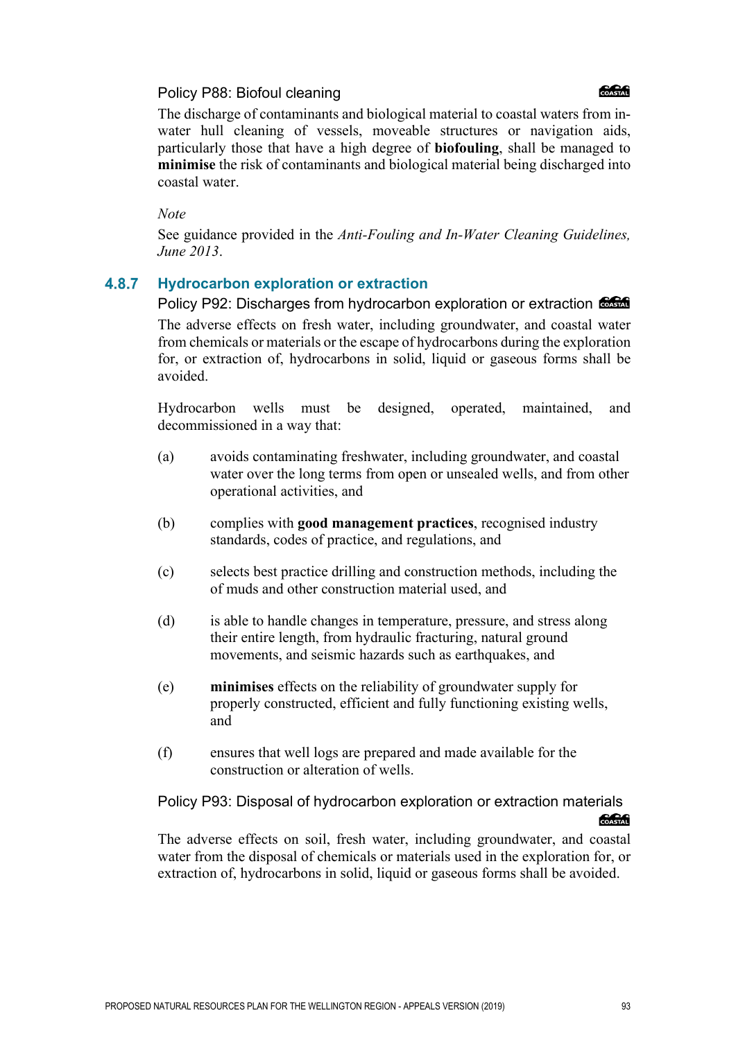#### Policy P88: Biofoul cleaning



The discharge of contaminants and biological material to coastal waters from inwater hull cleaning of vessels, moveable structures or navigation aids, particularly those that have a high degree of **biofouling**, shall be managed to **minimise** the risk of contaminants and biological material being discharged into coastal water.

#### *Note*

See guidance provided in the *Anti-Fouling and In-Water Cleaning Guidelines, June 2013*.

#### 4.8.7 **Hydrocarbon exploration or extraction**

Policy P92: Discharges from hydrocarbon exploration or extraction  $\frac{6.666}{6.066}$ The adverse effects on fresh water, including groundwater, and coastal water from chemicals or materials or the escape of hydrocarbons during the exploration for, or extraction of, hydrocarbons in solid, liquid or gaseous forms shall be avoided.

Hydrocarbon wells must be designed, operated, maintained, and decommissioned in a way that:

- (a) avoids contaminating freshwater, including groundwater, and coastal water over the long terms from open or unsealed wells, and from other operational activities, and
- (b) complies with **good management practices**, recognised industry standards, codes of practice, and regulations, and
- (c) selects best practice drilling and construction methods, including the of muds and other construction material used, and
- (d) is able to handle changes in temperature, pressure, and stress along their entire length, from hydraulic fracturing, natural ground movements, and seismic hazards such as earthquakes, and
- (e) **minimises** effects on the reliability of groundwater supply for properly constructed, efficient and fully functioning existing wells, and
- (f) ensures that well logs are prepared and made available for the construction or alteration of wells.

## Policy P93: Disposal of hydrocarbon exploration or extraction materials **Concent**

The adverse effects on soil, fresh water, including groundwater, and coastal water from the disposal of chemicals or materials used in the exploration for, or extraction of, hydrocarbons in solid, liquid or gaseous forms shall be avoided.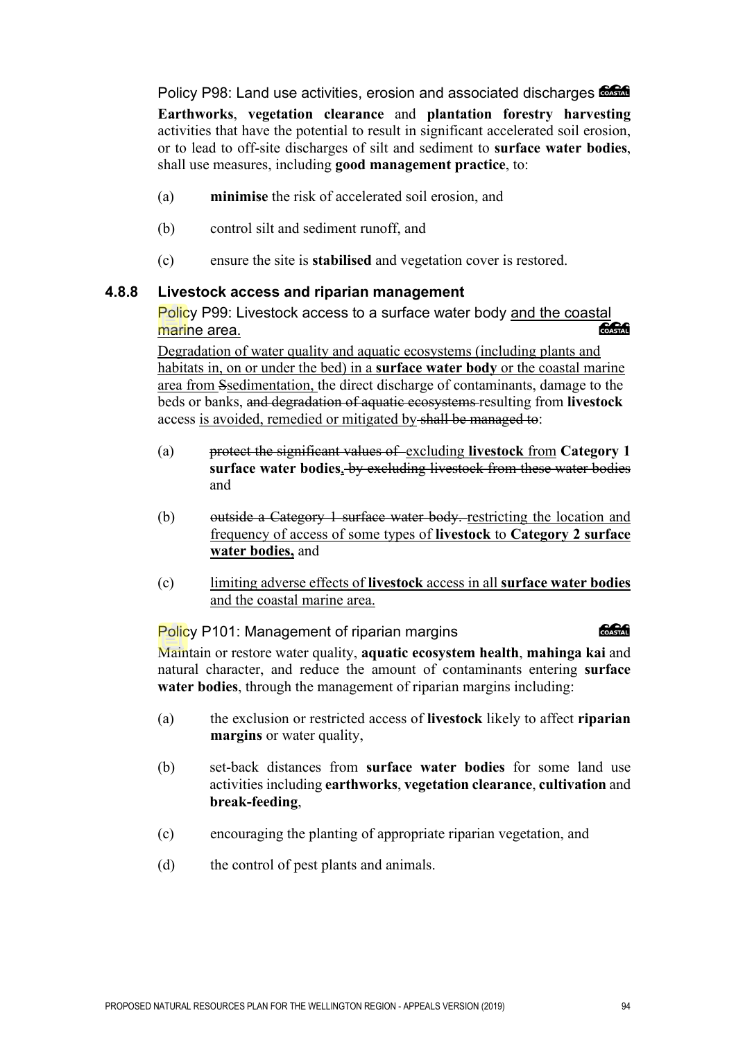Policy P98: Land use activities, erosion and associated discharges  $\epsilon$ 

**Earthworks**, **vegetation clearance** and **plantation forestry harvesting** activities that have the potential to result in significant accelerated soil erosion, or to lead to off-site discharges of silt and sediment to **surface water bodies**, shall use measures, including **good management practice**, to:

- (a) **minimise** the risk of accelerated soil erosion, and
- (b) control silt and sediment runoff, and
- (c) ensure the site is **stabilised** and vegetation cover is restored.

### **4.8.8 Livestock access and riparian management**

Policy P99: Livestock access to a surface water body and the coastal<br>marine area marine area.

Degradation of water quality and aquatic ecosystems (including plants and habitats in, on or under the bed) in a **surface water body** or the coastal marine area from Ssedimentation, the direct discharge of contaminants, damage to the beds or banks, and degradation of aquatic ecosystems resulting from **livestock**  access is avoided, remedied or mitigated by shall be managed to:

- (a) protect the significant values of excluding **livestock** from **Category 1 surface water bodies**, by excluding livestock from these water bodies and
- (b) outside a Category 1 surface water body. restricting the location and frequency of access of some types of **livestock** to **Category 2 surface water bodies,** and
- (c) limiting adverse effects of **livestock** access in all **surface water bodies** and the coastal marine area.

**COASTAN** Policy P101: Management of riparian margins Maintain or restore water quality, **aquatic ecosystem health**, **mahinga kai** and natural character, and reduce the amount of contaminants entering **surface water bodies**, through the management of riparian margins including:

- (a) the exclusion or restricted access of **livestock** likely to affect **riparian margins** or water quality,
- (b) set-back distances from **surface water bodies** for some land use activities including **earthworks**, **vegetation clearance**, **cultivation** and **break-feeding**,
- (c) encouraging the planting of appropriate riparian vegetation, and
- (d) the control of pest plants and animals.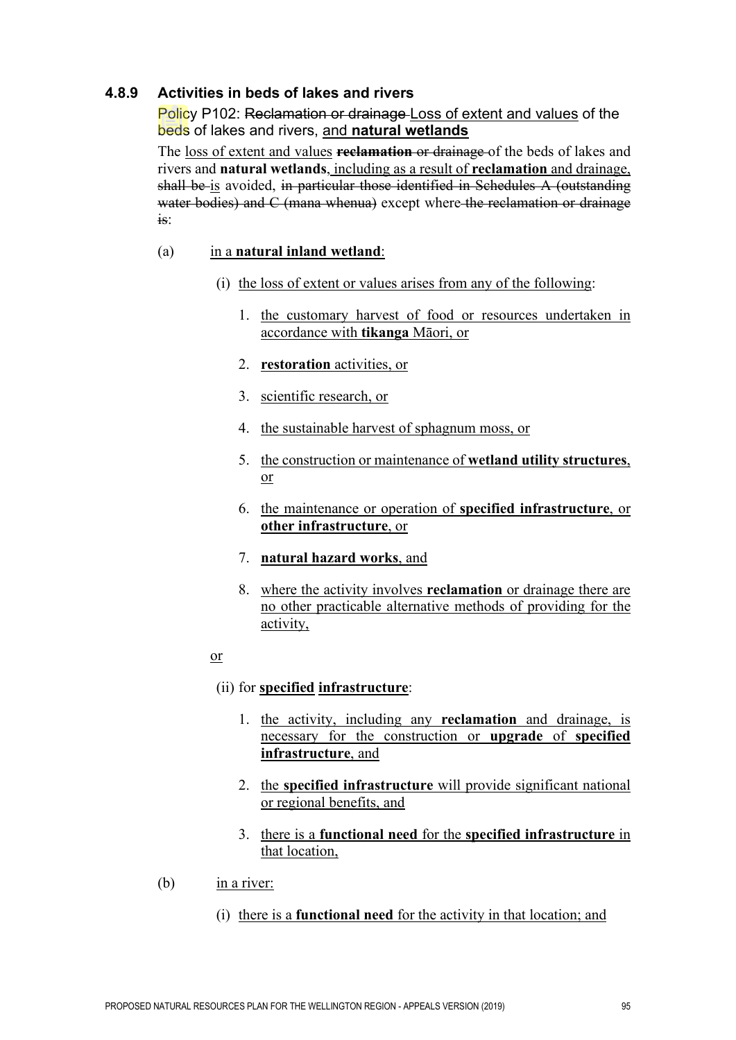### **4.8.9 Activities in beds of lakes and rivers**

Policy P102: Reclamation or drainage Loss of extent and values of the beds of lakes and rivers, and **natural wetlands**

The loss of extent and values **reclamation** or drainage of the beds of lakes and rivers and **natural wetlands**, including as a result of **reclamation** and drainage, shall be is avoided, in particular those identified in Schedules A (outstanding water bodies) and C (mana whenua) except where the reclamation or drainage is:

#### (a) in a **natural inland wetland**:

- (i) the loss of extent or values arises from any of the following:
	- 1. the customary harvest of food or resources undertaken in accordance with **tikanga** Māori, or
	- 2. **restoration** activities, or
	- 3. scientific research, or
	- 4. the sustainable harvest of sphagnum moss, or
	- 5. the construction or maintenance of **wetland utility structures**, or
	- 6. the maintenance or operation of **specified infrastructure**, or **other infrastructure**, or
	- 7. **natural hazard works**, and
	- 8. where the activity involves **reclamation** or drainage there are no other practicable alternative methods of providing for the activity,
- or

### (ii) for **specified infrastructure**:

- 1. the activity, including any **reclamation** and drainage, is necessary for the construction or **upgrade** of **specified infrastructure**, and
- 2. the **specified infrastructure** will provide significant national or regional benefits, and
- 3. there is a **functional need** for the **specified infrastructure** in that location,
- (b) in a river:
	- (i) there is a **functional need** for the activity in that location; and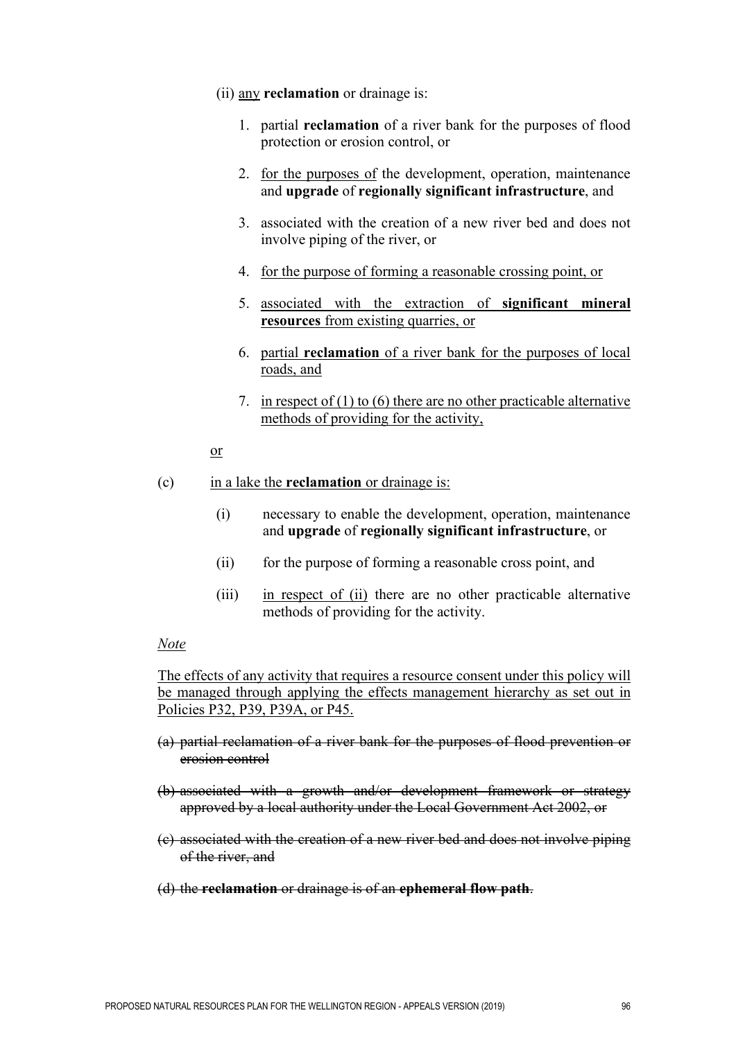- (ii) any **reclamation** or drainage is:
	- 1. partial **reclamation** of a river bank for the purposes of flood protection or erosion control, or
	- 2. for the purposes of the development, operation, maintenance and **upgrade** of **regionally significant infrastructure**, and
	- 3. associated with the creation of a new river bed and does not involve piping of the river, or
	- 4. for the purpose of forming a reasonable crossing point, or
	- 5. associated with the extraction of **significant mineral resources** from existing quarries, or
	- 6. partial **reclamation** of a river bank for the purposes of local roads, and
	- 7. in respect of (1) to (6) there are no other practicable alternative methods of providing for the activity,
- or

#### (c) in a lake the **reclamation** or drainage is:

- (i) necessary to enable the development, operation, maintenance and **upgrade** of **regionally significant infrastructure**, or
- (ii) for the purpose of forming a reasonable cross point, and
- (iii) in respect of (ii) there are no other practicable alternative methods of providing for the activity.

#### *Note*

The effects of any activity that requires a resource consent under this policy will be managed through applying the effects management hierarchy as set out in Policies P32, P39, P39A, or P45.

- (a) partial reclamation of a river bank for the purposes of flood prevention or erosion control
- (b) associated with a growth and/or development framework or strategy approved by a local authority under the Local Government Act 2002, or
- (c) associated with the creation of a new river bed and does not involve piping of the river, and
- (d) the **reclamation** or drainage is of an **ephemeral flow path**.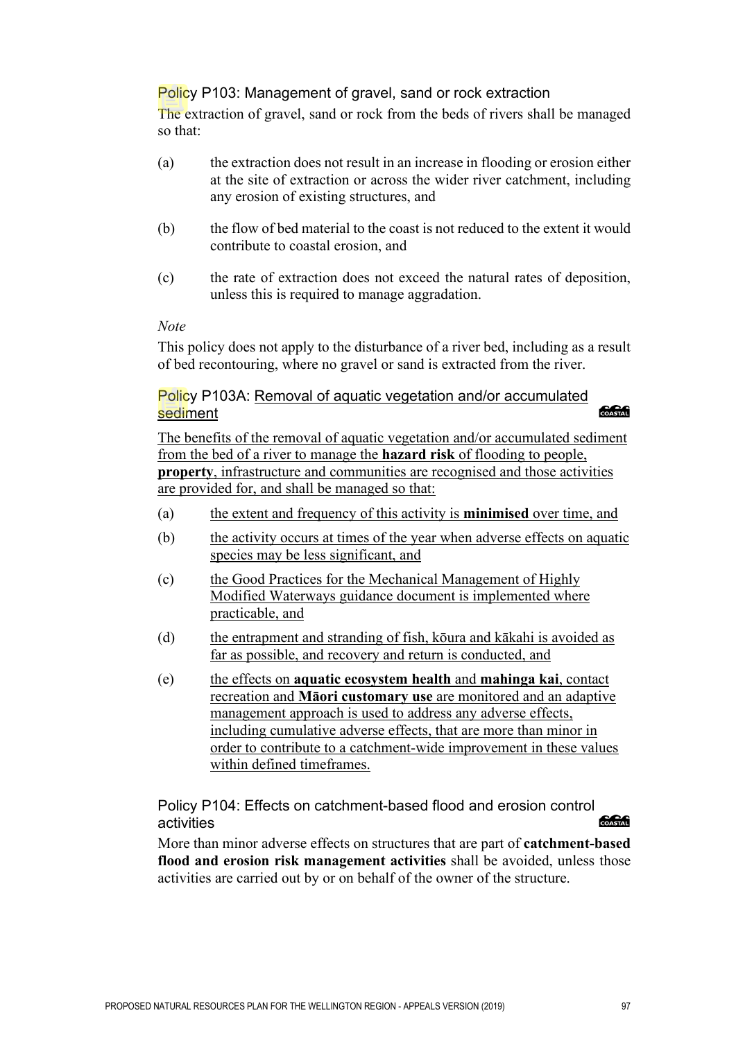### Policy P103: Management of gravel, sand or rock extraction

The extraction of gravel, sand or rock from the beds of rivers shall be managed so that:

- (a) the extraction does not result in an increase in flooding or erosion either at the site of extraction or across the wider river catchment, including any erosion of existing structures, and
- (b) the flow of bed material to the coast is not reduced to the extent it would contribute to coastal erosion, and
- (c) the rate of extraction does not exceed the natural rates of deposition, unless this is required to manage aggradation.

#### *Note*

This policy does not apply to the disturbance of a river bed, including as a result of bed recontouring, where no gravel or sand is extracted from the river.

Policy P103A: Removal of aquatic vegetation and/or accumulated COASTAL sediment

The benefits of the removal of aquatic vegetation and/or accumulated sediment from the bed of a river to manage the **hazard risk** of flooding to people, **property**, infrastructure and communities are recognised and those activities are provided for, and shall be managed so that:

- (a) the extent and frequency of this activity is **minimised** over time, and
- (b) the activity occurs at times of the year when adverse effects on aquatic species may be less significant, and
- (c) the Good Practices for the Mechanical Management of Highly Modified Waterways guidance document is implemented where practicable, and
- (d) the entrapment and stranding of fish, kōura and kākahi is avoided as far as possible, and recovery and return is conducted, and
- (e) the effects on **aquatic ecosystem health** and **mahinga kai**, contact recreation and **Māori customary use** are monitored and an adaptive management approach is used to address any adverse effects, including cumulative adverse effects, that are more than minor in order to contribute to a catchment-wide improvement in these values within defined timeframes.

Policy P104: Effects on catchment-based flood and erosion control<br>ectivities activities

More than minor adverse effects on structures that are part of **catchment-based flood and erosion risk management activities** shall be avoided, unless those activities are carried out by or on behalf of the owner of the structure.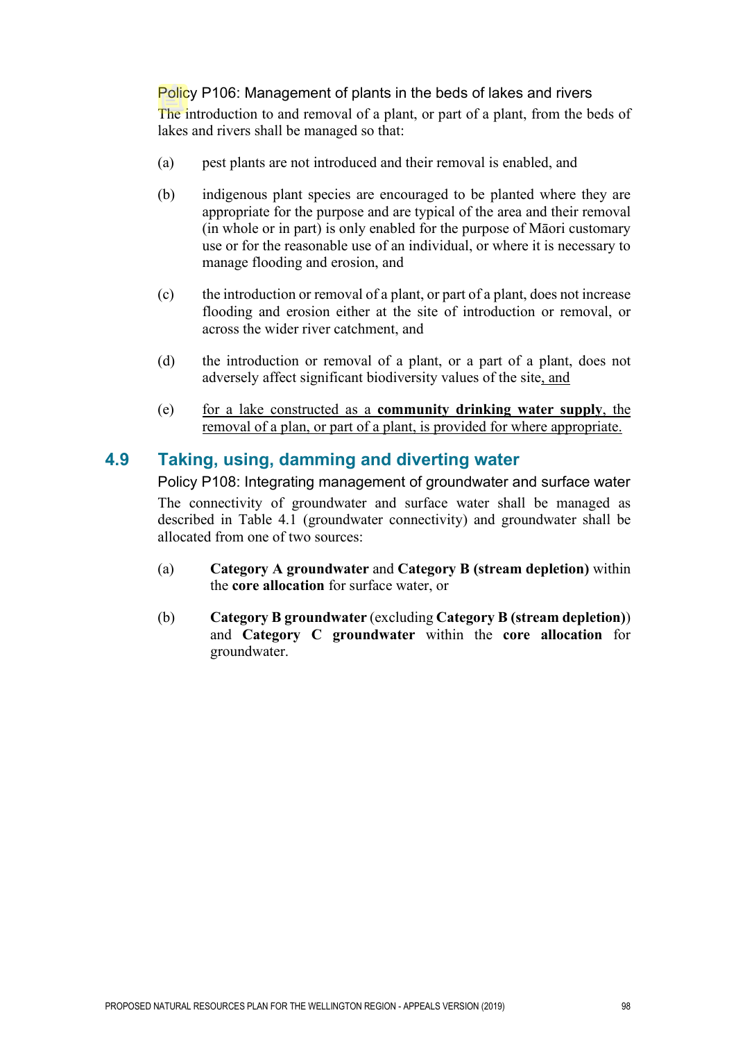### Policy P106: Management of plants in the beds of lakes and rivers

The introduction to and removal of a plant, or part of a plant, from the beds of lakes and rivers shall be managed so that:

- (a) pest plants are not introduced and their removal is enabled, and
- (b) indigenous plant species are encouraged to be planted where they are appropriate for the purpose and are typical of the area and their removal (in whole or in part) is only enabled for the purpose of Māori customary use or for the reasonable use of an individual, or where it is necessary to manage flooding and erosion, and
- (c) the introduction or removal of a plant, or part of a plant, does not increase flooding and erosion either at the site of introduction or removal, or across the wider river catchment, and
- (d) the introduction or removal of a plant, or a part of a plant, does not adversely affect significant biodiversity values of the site, and
- (e) for a lake constructed as a **community drinking water supply**, the removal of a plan, or part of a plant, is provided for where appropriate.

# **4.9 Taking, using, damming and diverting water**

Policy P108: Integrating management of groundwater and surface water The connectivity of groundwater and surface water shall be managed as described in Table 4.1 (groundwater connectivity) and groundwater shall be allocated from one of two sources:

- (a) **Category A groundwater** and **Category B (stream depletion)** within the **core allocation** for surface water, or
- (b) **Category B groundwater** (excluding **Category B (stream depletion)**) and **Category C groundwater** within the **core allocation** for groundwater.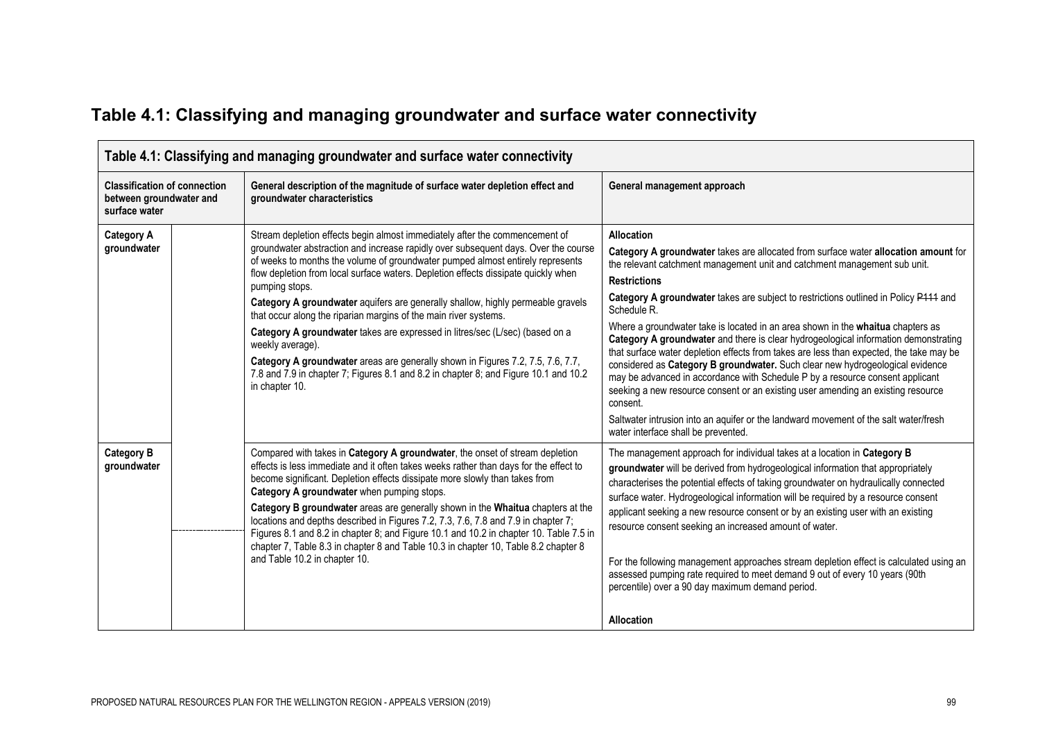| Table 4.1: Classifying and managing groundwater and surface water connectivity  |  |                                                                                                                                                                                                                                                                                                                                                                                                                                                                                                                                                                                                                                                                                                                                                                                                                     |                                                                                                                                                                                                                                                                                                                                                                                                                                                                                                                                                                                                                                                                                                                                                                                                                                                |  |  |
|---------------------------------------------------------------------------------|--|---------------------------------------------------------------------------------------------------------------------------------------------------------------------------------------------------------------------------------------------------------------------------------------------------------------------------------------------------------------------------------------------------------------------------------------------------------------------------------------------------------------------------------------------------------------------------------------------------------------------------------------------------------------------------------------------------------------------------------------------------------------------------------------------------------------------|------------------------------------------------------------------------------------------------------------------------------------------------------------------------------------------------------------------------------------------------------------------------------------------------------------------------------------------------------------------------------------------------------------------------------------------------------------------------------------------------------------------------------------------------------------------------------------------------------------------------------------------------------------------------------------------------------------------------------------------------------------------------------------------------------------------------------------------------|--|--|
| <b>Classification of connection</b><br>between groundwater and<br>surface water |  | General description of the magnitude of surface water depletion effect and<br>groundwater characteristics                                                                                                                                                                                                                                                                                                                                                                                                                                                                                                                                                                                                                                                                                                           | General management approach                                                                                                                                                                                                                                                                                                                                                                                                                                                                                                                                                                                                                                                                                                                                                                                                                    |  |  |
| <b>Category A</b><br>groundwater                                                |  | Stream depletion effects begin almost immediately after the commencement of<br>groundwater abstraction and increase rapidly over subsequent days. Over the course<br>of weeks to months the volume of groundwater pumped almost entirely represents<br>flow depletion from local surface waters. Depletion effects dissipate quickly when<br>pumping stops.<br>Category A groundwater aquifers are generally shallow, highly permeable gravels<br>that occur along the riparian margins of the main river systems.<br>Category A groundwater takes are expressed in litres/sec (L/sec) (based on a<br>weekly average).<br>Category A groundwater areas are generally shown in Figures 7.2, 7.5, 7.6, 7.7,<br>7.8 and 7.9 in chapter 7; Figures 8.1 and 8.2 in chapter 8; and Figure 10.1 and 10.2<br>in chapter 10. | <b>Allocation</b><br>Category A groundwater takes are allocated from surface water allocation amount for<br>the relevant catchment management unit and catchment management sub unit.<br><b>Restrictions</b><br>Category A groundwater takes are subject to restrictions outlined in Policy P111 and<br>Schedule R.<br>Where a groundwater take is located in an area shown in the whaitua chapters as<br>Category A groundwater and there is clear hydrogeological information demonstrating<br>that surface water depletion effects from takes are less than expected, the take may be<br>considered as Category B groundwater. Such clear new hydrogeological evidence<br>may be advanced in accordance with Schedule P by a resource consent applicant<br>seeking a new resource consent or an existing user amending an existing resource |  |  |

# **Table 4.1: Classifying and managing groundwater and surface water connectivity**

|                                  |                                                                                                                                                                                                                                                                                                                                                                                                                                                                                                                                                                                                                                                                                               | consent.<br>Saltwater intrusion into an aquifer or the landward movement of the salt water/fresh<br>water interface shall be prevented.                                                                                                                                                                                                                                                                                                                                                                                                                                                                                                                                                                                                  |
|----------------------------------|-----------------------------------------------------------------------------------------------------------------------------------------------------------------------------------------------------------------------------------------------------------------------------------------------------------------------------------------------------------------------------------------------------------------------------------------------------------------------------------------------------------------------------------------------------------------------------------------------------------------------------------------------------------------------------------------------|------------------------------------------------------------------------------------------------------------------------------------------------------------------------------------------------------------------------------------------------------------------------------------------------------------------------------------------------------------------------------------------------------------------------------------------------------------------------------------------------------------------------------------------------------------------------------------------------------------------------------------------------------------------------------------------------------------------------------------------|
| <b>Category B</b><br>groundwater | Compared with takes in Category A groundwater, the onset of stream depletion<br>effects is less immediate and it often takes weeks rather than days for the effect to<br>become significant. Depletion effects dissipate more slowly than takes from<br>Category A groundwater when pumping stops.<br>Category B groundwater areas are generally shown in the Whaitua chapters at the<br>locations and depths described in Figures 7.2, 7.3, 7.6, 7.8 and 7.9 in chapter 7;<br>Figures 8.1 and 8.2 in chapter 8; and Figure 10.1 and 10.2 in chapter 10. Table 7.5 in<br>chapter 7, Table 8.3 in chapter 8 and Table 10.3 in chapter 10, Table 8.2 chapter 8<br>and Table 10.2 in chapter 10. | The management approach for individual takes at a location in Category B<br>groundwater will be derived from hydrogeological information that appropriately<br>characterises the potential effects of taking groundwater on hydraulically connected<br>surface water. Hydrogeological information will be required by a resource consent<br>applicant seeking a new resource consent or by an existing user with an existing<br>resource consent seeking an increased amount of water.<br>For the following management approaches stream depletion effect is calculated using an<br>assessed pumping rate required to meet demand 9 out of every 10 years (90th<br>percentile) over a 90 day maximum demand period.<br><b>Allocation</b> |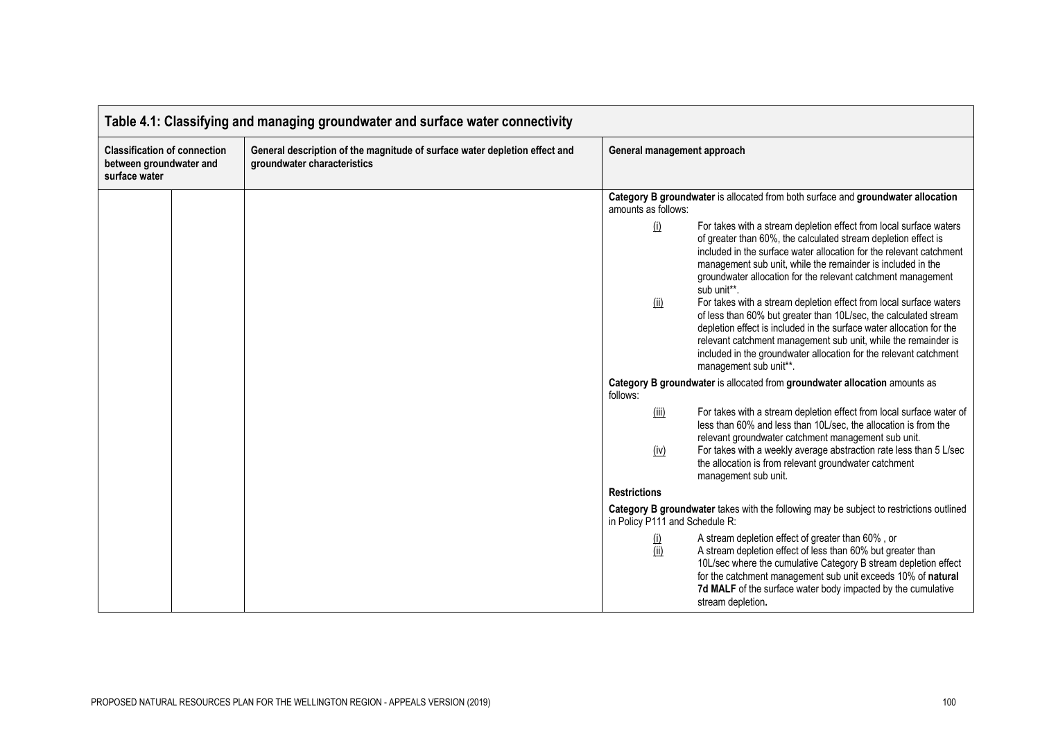| Table 4.1: Classifying and managing groundwater and surface water connectivity  |  |                                                                                                           |                                                                                                                                                                                                                                                                                                                                                                                                                                                                                                                                                                                                                                                                                                                                                             |  |
|---------------------------------------------------------------------------------|--|-----------------------------------------------------------------------------------------------------------|-------------------------------------------------------------------------------------------------------------------------------------------------------------------------------------------------------------------------------------------------------------------------------------------------------------------------------------------------------------------------------------------------------------------------------------------------------------------------------------------------------------------------------------------------------------------------------------------------------------------------------------------------------------------------------------------------------------------------------------------------------------|--|
| <b>Classification of connection</b><br>between groundwater and<br>surface water |  | General description of the magnitude of surface water depletion effect and<br>groundwater characteristics | General management approach                                                                                                                                                                                                                                                                                                                                                                                                                                                                                                                                                                                                                                                                                                                                 |  |
|                                                                                 |  |                                                                                                           | Category B groundwater is allocated from both surface and groundwater allocation<br>amounts as follows:                                                                                                                                                                                                                                                                                                                                                                                                                                                                                                                                                                                                                                                     |  |
|                                                                                 |  |                                                                                                           | (i)<br>For takes with a stream depletion effect from local surface waters<br>of greater than 60%, the calculated stream depletion effect is<br>included in the surface water allocation for the relevant catchment<br>management sub unit, while the remainder is included in the<br>groundwater allocation for the relevant catchment management<br>sub unit**.<br>For takes with a stream depletion effect from local surface waters<br>(ii)<br>of less than 60% but greater than 10L/sec, the calculated stream<br>depletion effect is included in the surface water allocation for the<br>relevant catchment management sub unit, while the remainder is<br>included in the groundwater allocation for the relevant catchment<br>management sub unit**. |  |
|                                                                                 |  |                                                                                                           | Category B groundwater is allocated from groundwater allocation amounts as<br>follows:                                                                                                                                                                                                                                                                                                                                                                                                                                                                                                                                                                                                                                                                      |  |
|                                                                                 |  |                                                                                                           | For takes with a stream depletion effect from local surface water of<br>(iii)<br>less than 60% and less than 10L/sec, the allocation is from the<br>relevant groundwater catchment management sub unit.<br>For takes with a weekly average abstraction rate less than 5 L/sec<br>(iv)<br>the allocation is from relevant groundwater catchment<br>management sub unit.                                                                                                                                                                                                                                                                                                                                                                                      |  |
|                                                                                 |  |                                                                                                           | <b>Restrictions</b>                                                                                                                                                                                                                                                                                                                                                                                                                                                                                                                                                                                                                                                                                                                                         |  |
|                                                                                 |  |                                                                                                           | Category B groundwater takes with the following may be subject to restrictions outlined<br>in Policy P111 and Schedule R:                                                                                                                                                                                                                                                                                                                                                                                                                                                                                                                                                                                                                                   |  |
|                                                                                 |  |                                                                                                           | A stream depletion effect of greater than 60%, or<br>$\frac{1}{1}$<br>A stream depletion effect of less than 60% but greater than<br>10L/sec where the cumulative Category B stream depletion effect<br>for the catchment management sub unit exceeds 10% of natural<br>7d MALF of the surface water body impacted by the cumulative<br>stream depletion.                                                                                                                                                                                                                                                                                                                                                                                                   |  |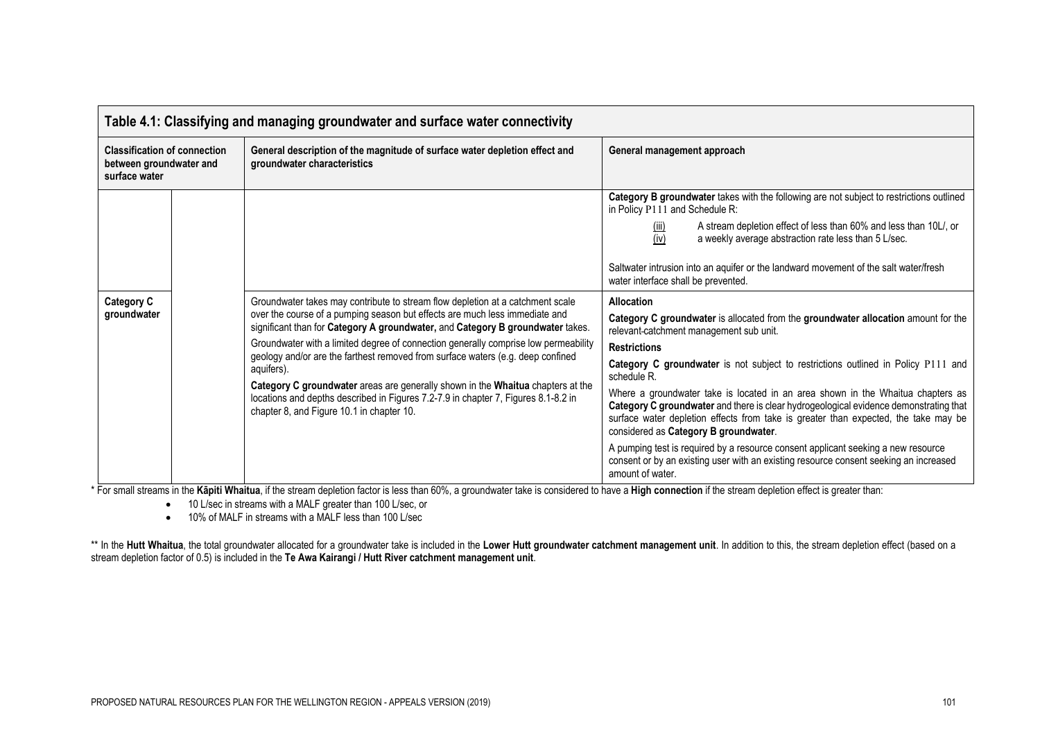| <b>Classification of connection</b><br>General description of the magnitude of surface water depletion effect and<br>groundwater characteristics<br>between groundwater and<br>surface water<br><b>Category C</b><br>Groundwater takes may contribute to stream flow depletion at a catchment scale<br>Allocation<br>over the course of a pumping season but effects are much less immediate and<br>groundwater<br>significant than for Category A groundwater, and Category B groundwater takes.<br>Groundwater with a limited degree of connection generally comprise low permeability<br><b>Restrictions</b> |                                                                                                                                                                                                                                                                                                                                                                                                                                                                                                                                                                                                                                                                                                                  |  |
|-----------------------------------------------------------------------------------------------------------------------------------------------------------------------------------------------------------------------------------------------------------------------------------------------------------------------------------------------------------------------------------------------------------------------------------------------------------------------------------------------------------------------------------------------------------------------------------------------------------------|------------------------------------------------------------------------------------------------------------------------------------------------------------------------------------------------------------------------------------------------------------------------------------------------------------------------------------------------------------------------------------------------------------------------------------------------------------------------------------------------------------------------------------------------------------------------------------------------------------------------------------------------------------------------------------------------------------------|--|
|                                                                                                                                                                                                                                                                                                                                                                                                                                                                                                                                                                                                                 | General management approach                                                                                                                                                                                                                                                                                                                                                                                                                                                                                                                                                                                                                                                                                      |  |
| geology and/or are the farthest removed from surface waters (e.g. deep confined<br>aquifers).<br>schedule R.<br>Category C groundwater areas are generally shown in the Whaitua chapters at the                                                                                                                                                                                                                                                                                                                                                                                                                 | Category B groundwater takes with the following are not subject to restrictions outlined<br>in Policy P111 and Schedule R:<br>A stream depletion effect of less than 60% and less than 10L/, or<br>(III)<br>(iv)<br>a weekly average abstraction rate less than 5 L/sec.<br>Saltwater intrusion into an aquifer or the landward movement of the salt water/fresh<br>water interface shall be prevented.<br>Category C groundwater is allocated from the groundwater allocation amount for the<br>relevant catchment management sub unit.<br>Category C groundwater is not subject to restrictions outlined in Policy P111 and<br>Where a groundwater take is located in an area shown in the Whaitua chapters as |  |
| locations and depths described in Figures 7.2-7.9 in chapter 7, Figures 8.1-8.2 in<br>chapter 8, and Figure 10.1 in chapter 10.                                                                                                                                                                                                                                                                                                                                                                                                                                                                                 | Category C groundwater and there is clear hydrogeological evidence demonstrating that<br>surface water depletion effects from take is greater than expected, the take may be<br>considered as Category B groundwater.<br>A pumping test is required by a resource consent applicant seeking a new resource<br>consent or by an existing user with an existing resource consent seeking an increased                                                                                                                                                                                                                                                                                                              |  |

\* For small streams in the **Kāpiti Whaitua**, if the stream depletion factor is less than 60%, a groundwater take is considered to have a **High connection** if the stream depletion effect is greater than:

• 10 L/sec in streams with a MALF greater than 100 L/sec, or

• 10% of MALF in streams with a MALF less than 100 L/sec

\*\* In the Hutt Whaitua, the total groundwater allocated for a groundwater take is included in the Lower Hutt groundwater catchment management unit. In addition to this, the stream depletion effect (based on a stream depletion factor of 0.5) is included in the **Te Awa Kairangi / Hutt River catchment management unit**.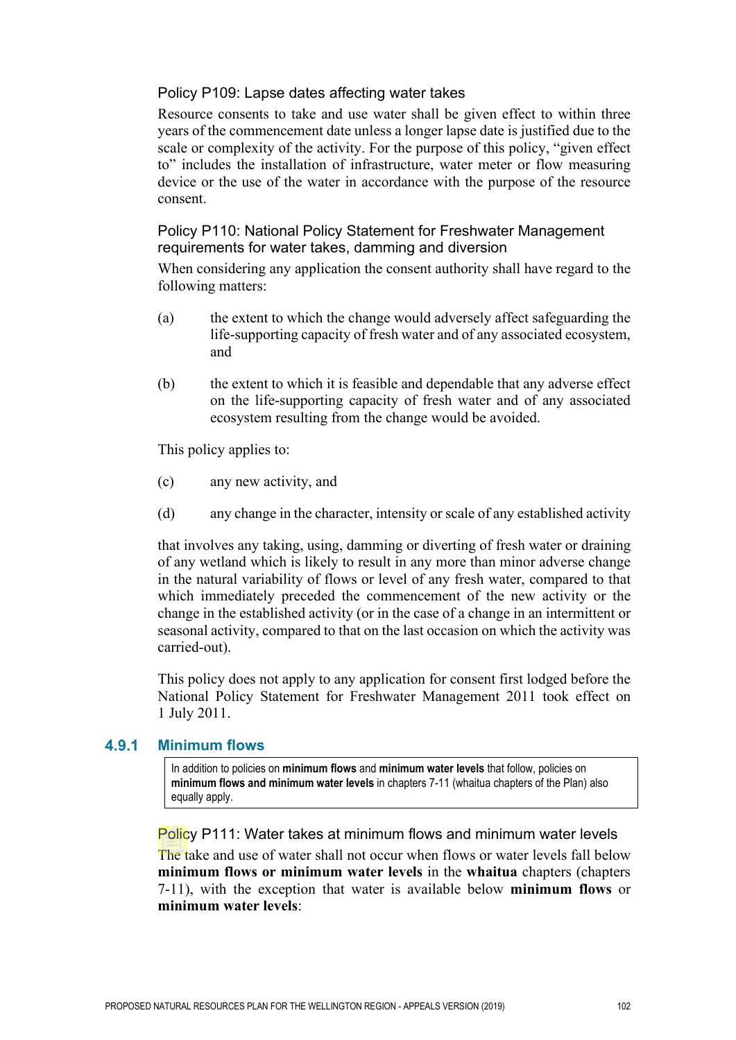### Policy P109: Lapse dates affecting water takes

Resource consents to take and use water shall be given effect to within three years of the commencement date unless a longer lapse date is justified due to the scale or complexity of the activity. For the purpose of this policy, "given effect to" includes the installation of infrastructure, water meter or flow measuring device or the use of the water in accordance with the purpose of the resource consent.

### Policy P110: National Policy Statement for Freshwater Management requirements for water takes, damming and diversion

When considering any application the consent authority shall have regard to the following matters:

- (a) the extent to which the change would adversely affect safeguarding the life-supporting capacity of fresh water and of any associated ecosystem, and
- (b) the extent to which it is feasible and dependable that any adverse effect on the life-supporting capacity of fresh water and of any associated ecosystem resulting from the change would be avoided.

This policy applies to:

- (c) any new activity, and
- (d) any change in the character, intensity or scale of any established activity

that involves any taking, using, damming or diverting of fresh water or draining of any wetland which is likely to result in any more than minor adverse change in the natural variability of flows or level of any fresh water, compared to that which immediately preceded the commencement of the new activity or the change in the established activity (or in the case of a change in an intermittent or seasonal activity, compared to that on the last occasion on which the activity was carried-out).

This policy does not apply to any application for consent first lodged before the National Policy Statement for Freshwater Management 2011 took effect on 1 July 2011.

#### 4.9.1 **Minimum flows**

In addition to policies on **minimum flows** and **minimum water levels** that follow, policies on **minimum flows and minimum water levels** in chapters 7-11 (whaitua chapters of the Plan) also equally apply.

Policy P111: Water takes at minimum flows and minimum water levels

The take and use of water shall not occur when flows or water levels fall below **minimum flows or minimum water levels** in the **whaitua** chapters (chapters 7-11), with the exception that water is available below **minimum flows** or **minimum water levels**: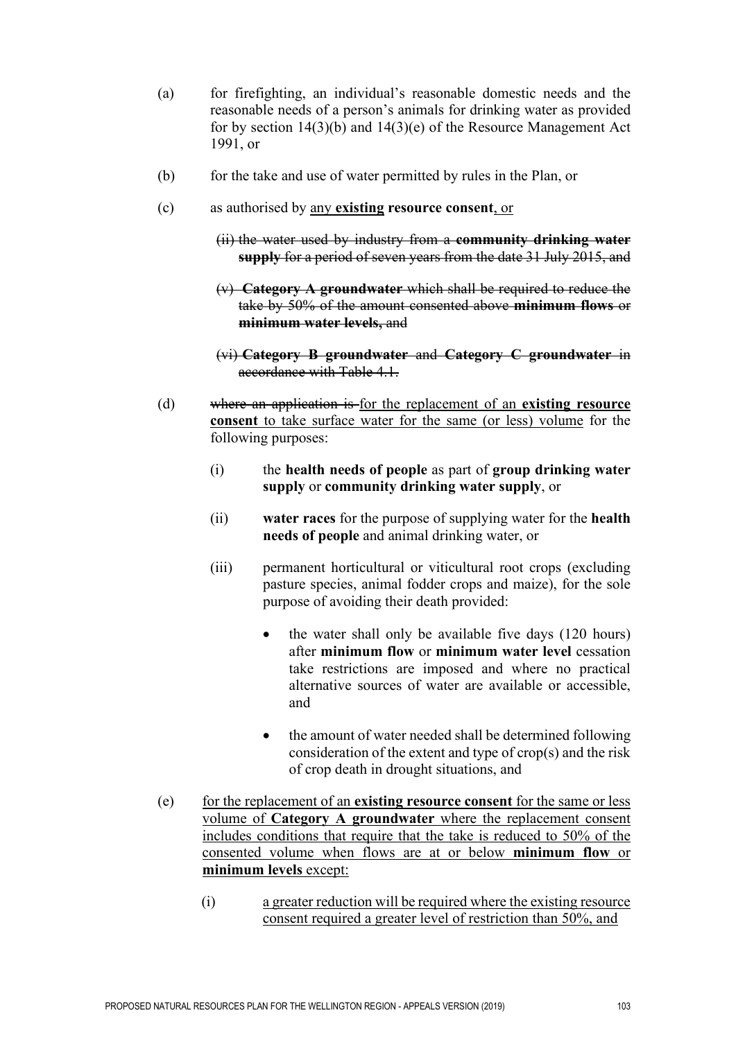- (a) for firefighting, an individual's reasonable domestic needs and the reasonable needs of a person's animals for drinking water as provided for by section 14(3)(b) and 14(3)(e) of the Resource Management Act 1991, or
- (b) for the take and use of water permitted by rules in the Plan, or
- (c) as authorised by any **existing resource consent**, or
	- (ii) the water used by industry from a **community drinking water supply** for a period of seven years from the date 31 July 2015, and
	- (v) **Category A groundwater** which shall be required to reduce the take by 50% of the amount consented above **minimum flows** or **minimum water levels,** and
	- (vi) **Category B groundwater** and **Category C groundwater** in accordance with Table 4.1.
- (d) where an application is for the replacement of an **existing resource consent** to take surface water for the same (or less) volume for the following purposes:
	- (i) the **health needs of people** as part of **group drinking water supply** or **community drinking water supply**, or
	- (ii) **water races** for the purpose of supplying water for the **health needs of people** and animal drinking water, or
	- (iii) permanent horticultural or viticultural root crops (excluding pasture species, animal fodder crops and maize), for the sole purpose of avoiding their death provided:
		- the water shall only be available five days (120 hours) after **minimum flow** or **minimum water level** cessation take restrictions are imposed and where no practical alternative sources of water are available or accessible, and
		- the amount of water needed shall be determined following consideration of the extent and type of crop(s) and the risk of crop death in drought situations, and
- (e) for the replacement of an **existing resource consent** for the same or less volume of **Category A groundwater** where the replacement consent includes conditions that require that the take is reduced to 50% of the consented volume when flows are at or below **minimum flow** or **minimum levels** except:
	- (i) a greater reduction will be required where the existing resource consent required a greater level of restriction than 50%, and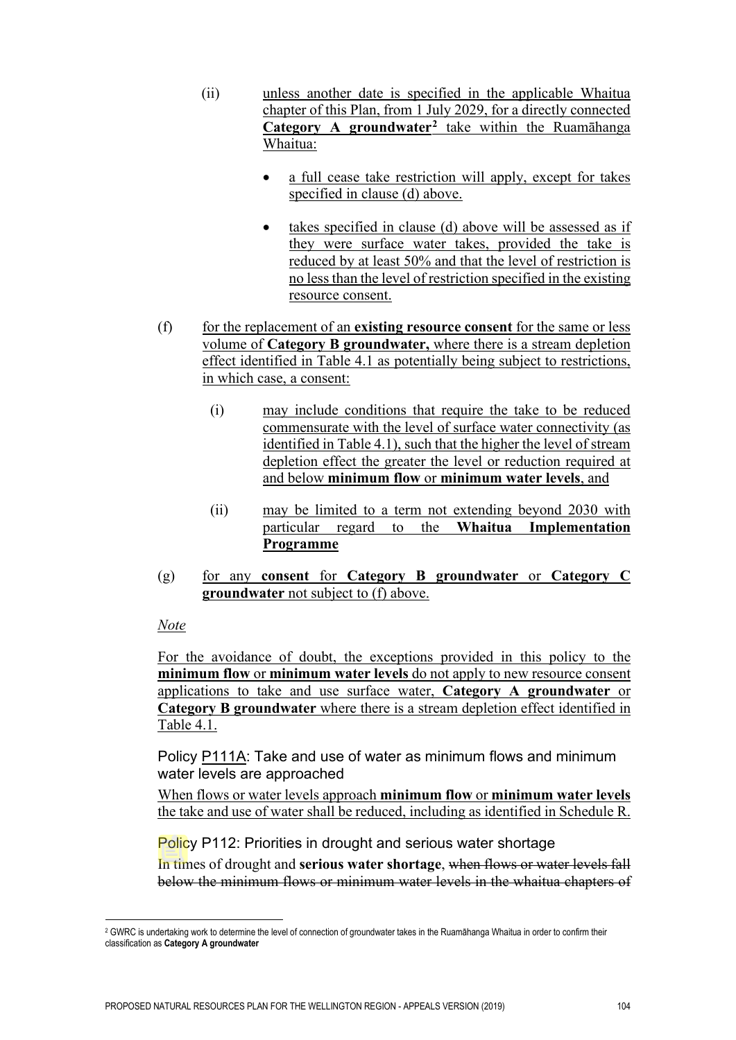- (ii) unless another date is specified in the applicable Whaitua chapter of this Plan, from 1 July 2029, for a directly connected **Category A groundwater[2](#page-50-0)** take within the Ruamāhanga Whaitua:
	- a full cease take restriction will apply, except for takes specified in clause (d) above.
	- takes specified in clause (d) above will be assessed as if they were surface water takes, provided the take is reduced by at least 50% and that the level of restriction is no less than the level of restriction specified in the existing resource consent.
- (f) for the replacement of an **existing resource consent** for the same or less volume of **Category B groundwater,** where there is a stream depletion effect identified in Table 4.1 as potentially being subject to restrictions, in which case, a consent:
	- (i) may include conditions that require the take to be reduced commensurate with the level of surface water connectivity (as identified in Table 4.1), such that the higher the level of stream depletion effect the greater the level or reduction required at and below **minimum flow** or **minimum water levels**, and
	- (ii) may be limited to a term not extending beyond 2030 with particular regard to the **Whaitua Implementation Programme**
- (g) for any **consent** for **Category B groundwater** or **Category C groundwater** not subject to (f) above.

### *Note*

For the avoidance of doubt, the exceptions provided in this policy to the **minimum flow** or **minimum water levels** do not apply to new resource consent applications to take and use surface water, **Category A groundwater** or **Category B groundwater** where there is a stream depletion effect identified in Table 4.1.

Policy P111A: Take and use of water as minimum flows and minimum water levels are approached

When flows or water levels approach **minimum flow** or **minimum water levels** the take and use of water shall be reduced, including as identified in Schedule R.

Policy P112: Priorities in drought and serious water shortage

In times of drought and **serious water shortage**, when flows or water levels fall below the minimum flows or minimum water levels in the whaitua chapters of

<span id="page-50-0"></span><sup>&</sup>lt;sup>2</sup> GWRC is undertaking work to determine the level of connection of groundwater takes in the Ruamāhanga Whaitua in order to confirm their classification as **Category A groundwater**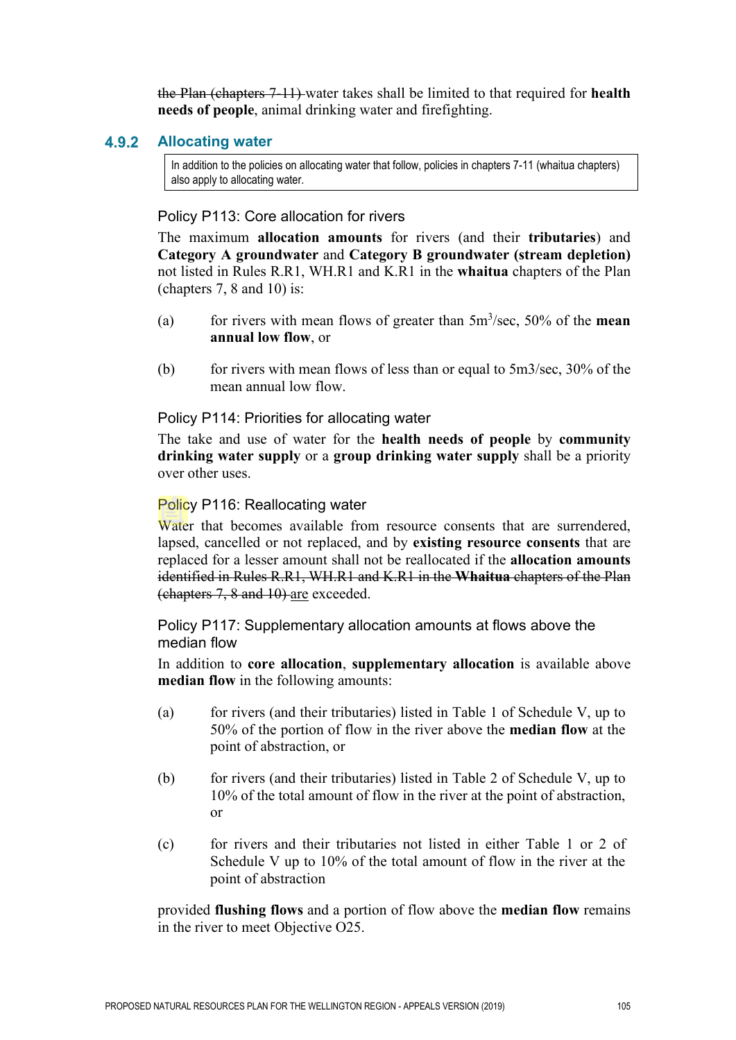the Plan (chapters 7-11) water takes shall be limited to that required for **health needs of people**, animal drinking water and firefighting.

#### $4.9.2$ **Allocating water**

In addition to the policies on allocating water that follow, policies in chapters 7-11 (whaitua chapters) also apply to allocating water.

#### Policy P113: Core allocation for rivers

The maximum **allocation amounts** for rivers (and their **tributaries**) and **Category A groundwater** and **Category B groundwater (stream depletion)** not listed in Rules R.R1, WH.R1 and K.R1 in the **whaitua** chapters of the Plan (chapters 7, 8 and 10) is:

- (a) for rivers with mean flows of greater than 5m<sup>3</sup> /sec, 50% of the **mean annual low flow**, or
- (b) for rivers with mean flows of less than or equal to  $5 \text{m}^3/\text{sec}$ ,  $30\%$  of the mean annual low flow.

Policy P114: Priorities for allocating water

The take and use of water for the **health needs of people** by **community drinking water supply** or a **group drinking water supply** shall be a priority over other uses.

#### Policy P116: Reallocating water

Water that becomes available from resource consents that are surrendered, lapsed, cancelled or not replaced, and by **existing resource consents** that are replaced for a lesser amount shall not be reallocated if the **allocation amounts** identified in Rules R.R1, WH.R1 and K.R1 in the **Whaitua** chapters of the Plan (chapters 7, 8 and 10) are exceeded.

Policy P117: Supplementary allocation amounts at flows above the median flow

In addition to **core allocation**, **supplementary allocation** is available above **median flow** in the following amounts:

- (a) for rivers (and their tributaries) listed in Table 1 of Schedule V, up to 50% of the portion of flow in the river above the **median flow** at the point of abstraction, or
- (b) for rivers (and their tributaries) listed in Table 2 of Schedule V, up to 10% of the total amount of flow in the river at the point of abstraction, or
- (c) for rivers and their tributaries not listed in either Table 1 or 2 of Schedule V up to 10% of the total amount of flow in the river at the point of abstraction

provided **flushing flows** and a portion of flow above the **median flow** remains in the river to meet Objective O25.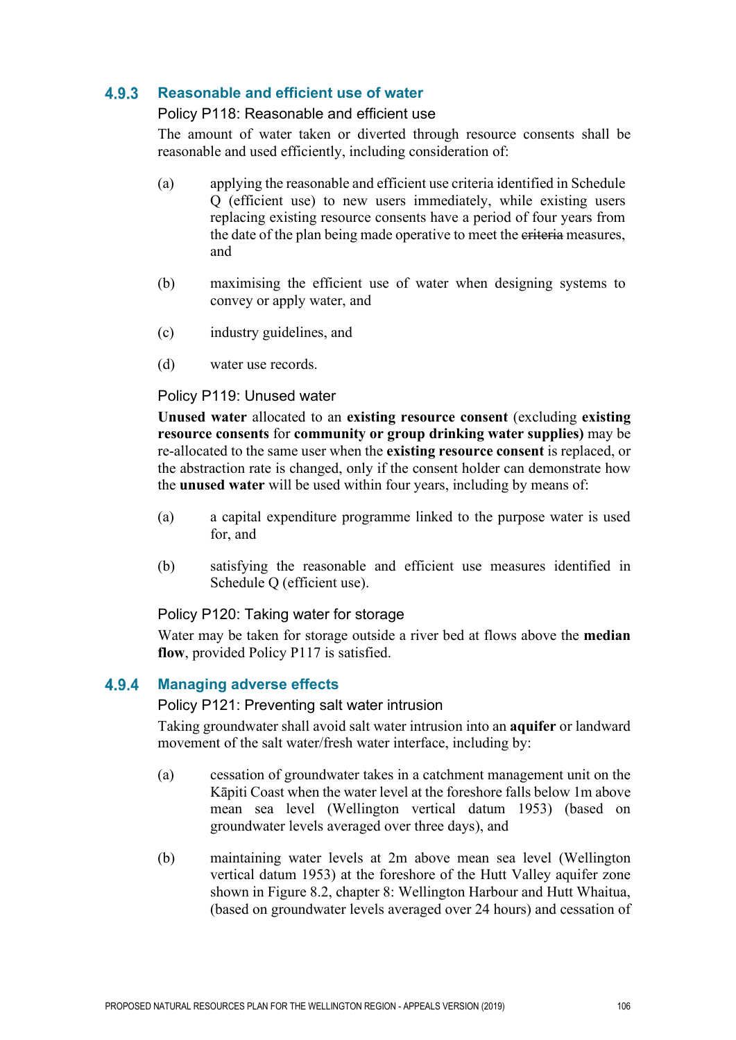#### $4.9.3$ **Reasonable and efficient use of water**

#### Policy P118: Reasonable and efficient use

The amount of water taken or diverted through resource consents shall be reasonable and used efficiently, including consideration of:

- (a) applying the reasonable and efficient use criteria identified in Schedule Q (efficient use) to new users immediately, while existing users replacing existing resource consents have a period of four years from the date of the plan being made operative to meet the eriteria measures, and
- (b) maximising the efficient use of water when designing systems to convey or apply water, and
- (c) industry guidelines, and
- (d) water use records.

#### Policy P119: Unused water

**Unused water** allocated to an **existing resource consent** (excluding **existing resource consents** for **community or group drinking water supplies)** may be re-allocated to the same user when the **existing resource consent** is replaced, or the abstraction rate is changed, only if the consent holder can demonstrate how the **unused water** will be used within four years, including by means of:

- (a) a capital expenditure programme linked to the purpose water is used for, and
- (b) satisfying the reasonable and efficient use measures identified in Schedule Q (efficient use).

### Policy P120: Taking water for storage

Water may be taken for storage outside a river bed at flows above the **median flow**, provided Policy P117 is satisfied.

#### $4.9.4$ **Managing adverse effects**

#### Policy P121: Preventing salt water intrusion

Taking groundwater shall avoid salt water intrusion into an **aquifer** or landward movement of the salt water/fresh water interface, including by:

- (a) cessation of groundwater takes in a catchment management unit on the Kāpiti Coast when the water level at the foreshore falls below 1m above mean sea level (Wellington vertical datum 1953) (based on groundwater levels averaged over three days), and
- (b) maintaining water levels at 2m above mean sea level (Wellington vertical datum 1953) at the foreshore of the Hutt Valley aquifer zone shown in Figure 8.2, chapter 8: Wellington Harbour and Hutt Whaitua, (based on groundwater levels averaged over 24 hours) and cessation of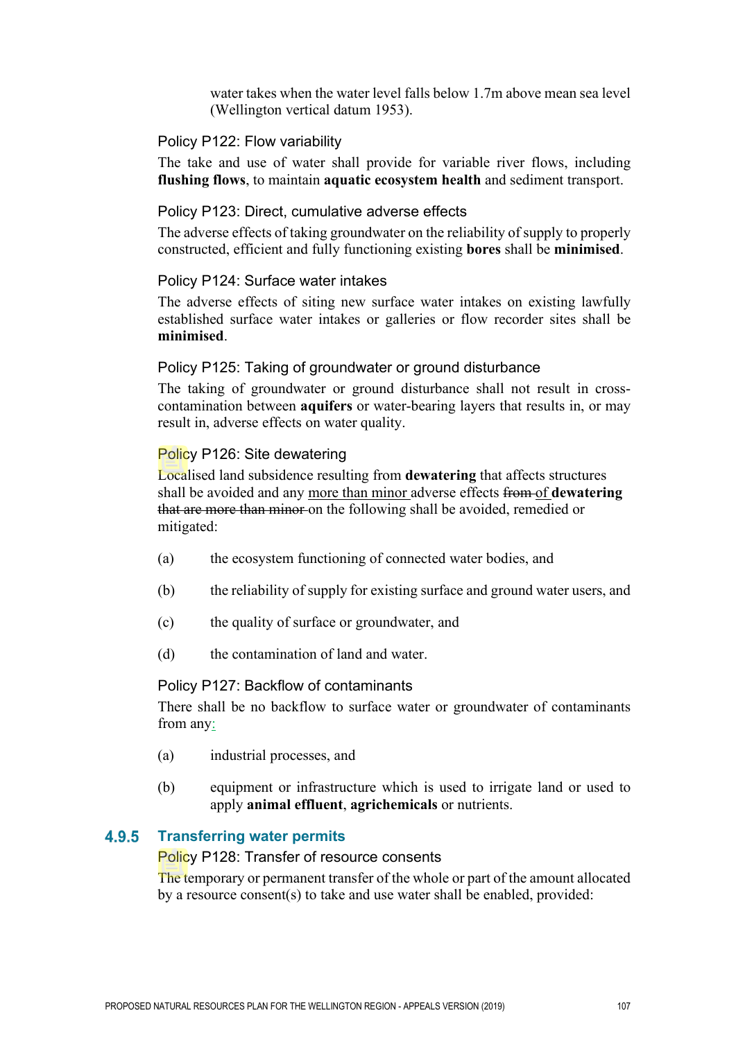water takes when the water level falls below 1.7m above mean sea level (Wellington vertical datum 1953).

#### Policy P122: Flow variability

The take and use of water shall provide for variable river flows, including **flushing flows**, to maintain **aquatic ecosystem health** and sediment transport.

#### Policy P123: Direct, cumulative adverse effects

The adverse effects of taking groundwater on the reliability of supply to properly constructed, efficient and fully functioning existing **bores** shall be **minimised**.

#### Policy P124: Surface water intakes

The adverse effects of siting new surface water intakes on existing lawfully established surface water intakes or galleries or flow recorder sites shall be **minimised**.

#### Policy P125: Taking of groundwater or ground disturbance

The taking of groundwater or ground disturbance shall not result in crosscontamination between **aquifers** or water-bearing layers that results in, or may result in, adverse effects on water quality.

#### Policy P126: Site dewatering

Localised land subsidence resulting from **dewatering** that affects structures shall be avoided and any more than minor adverse effects from of **dewatering** that are more than minor on the following shall be avoided, remedied or mitigated:

- (a) the ecosystem functioning of connected water bodies, and
- (b) the reliability of supply for existing surface and ground water users, and
- (c) the quality of surface or groundwater, and
- (d) the contamination of land and water.

#### Policy P127: Backflow of contaminants

There shall be no backflow to surface water or groundwater of contaminants from any:

- (a) industrial processes, and
- (b) equipment or infrastructure which is used to irrigate land or used to apply **animal effluent**, **agrichemicals** or nutrients.

#### 4.9.5 **Transferring water permits**

#### Policy P128: Transfer of resource consents

The temporary or permanent transfer of the whole or part of the amount allocated by a resource consent(s) to take and use water shall be enabled, provided: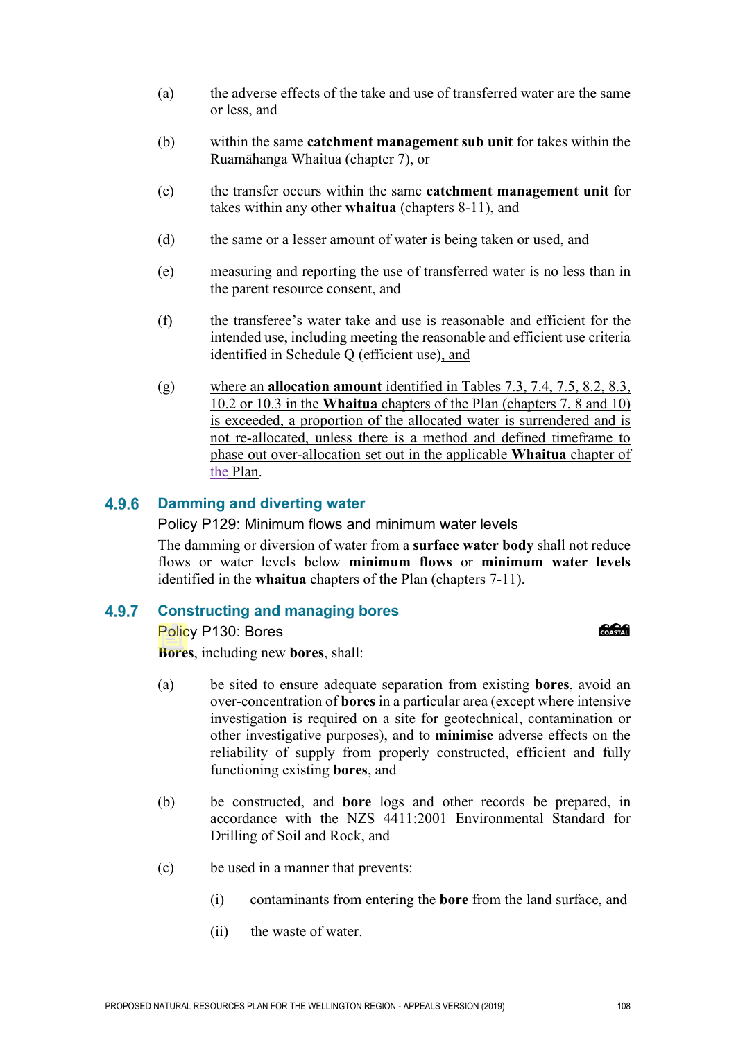- (a) the adverse effects of the take and use of transferred water are the same or less, and
- (b) within the same **catchment management sub unit** for takes within the Ruamāhanga Whaitua (chapter 7), or
- (c) the transfer occurs within the same **catchment management unit** for takes within any other **whaitua** (chapters 8-11), and
- (d) the same or a lesser amount of water is being taken or used, and
- (e) measuring and reporting the use of transferred water is no less than in the parent resource consent, and
- (f) the transferee's water take and use is reasonable and efficient for the intended use, including meeting the reasonable and efficient use criteria identified in Schedule Q (efficient use), and
- (g) where an **allocation amount** identified in Tables 7.3, 7.4, 7.5, 8.2, 8.3, 10.2 or 10.3 in the **Whaitua** chapters of the Plan (chapters 7, 8 and 10) is exceeded, a proportion of the allocated water is surrendered and is not re-allocated, unless there is a method and defined timeframe to phase out over-allocation set out in the applicable **Whaitua** chapter of the Plan.

#### 4.9.6 **Damming and diverting water**

Policy P129: Minimum flows and minimum water levels

The damming or diversion of water from a **surface water body** shall not reduce flows or water levels below **minimum flows** or **minimum water levels** identified in the **whaitua** chapters of the Plan (chapters 7-11).

#### 4.9.7 **Constructing and managing bores**

Policy P130: Bores **Bores**, including new **bores**, shall:

- **COASTAN**
- (a) be sited to ensure adequate separation from existing **bores**, avoid an over-concentration of **bores** in a particular area (except where intensive investigation is required on a site for geotechnical, contamination or other investigative purposes), and to **minimise** adverse effects on the reliability of supply from properly constructed, efficient and fully functioning existing **bores**, and
- (b) be constructed, and **bore** logs and other records be prepared, in accordance with the NZS 4411:2001 Environmental Standard for Drilling of Soil and Rock, and
- (c) be used in a manner that prevents:
	- (i) contaminants from entering the **bore** from the land surface, and
	- (ii) the waste of water.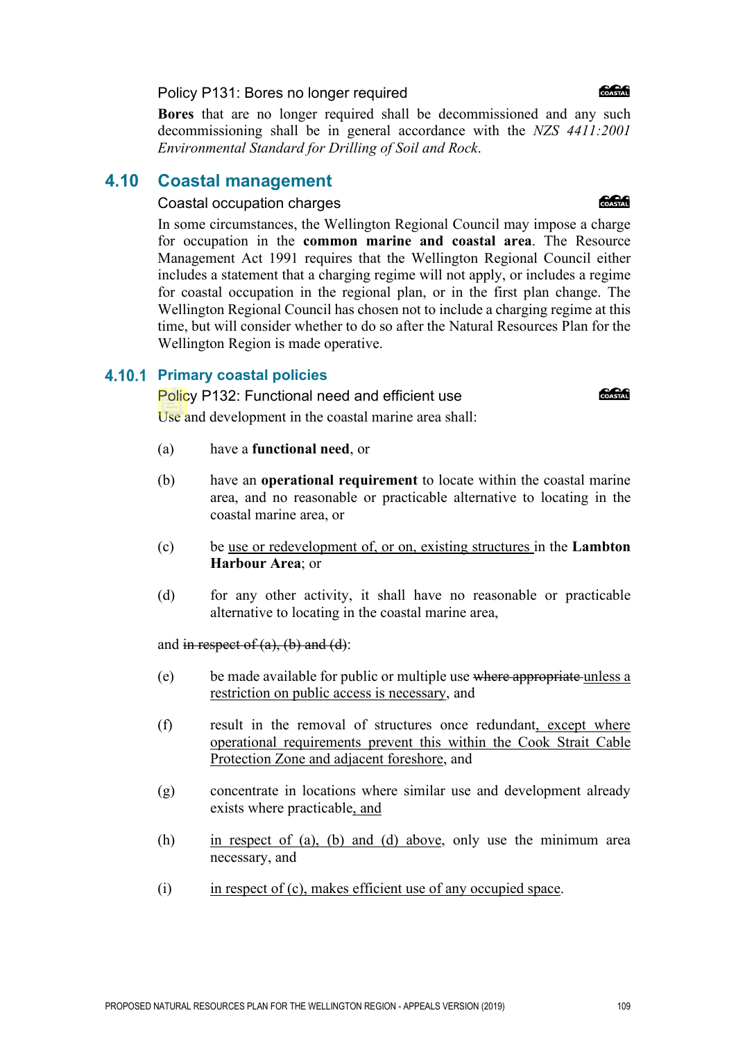PROPOSED NATURAL RESOURCES PLAN FOR THE WELLINGTON REGION - APPEALS VERSION (2019) 109

Policy P131: Bores no longer required

**Bores** that are no longer required shall be decommissioned and any such decommissioning shall be in general accordance with the *NZS 4411:2001 Environmental Standard for Drilling of Soil and Rock*.

### **4.10 Coastal management**

#### Coastal occupation charges

In some circumstances, the Wellington Regional Council may impose a charge for occupation in the **common marine and coastal area**. The Resource Management Act 1991 requires that the Wellington Regional Council either includes a statement that a charging regime will not apply, or includes a regime for coastal occupation in the regional plan, or in the first plan change. The Wellington Regional Council has chosen not to include a charging regime at this time, but will consider whether to do so after the Natural Resources Plan for the Wellington Region is made operative.

#### **Primary coastal policies**

Policy P132: Functional need and efficient use Use and development in the coastal marine area shall:

- (a) have a **functional need**, or
- (b) have an **operational requirement** to locate within the coastal marine area, and no reasonable or practicable alternative to locating in the coastal marine area, or
- (c) be use or redevelopment of, or on, existing structures in the **Lambton Harbour Area**; or
- (d) for any other activity, it shall have no reasonable or practicable alternative to locating in the coastal marine area,

and in respect of  $(a)$ ,  $(b)$  and  $(d)$ :

- (e) be made available for public or multiple use where appropriate unless a restriction on public access is necessary, and
- (f) result in the removal of structures once redundant, except where operational requirements prevent this within the Cook Strait Cable Protection Zone and adjacent foreshore, and
- (g) concentrate in locations where similar use and development already exists where practicable, and
- (h) in respect of (a), (b) and (d) above, only use the minimum area necessary, and
- (i) in respect of (c), makes efficient use of any occupied space.

COASTAL



**Concrete**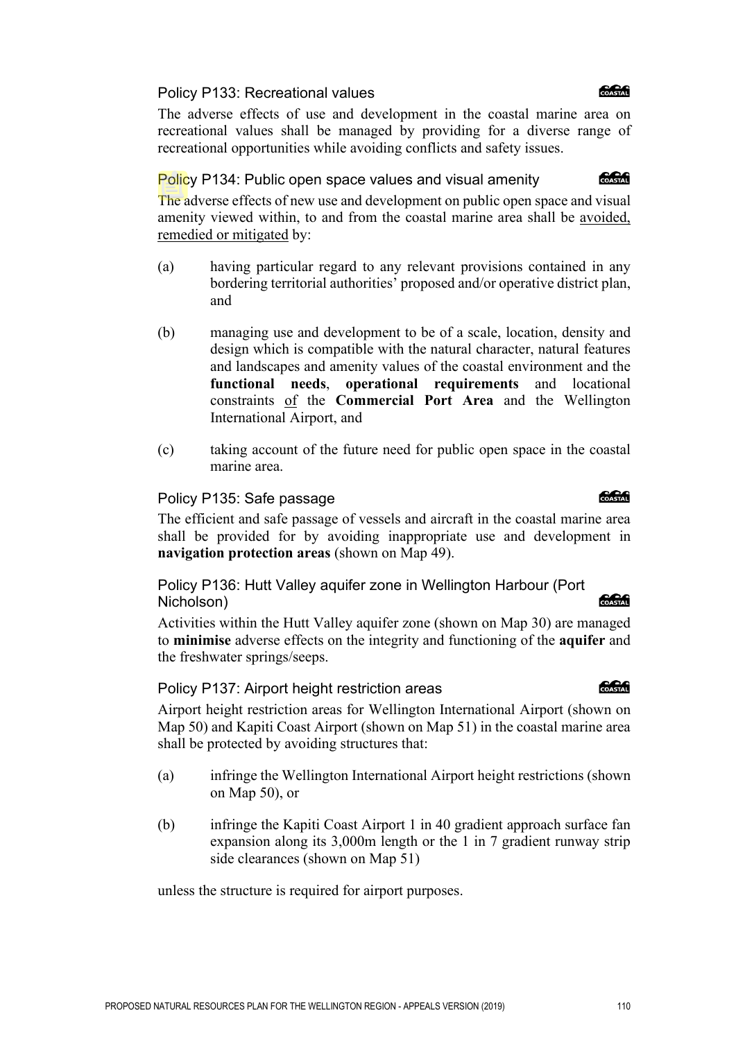PROPOSED NATURAL RESOURCES PLAN FOR THE WELLINGTON REGION - APPEALS VERSION (2019) 110

#### Policy P133: Recreational values

The adverse effects of use and development in the coastal marine area on recreational values shall be managed by providing for a diverse range of recreational opportunities while avoiding conflicts and safety issues.

#### Policy P134: Public open space values and visual amenity

The adverse effects of new use and development on public open space and visual amenity viewed within, to and from the coastal marine area shall be avoided, remedied or mitigated by:

- (a) having particular regard to any relevant provisions contained in any bordering territorial authorities' proposed and/or operative district plan, and
- (b) managing use and development to be of a scale, location, density and design which is compatible with the natural character, natural features and landscapes and amenity values of the coastal environment and the **functional needs**, **operational requirements** and locational constraints of the **Commercial Port Area** and the Wellington International Airport, and
- (c) taking account of the future need for public open space in the coastal marine area.

### Policy P135: Safe passage

The efficient and safe passage of vessels and aircraft in the coastal marine area shall be provided for by avoiding inappropriate use and development in **navigation protection areas** (shown on Map 49).

Policy P136: Hutt Valley aquifer zone in Wellington Harbour (Port Nicholson)

Activities within the Hutt Valley aquifer zone (shown on Map 30) are managed to **minimise** adverse effects on the integrity and functioning of the **aquifer** and the freshwater springs/seeps.

### Policy P137: Airport height restriction areas

Airport height restriction areas for Wellington International Airport (shown on Map 50) and Kapiti Coast Airport (shown on Map 51) in the coastal marine area shall be protected by avoiding structures that:

- (a) infringe the Wellington International Airport height restrictions (shown on Map 50), or
- (b) infringe the Kapiti Coast Airport 1 in 40 gradient approach surface fan expansion along its 3,000m length or the 1 in 7 gradient runway strip side clearances (shown on Map 51)

unless the structure is required for airport purposes.

**ang an** 

#### **CACA**

COASTAL

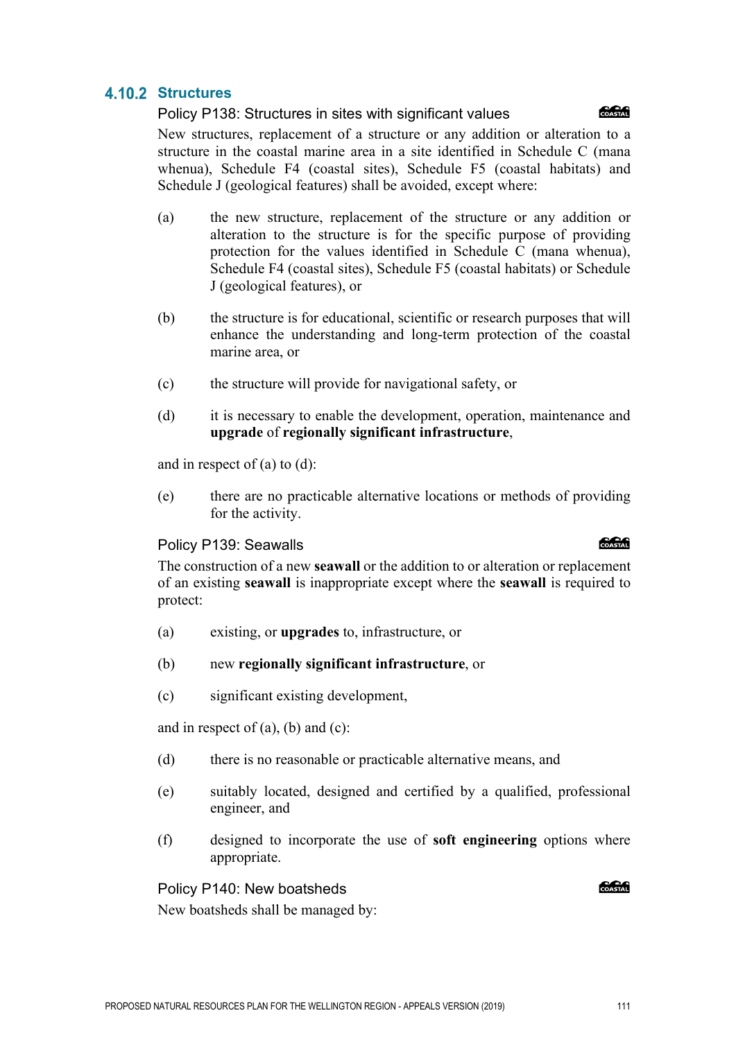# **4.10.2 Structures**

Policy P138: Structures in sites with significant values



New structures, replacement of a structure or any addition or alteration to a structure in the coastal marine area in a site identified in Schedule C (mana whenua), Schedule F4 (coastal sites), Schedule F5 (coastal habitats) and Schedule J (geological features) shall be avoided, except where:

- (a) the new structure, replacement of the structure or any addition or alteration to the structure is for the specific purpose of providing protection for the values identified in Schedule C (mana whenua), Schedule F4 (coastal sites), Schedule F5 (coastal habitats) or Schedule J (geological features), or
- (b) the structure is for educational, scientific or research purposes that will enhance the understanding and long-term protection of the coastal marine area, or
- (c) the structure will provide for navigational safety, or
- (d) it is necessary to enable the development, operation, maintenance and **upgrade** of **regionally significant infrastructure**,

and in respect of  $(a)$  to  $(d)$ :

(e) there are no practicable alternative locations or methods of providing for the activity.

#### Policy P139: Seawalls

The construction of a new **seawall** or the addition to or alteration or replacement of an existing **seawall** is inappropriate except where the **seawall** is required to protect:

- (a) existing, or **upgrades** to, infrastructure, or
- (b) new **regionally significant infrastructure**, or
- (c) significant existing development,

and in respect of  $(a)$ ,  $(b)$  and  $(c)$ :

- (d) there is no reasonable or practicable alternative means, and
- (e) suitably located, designed and certified by a qualified, professional engineer, and
- (f) designed to incorporate the use of **soft engineering** options where appropriate.

### Policy P140: New boatsheds

**ang Common** 

New boatsheds shall be managed by:

#### **C.C.G**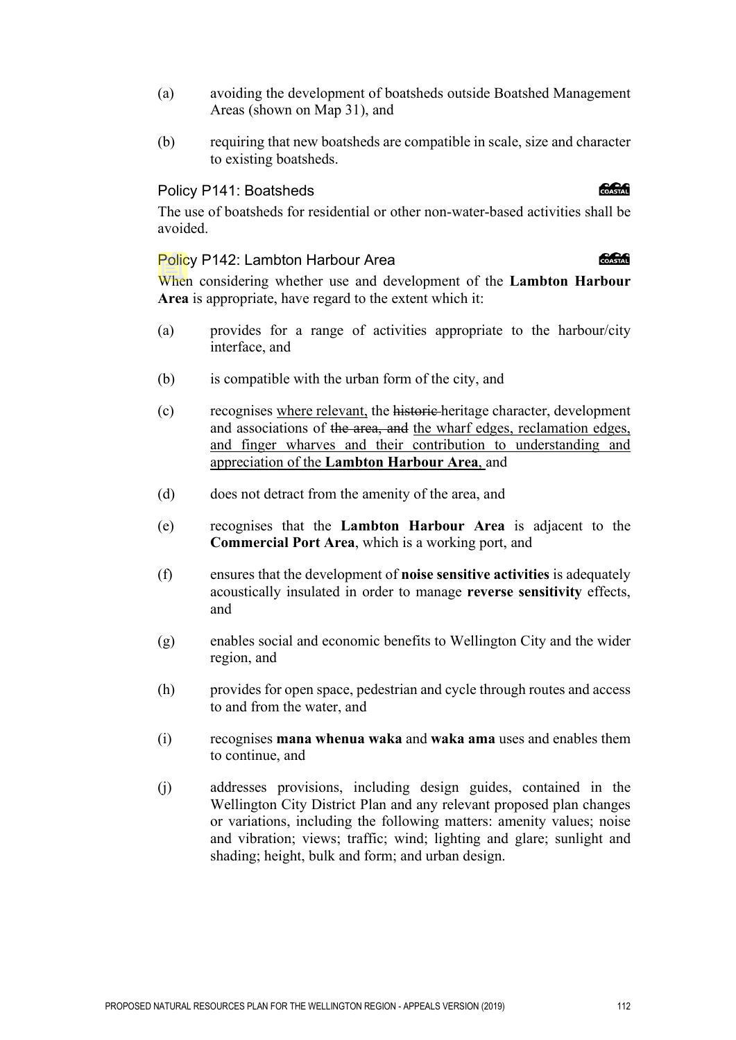- (a) avoiding the development of boatsheds outside Boatshed Management Areas (shown on Map 31), and
- (b) requiring that new boatsheds are compatible in scale, size and character to existing boatsheds.

#### Policy P141: Boatsheds

The use of boatsheds for residential or other non-water-based activities shall be avoided.

#### Policy P142: Lambton Harbour Area

When considering whether use and development of the **Lambton Harbour Area** is appropriate, have regard to the extent which it:

- (a) provides for a range of activities appropriate to the harbour/city interface, and
- (b) is compatible with the urban form of the city, and
- (c) recognises where relevant, the historic heritage character, development and associations of the area, and the wharf edges, reclamation edges, and finger wharves and their contribution to understanding and appreciation of the **Lambton Harbour Area**, and
- (d) does not detract from the amenity of the area, and
- (e) recognises that the **Lambton Harbour Area** is adjacent to the **Commercial Port Area**, which is a working port, and
- (f) ensures that the development of **noise sensitive activities** is adequately acoustically insulated in order to manage **reverse sensitivity** effects, and
- (g) enables social and economic benefits to Wellington City and the wider region, and
- (h) provides for open space, pedestrian and cycle through routes and access to and from the water, and
- (i) recognises **mana whenua waka** and **waka ama** uses and enables them to continue, and
- (j) addresses provisions, including design guides, contained in the Wellington City District Plan and any relevant proposed plan changes or variations, including the following matters: amenity values; noise and vibration; views; traffic; wind; lighting and glare; sunlight and shading; height, bulk and form; and urban design.

#### COASTAL

*<u> SSSSS</u>*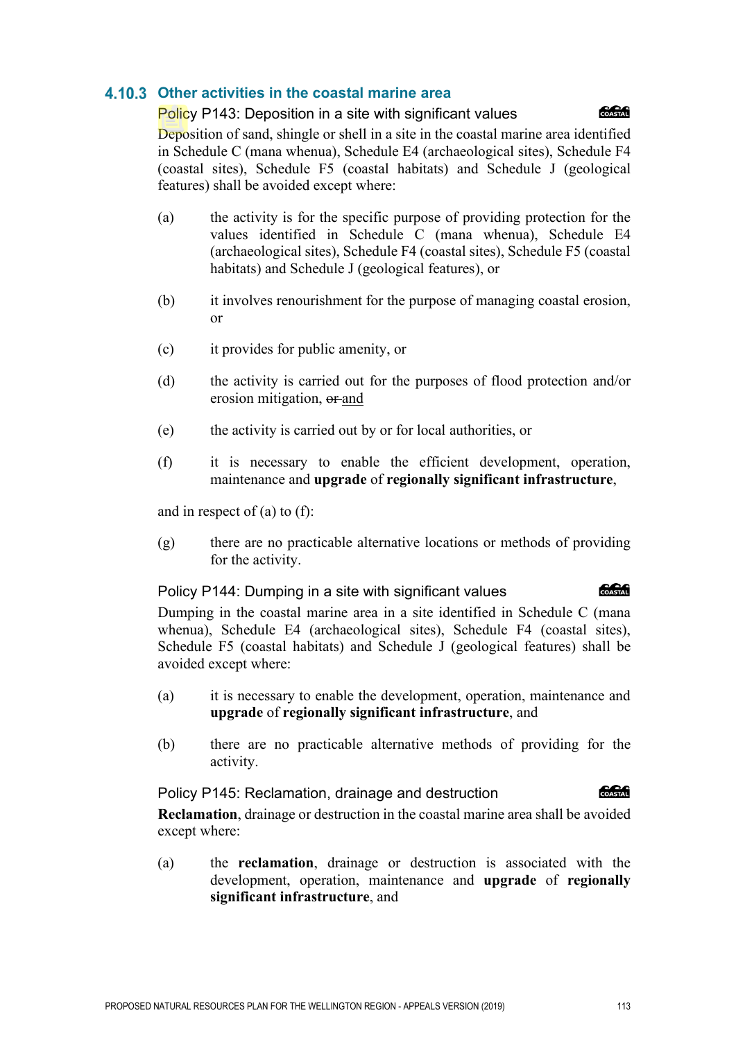### **Other activities in the coastal marine area**

#### Policy P143: Deposition in a site with significant values



Deposition of sand, shingle or shell in a site in the coastal marine area identified in Schedule C (mana whenua), Schedule E4 (archaeological sites), Schedule F4 (coastal sites), Schedule F5 (coastal habitats) and Schedule J (geological features) shall be avoided except where:

- (a) the activity is for the specific purpose of providing protection for the values identified in Schedule C (mana whenua), Schedule E4 (archaeological sites), Schedule F4 (coastal sites), Schedule F5 (coastal habitats) and Schedule J (geological features), or
- (b) it involves renourishment for the purpose of managing coastal erosion, or
- (c) it provides for public amenity, or
- (d) the activity is carried out for the purposes of flood protection and/or erosion mitigation, or and
- (e) the activity is carried out by or for local authorities, or
- (f) it is necessary to enable the efficient development, operation, maintenance and **upgrade** of **regionally significant infrastructure**,

and in respect of (a) to (f):

(g) there are no practicable alternative locations or methods of providing for the activity.

Policy P144: Dumping in a site with significant values

Dumping in the coastal marine area in a site identified in Schedule C (mana whenua), Schedule E4 (archaeological sites), Schedule F4 (coastal sites), Schedule F5 (coastal habitats) and Schedule J (geological features) shall be avoided except where:

- (a) it is necessary to enable the development, operation, maintenance and **upgrade** of **regionally significant infrastructure**, and
- (b) there are no practicable alternative methods of providing for the activity.

COASTAL Policy P145: Reclamation, drainage and destruction

**Reclamation**, drainage or destruction in the coastal marine area shall be avoided except where:

(a) the **reclamation**, drainage or destruction is associated with the development, operation, maintenance and **upgrade** of **regionally significant infrastructure**, and

க்கி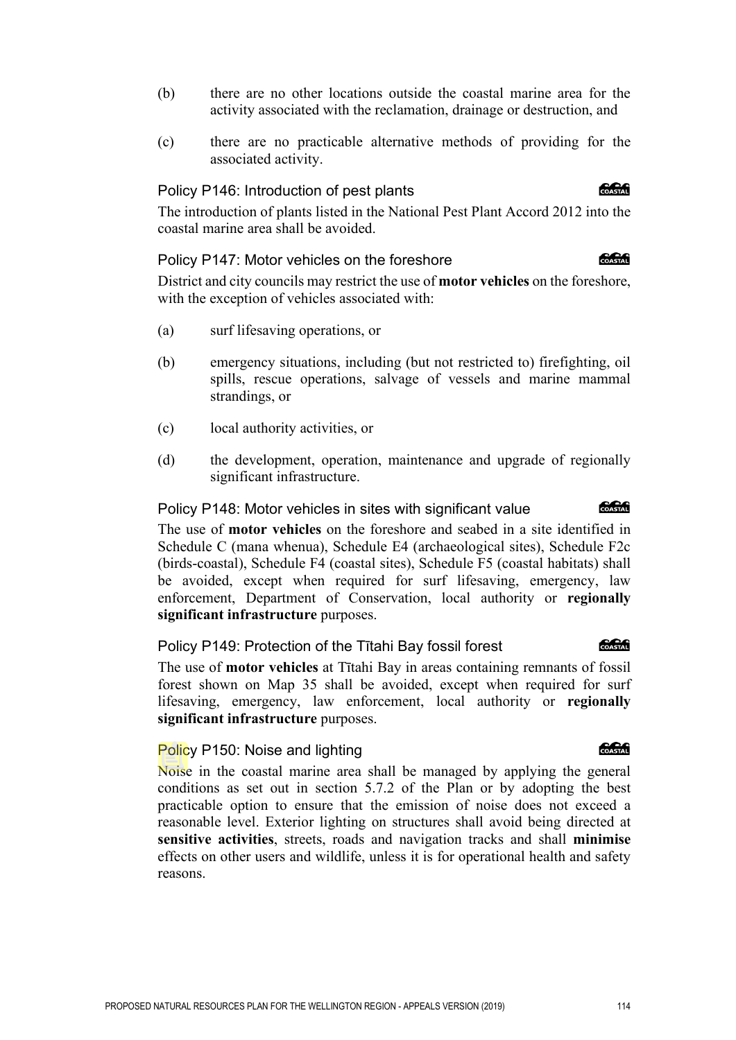- (b) there are no other locations outside the coastal marine area for the activity associated with the reclamation, drainage or destruction, and
- (c) there are no practicable alternative methods of providing for the associated activity.

#### Policy P146: Introduction of pest plants

The introduction of plants listed in the National Pest Plant Accord 2012 into the coastal marine area shall be avoided.

#### Policy P147: Motor vehicles on the foreshore

District and city councils may restrict the use of **motor vehicles** on the foreshore, with the exception of vehicles associated with:

- (a) surf lifesaving operations, or
- (b) emergency situations, including (but not restricted to) firefighting, oil spills, rescue operations, salvage of vessels and marine mammal strandings, or
- (c) local authority activities, or
- (d) the development, operation, maintenance and upgrade of regionally significant infrastructure.

#### Policy P148: Motor vehicles in sites with significant value

The use of **motor vehicles** on the foreshore and seabed in a site identified in Schedule C (mana whenua), Schedule E4 (archaeological sites), Schedule F2c (birds-coastal), Schedule F4 (coastal sites), Schedule F5 (coastal habitats) shall be avoided, except when required for surf lifesaving, emergency, law enforcement, Department of Conservation, local authority or **regionally significant infrastructure** purposes.

#### Policy P149: Protection of the Tītahi Bay fossil forest

The use of **motor vehicles** at Tītahi Bay in areas containing remnants of fossil forest shown on Map 35 shall be avoided, except when required for surf lifesaving, emergency, law enforcement, local authority or **regionally significant infrastructure** purposes.

#### Policy P150: Noise and lighting

Noise in the coastal marine area shall be managed by applying the general conditions as set out in section 5.7.2 of the Plan or by adopting the best practicable option to ensure that the emission of noise does not exceed a reasonable level. Exterior lighting on structures shall avoid being directed at **sensitive activities**, streets, roads and navigation tracks and shall **minimise** effects on other users and wildlife, unless it is for operational health and safety reasons.

# *<u> SSSSS</u>*

**Concept** 

# COASTAL

**CACC** 

#### **COASTAL**